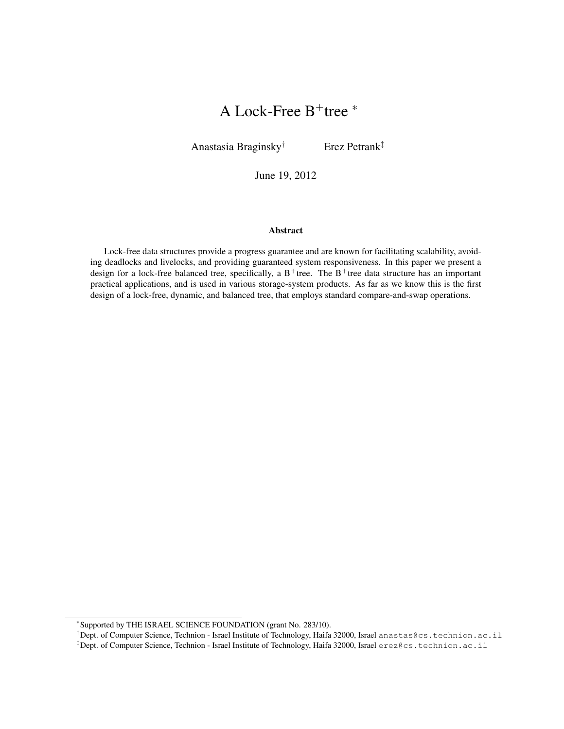# A Lock-Free B<sup>+</sup>tree <sup>∗</sup>

Anastasia Braginsky† Erez Petrank‡

June 19, 2012

#### Abstract

Lock-free data structures provide a progress guarantee and are known for facilitating scalability, avoiding deadlocks and livelocks, and providing guaranteed system responsiveness. In this paper we present a design for a lock-free balanced tree, specifically, a B<sup>+</sup>tree. The B<sup>+</sup>tree data structure has an important practical applications, and is used in various storage-system products. As far as we know this is the first design of a lock-free, dynamic, and balanced tree, that employs standard compare-and-swap operations.

<sup>∗</sup> Supported by THE ISRAEL SCIENCE FOUNDATION (grant No. 283/10).

<sup>†</sup>Dept. of Computer Science, Technion - Israel Institute of Technology, Haifa 32000, Israel anastas@cs.technion.ac.il

<sup>‡</sup>Dept. of Computer Science, Technion - Israel Institute of Technology, Haifa 32000, Israel erez@cs.technion.ac.il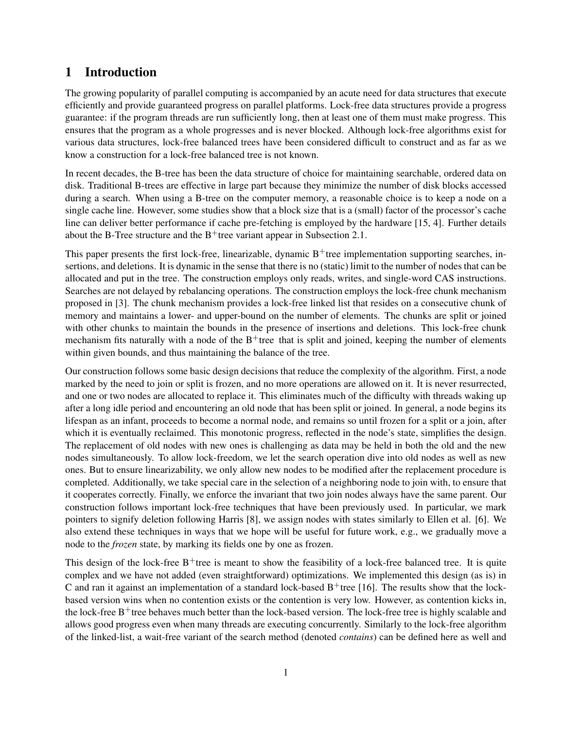# 1 Introduction

The growing popularity of parallel computing is accompanied by an acute need for data structures that execute efficiently and provide guaranteed progress on parallel platforms. Lock-free data structures provide a progress guarantee: if the program threads are run sufficiently long, then at least one of them must make progress. This ensures that the program as a whole progresses and is never blocked. Although lock-free algorithms exist for various data structures, lock-free balanced trees have been considered difficult to construct and as far as we know a construction for a lock-free balanced tree is not known.

In recent decades, the B-tree has been the data structure of choice for maintaining searchable, ordered data on disk. Traditional B-trees are effective in large part because they minimize the number of disk blocks accessed during a search. When using a B-tree on the computer memory, a reasonable choice is to keep a node on a single cache line. However, some studies show that a block size that is a (small) factor of the processor's cache line can deliver better performance if cache pre-fetching is employed by the hardware [15, 4]. Further details about the B-Tree structure and the  $B<sup>+</sup>$  tree variant appear in Subsection 2.1.

This paper presents the first lock-free, linearizable, dynamic  $B<sup>+</sup>$  tree implementation supporting searches, insertions, and deletions. It is dynamic in the sense that there is no (static) limit to the number of nodes that can be allocated and put in the tree. The construction employs only reads, writes, and single-word CAS instructions. Searches are not delayed by rebalancing operations. The construction employs the lock-free chunk mechanism proposed in [3]. The chunk mechanism provides a lock-free linked list that resides on a consecutive chunk of memory and maintains a lower- and upper-bound on the number of elements. The chunks are split or joined with other chunks to maintain the bounds in the presence of insertions and deletions. This lock-free chunk mechanism fits naturally with a node of the  $B<sup>+</sup>$ tree that is split and joined, keeping the number of elements within given bounds, and thus maintaining the balance of the tree.

Our construction follows some basic design decisions that reduce the complexity of the algorithm. First, a node marked by the need to join or split is frozen, and no more operations are allowed on it. It is never resurrected, and one or two nodes are allocated to replace it. This eliminates much of the difficulty with threads waking up after a long idle period and encountering an old node that has been split or joined. In general, a node begins its lifespan as an infant, proceeds to become a normal node, and remains so until frozen for a split or a join, after which it is eventually reclaimed. This monotonic progress, reflected in the node's state, simplifies the design. The replacement of old nodes with new ones is challenging as data may be held in both the old and the new nodes simultaneously. To allow lock-freedom, we let the search operation dive into old nodes as well as new ones. But to ensure linearizability, we only allow new nodes to be modified after the replacement procedure is completed. Additionally, we take special care in the selection of a neighboring node to join with, to ensure that it cooperates correctly. Finally, we enforce the invariant that two join nodes always have the same parent. Our construction follows important lock-free techniques that have been previously used. In particular, we mark pointers to signify deletion following Harris [8], we assign nodes with states similarly to Ellen et al. [6]. We also extend these techniques in ways that we hope will be useful for future work, e.g., we gradually move a node to the *frozen* state, by marking its fields one by one as frozen.

This design of the lock-free  $B^+$ tree is meant to show the feasibility of a lock-free balanced tree. It is quite complex and we have not added (even straightforward) optimizations. We implemented this design (as is) in C and ran it against an implementation of a standard lock-based  $B^{+}$ tree [16]. The results show that the lockbased version wins when no contention exists or the contention is very low. However, as contention kicks in, the lock-free  $B<sup>+</sup>$ tree behaves much better than the lock-based version. The lock-free tree is highly scalable and allows good progress even when many threads are executing concurrently. Similarly to the lock-free algorithm of the linked-list, a wait-free variant of the search method (denoted *contains*) can be defined here as well and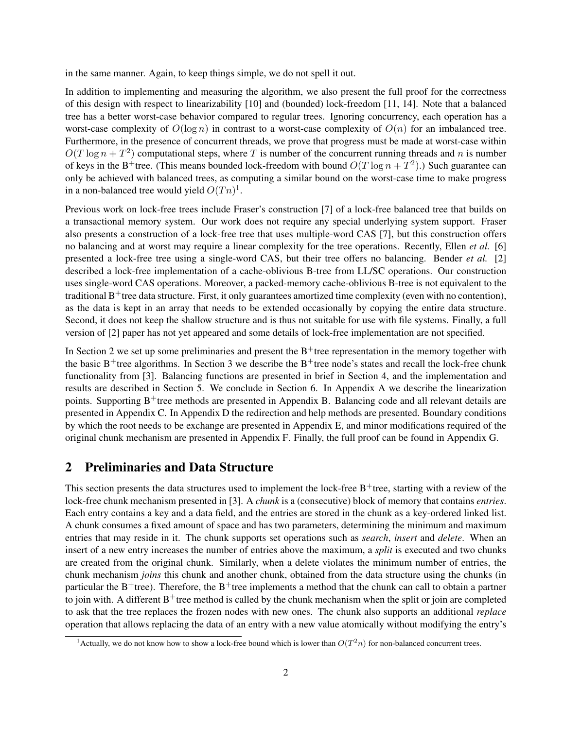in the same manner. Again, to keep things simple, we do not spell it out.

In addition to implementing and measuring the algorithm, we also present the full proof for the correctness of this design with respect to linearizability [10] and (bounded) lock-freedom [11, 14]. Note that a balanced tree has a better worst-case behavior compared to regular trees. Ignoring concurrency, each operation has a worst-case complexity of  $O(\log n)$  in contrast to a worst-case complexity of  $O(n)$  for an imbalanced tree. Furthermore, in the presence of concurrent threads, we prove that progress must be made at worst-case within  $O(T \log n + T^2)$  computational steps, where T is number of the concurrent running threads and n is number of keys in the B<sup>+</sup>tree. (This means bounded lock-freedom with bound  $O(T \log n + T^2)$ .) Such guarantee can only be achieved with balanced trees, as computing a similar bound on the worst-case time to make progress in a non-balanced tree would yield  $O(Tn)^1$ .

Previous work on lock-free trees include Fraser's construction [7] of a lock-free balanced tree that builds on a transactional memory system. Our work does not require any special underlying system support. Fraser also presents a construction of a lock-free tree that uses multiple-word CAS [7], but this construction offers no balancing and at worst may require a linear complexity for the tree operations. Recently, Ellen *et al.* [6] presented a lock-free tree using a single-word CAS, but their tree offers no balancing. Bender *et al.* [2] described a lock-free implementation of a cache-oblivious B-tree from LL/SC operations. Our construction uses single-word CAS operations. Moreover, a packed-memory cache-oblivious B-tree is not equivalent to the traditional  $B^+$ tree data structure. First, it only guarantees amortized time complexity (even with no contention), as the data is kept in an array that needs to be extended occasionally by copying the entire data structure. Second, it does not keep the shallow structure and is thus not suitable for use with file systems. Finally, a full version of [2] paper has not yet appeared and some details of lock-free implementation are not specified.

In Section 2 we set up some preliminaries and present the  $B<sup>+</sup>$ tree representation in the memory together with the basic  $B^{+}$ tree algorithms. In Section 3 we describe the  $B^{+}$ tree node's states and recall the lock-free chunk functionality from [3]. Balancing functions are presented in brief in Section 4, and the implementation and results are described in Section 5. We conclude in Section 6. In Appendix A we describe the linearization points. Supporting  $B<sup>+</sup>$  tree methods are presented in Appendix B. Balancing code and all relevant details are presented in Appendix C. In Appendix D the redirection and help methods are presented. Boundary conditions by which the root needs to be exchange are presented in Appendix E, and minor modifications required of the original chunk mechanism are presented in Appendix F. Finally, the full proof can be found in Appendix G.

### 2 Preliminaries and Data Structure

This section presents the data structures used to implement the lock-free  $B<sup>+</sup>$ tree, starting with a review of the lock-free chunk mechanism presented in [3]. A *chunk* is a (consecutive) block of memory that contains *entries*. Each entry contains a key and a data field, and the entries are stored in the chunk as a key-ordered linked list. A chunk consumes a fixed amount of space and has two parameters, determining the minimum and maximum entries that may reside in it. The chunk supports set operations such as *search*, *insert* and *delete*. When an insert of a new entry increases the number of entries above the maximum, a *split* is executed and two chunks are created from the original chunk. Similarly, when a delete violates the minimum number of entries, the chunk mechanism *joins* this chunk and another chunk, obtained from the data structure using the chunks (in particular the  $B^{+}$ tree). Therefore, the  $B^{+}$ tree implements a method that the chunk can call to obtain a partner to join with. A different  $B<sup>+</sup>$ tree method is called by the chunk mechanism when the split or join are completed to ask that the tree replaces the frozen nodes with new ones. The chunk also supports an additional *replace* operation that allows replacing the data of an entry with a new value atomically without modifying the entry's

<sup>&</sup>lt;sup>1</sup> Actually, we do not know how to show a lock-free bound which is lower than  $O(T^2n)$  for non-balanced concurrent trees.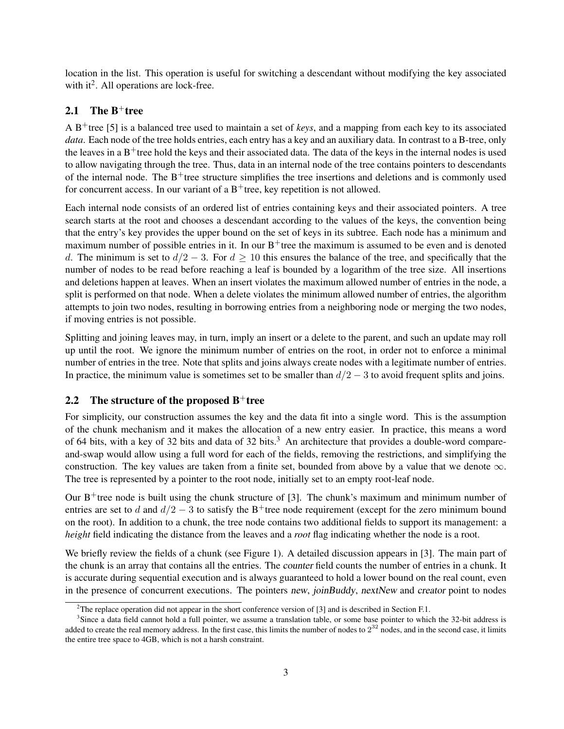location in the list. This operation is useful for switching a descendant without modifying the key associated with it<sup>2</sup>. All operations are lock-free.

### 2.1 The  $B^+$ tree

A B+tree [5] is a balanced tree used to maintain a set of *keys*, and a mapping from each key to its associated *data*. Each node of the tree holds entries, each entry has a key and an auxiliary data. In contrast to a B-tree, only the leaves in a  $B<sup>+</sup>$ tree hold the keys and their associated data. The data of the keys in the internal nodes is used to allow navigating through the tree. Thus, data in an internal node of the tree contains pointers to descendants of the internal node. The  $B<sup>+</sup>$ tree structure simplifies the tree insertions and deletions and is commonly used for concurrent access. In our variant of a  $B<sup>+</sup>$ tree, key repetition is not allowed.

Each internal node consists of an ordered list of entries containing keys and their associated pointers. A tree search starts at the root and chooses a descendant according to the values of the keys, the convention being that the entry's key provides the upper bound on the set of keys in its subtree. Each node has a minimum and maximum number of possible entries in it. In our  $B<sup>+</sup>$  tree the maximum is assumed to be even and is denoted d. The minimum is set to  $d/2 - 3$ . For  $d \ge 10$  this ensures the balance of the tree, and specifically that the number of nodes to be read before reaching a leaf is bounded by a logarithm of the tree size. All insertions and deletions happen at leaves. When an insert violates the maximum allowed number of entries in the node, a split is performed on that node. When a delete violates the minimum allowed number of entries, the algorithm attempts to join two nodes, resulting in borrowing entries from a neighboring node or merging the two nodes, if moving entries is not possible.

Splitting and joining leaves may, in turn, imply an insert or a delete to the parent, and such an update may roll up until the root. We ignore the minimum number of entries on the root, in order not to enforce a minimal number of entries in the tree. Note that splits and joins always create nodes with a legitimate number of entries. In practice, the minimum value is sometimes set to be smaller than  $d/2 - 3$  to avoid frequent splits and joins.

#### 2.2 The structure of the proposed  $B^+$ tree

For simplicity, our construction assumes the key and the data fit into a single word. This is the assumption of the chunk mechanism and it makes the allocation of a new entry easier. In practice, this means a word of 64 bits, with a key of 32 bits and data of 32 bits.<sup>3</sup> An architecture that provides a double-word compareand-swap would allow using a full word for each of the fields, removing the restrictions, and simplifying the construction. The key values are taken from a finite set, bounded from above by a value that we denote  $\infty$ . The tree is represented by a pointer to the root node, initially set to an empty root-leaf node.

Our  $B^+$  tree node is built using the chunk structure of [3]. The chunk's maximum and minimum number of entries are set to d and  $d/2 - 3$  to satisfy the B<sup>+</sup>tree node requirement (except for the zero minimum bound on the root). In addition to a chunk, the tree node contains two additional fields to support its management: a *height* field indicating the distance from the leaves and a *root* flag indicating whether the node is a root.

We briefly review the fields of a chunk (see Figure 1). A detailed discussion appears in [3]. The main part of the chunk is an array that contains all the entries. The counter field counts the number of entries in a chunk. It is accurate during sequential execution and is always guaranteed to hold a lower bound on the real count, even in the presence of concurrent executions. The pointers new, joinBuddy, nextNew and creator point to nodes

<sup>&</sup>lt;sup>2</sup>The replace operation did not appear in the short conference version of [3] and is described in Section F.1.

<sup>&</sup>lt;sup>3</sup>Since a data field cannot hold a full pointer, we assume a translation table, or some base pointer to which the 32-bit address is added to create the real memory address. In the first case, this limits the number of nodes to  $2^{32}$  nodes, and in the second case, it limits the entire tree space to 4GB, which is not a harsh constraint.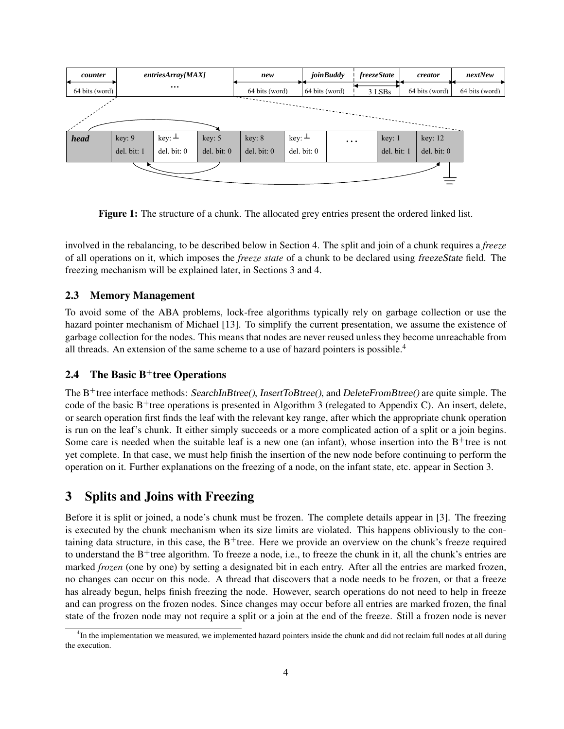| counter        |               | entriesArray[MAX] |                | new         |                | <i>joinBuddy</i> |        | <i>freezeState</i> | creator        | nextNew |
|----------------|---------------|-------------------|----------------|-------------|----------------|------------------|--------|--------------------|----------------|---------|
| 64 bits (word) | $\cdots$      |                   | 64 bits (word) |             | 64 bits (word) |                  | 3 LSBs | 64 bits (word)     | 64 bits (word) |         |
|                |               |                   |                |             |                |                  |        |                    |                |         |
| head           | key: 9        | key:              | key: 5         | key: 8      | key: $\perp$   | $\cdots$         |        | key:1              | key: $12$      |         |
|                | del. bit: $1$ | del. bit: $0$     | del. bit: 0    | del. bit: 0 | del. bit: 0    |                  |        | del. bit: 1        | del. bit: 0    |         |
|                |               |                   |                |             |                |                  |        |                    |                |         |

Figure 1: The structure of a chunk. The allocated grey entries present the ordered linked list.

involved in the rebalancing, to be described below in Section 4. The split and join of a chunk requires a *freeze* of all operations on it, which imposes the *freeze state* of a chunk to be declared using freezeState field. The freezing mechanism will be explained later, in Sections 3 and 4.

### 2.3 Memory Management

To avoid some of the ABA problems, lock-free algorithms typically rely on garbage collection or use the hazard pointer mechanism of Michael [13]. To simplify the current presentation, we assume the existence of garbage collection for the nodes. This means that nodes are never reused unless they become unreachable from all threads. An extension of the same scheme to a use of hazard pointers is possible.<sup>4</sup>

### 2.4 The Basic  $B^+$ tree Operations

The B<sup>+</sup>tree interface methods: SearchInBtree(), InsertToBtree(), and DeleteFromBtree() are quite simple. The code of the basic  $B^{+}$ tree operations is presented in Algorithm 3 (relegated to Appendix C). An insert, delete, or search operation first finds the leaf with the relevant key range, after which the appropriate chunk operation is run on the leaf's chunk. It either simply succeeds or a more complicated action of a split or a join begins. Some care is needed when the suitable leaf is a new one (an infant), whose insertion into the  $B^+$ tree is not yet complete. In that case, we must help finish the insertion of the new node before continuing to perform the operation on it. Further explanations on the freezing of a node, on the infant state, etc. appear in Section 3.

# 3 Splits and Joins with Freezing

Before it is split or joined, a node's chunk must be frozen. The complete details appear in [3]. The freezing is executed by the chunk mechanism when its size limits are violated. This happens obliviously to the containing data structure, in this case, the  $B<sup>+</sup>$ tree. Here we provide an overview on the chunk's freeze required to understand the  $B<sup>+</sup>$ tree algorithm. To freeze a node, i.e., to freeze the chunk in it, all the chunk's entries are marked *frozen* (one by one) by setting a designated bit in each entry. After all the entries are marked frozen, no changes can occur on this node. A thread that discovers that a node needs to be frozen, or that a freeze has already begun, helps finish freezing the node. However, search operations do not need to help in freeze and can progress on the frozen nodes. Since changes may occur before all entries are marked frozen, the final state of the frozen node may not require a split or a join at the end of the freeze. Still a frozen node is never

<sup>&</sup>lt;sup>4</sup>In the implementation we measured, we implemented hazard pointers inside the chunk and did not reclaim full nodes at all during the execution.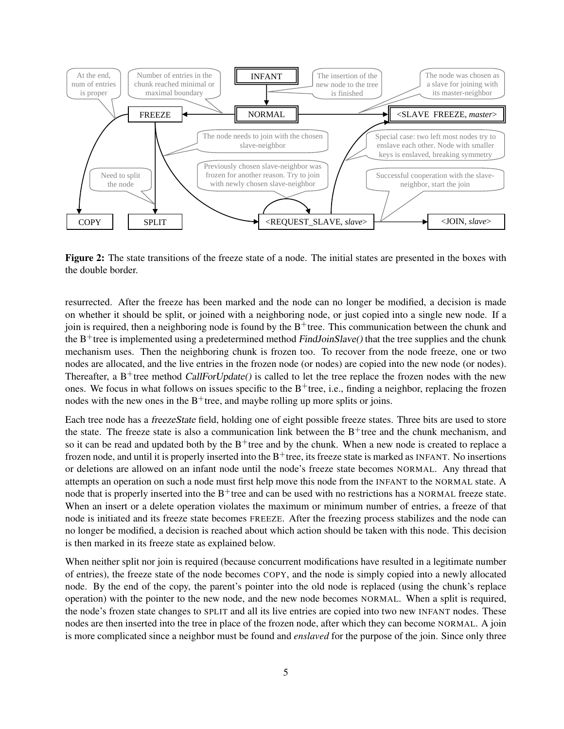

Figure 2: The state transitions of the freeze state of a node. The initial states are presented in the boxes with the double border.

resurrected. After the freeze has been marked and the node can no longer be modified, a decision is made on whether it should be split, or joined with a neighboring node, or just copied into a single new node. If a join is required, then a neighboring node is found by the  $B<sup>+</sup>$ tree. This communication between the chunk and the B<sup>+</sup>tree is implemented using a predetermined method FindJoinSlave() that the tree supplies and the chunk mechanism uses. Then the neighboring chunk is frozen too. To recover from the node freeze, one or two nodes are allocated, and the live entries in the frozen node (or nodes) are copied into the new node (or nodes). Thereafter, a  $B^+$ tree method *CallForUpdate()* is called to let the tree replace the frozen nodes with the new ones. We focus in what follows on issues specific to the  $B^+$ tree, i.e., finding a neighbor, replacing the frozen nodes with the new ones in the  $B^{+}$ tree, and maybe rolling up more splits or joins.

Each tree node has a freezeState field, holding one of eight possible freeze states. Three bits are used to store the state. The freeze state is also a communication link between the  $B<sup>+</sup>$ tree and the chunk mechanism, and so it can be read and updated both by the  $B<sup>+</sup>$  tree and by the chunk. When a new node is created to replace a frozen node, and until it is properly inserted into the  $B<sup>+</sup>$ tree, its freeze state is marked as INFANT. No insertions or deletions are allowed on an infant node until the node's freeze state becomes NORMAL. Any thread that attempts an operation on such a node must first help move this node from the INFANT to the NORMAL state. A node that is properly inserted into the  $B<sup>+</sup>$ tree and can be used with no restrictions has a NORMAL freeze state. When an insert or a delete operation violates the maximum or minimum number of entries, a freeze of that node is initiated and its freeze state becomes FREEZE. After the freezing process stabilizes and the node can no longer be modified, a decision is reached about which action should be taken with this node. This decision is then marked in its freeze state as explained below.

When neither split nor join is required (because concurrent modifications have resulted in a legitimate number of entries), the freeze state of the node becomes COPY, and the node is simply copied into a newly allocated node. By the end of the copy, the parent's pointer into the old node is replaced (using the chunk's replace operation) with the pointer to the new node, and the new node becomes NORMAL. When a split is required, the node's frozen state changes to SPLIT and all its live entries are copied into two new INFANT nodes. These nodes are then inserted into the tree in place of the frozen node, after which they can become NORMAL. A join is more complicated since a neighbor must be found and *enslaved* for the purpose of the join. Since only three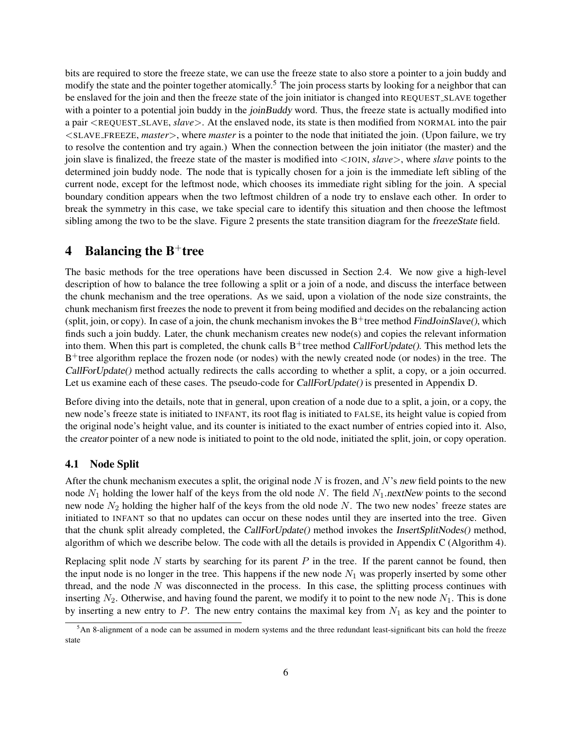bits are required to store the freeze state, we can use the freeze state to also store a pointer to a join buddy and modify the state and the pointer together atomically.<sup>5</sup> The join process starts by looking for a neighbor that can be enslaved for the join and then the freeze state of the join initiator is changed into REQUEST SLAVE together with a pointer to a potential join buddy in the *joinBuddy* word. Thus, the freeze state is actually modified into a pair <REQUEST SLAVE, *slave*>. At the enslaved node, its state is then modified from NORMAL into the pair <SLAVE FREEZE, *master*>, where *master* is a pointer to the node that initiated the join. (Upon failure, we try to resolve the contention and try again.) When the connection between the join initiator (the master) and the join slave is finalized, the freeze state of the master is modified into <JOIN, *slave*>, where *slave* points to the determined join buddy node. The node that is typically chosen for a join is the immediate left sibling of the current node, except for the leftmost node, which chooses its immediate right sibling for the join. A special boundary condition appears when the two leftmost children of a node try to enslave each other. In order to break the symmetry in this case, we take special care to identify this situation and then choose the leftmost sibling among the two to be the slave. Figure 2 presents the state transition diagram for the *freezeState* field.

# 4 Balancing the  $B^+$  tree

The basic methods for the tree operations have been discussed in Section 2.4. We now give a high-level description of how to balance the tree following a split or a join of a node, and discuss the interface between the chunk mechanism and the tree operations. As we said, upon a violation of the node size constraints, the chunk mechanism first freezes the node to prevent it from being modified and decides on the rebalancing action (split, join, or copy). In case of a join, the chunk mechanism invokes the  $B<sup>+</sup>$ tree method FindJoinSlave(), which finds such a join buddy. Later, the chunk mechanism creates new node(s) and copies the relevant information into them. When this part is completed, the chunk calls  $B^+$ tree method *CallForUpdate()*. This method lets the B<sup>+</sup>tree algorithm replace the frozen node (or nodes) with the newly created node (or nodes) in the tree. The CallForUpdate() method actually redirects the calls according to whether a split, a copy, or a join occurred. Let us examine each of these cases. The pseudo-code for *CallForUpdate*() is presented in Appendix D.

Before diving into the details, note that in general, upon creation of a node due to a split, a join, or a copy, the new node's freeze state is initiated to INFANT, its root flag is initiated to FALSE, its height value is copied from the original node's height value, and its counter is initiated to the exact number of entries copied into it. Also, the creator pointer of a new node is initiated to point to the old node, initiated the split, join, or copy operation.

### 4.1 Node Split

After the chunk mechanism executes a split, the original node  $N$  is frozen, and  $N$ 's new field points to the new node  $N_1$  holding the lower half of the keys from the old node N. The field  $N_1$ .nextNew points to the second new node  $N_2$  holding the higher half of the keys from the old node N. The two new nodes' freeze states are initiated to INFANT so that no updates can occur on these nodes until they are inserted into the tree. Given that the chunk split already completed, the CallForUpdate() method invokes the InsertSplitNodes() method, algorithm of which we describe below. The code with all the details is provided in Appendix C (Algorithm 4).

Replacing split node  $N$  starts by searching for its parent  $P$  in the tree. If the parent cannot be found, then the input node is no longer in the tree. This happens if the new node  $N_1$  was properly inserted by some other thread, and the node  $N$  was disconnected in the process. In this case, the splitting process continues with inserting  $N_2$ . Otherwise, and having found the parent, we modify it to point to the new node  $N_1$ . This is done by inserting a new entry to  $P$ . The new entry contains the maximal key from  $N_1$  as key and the pointer to

 $5$ An 8-alignment of a node can be assumed in modern systems and the three redundant least-significant bits can hold the freeze state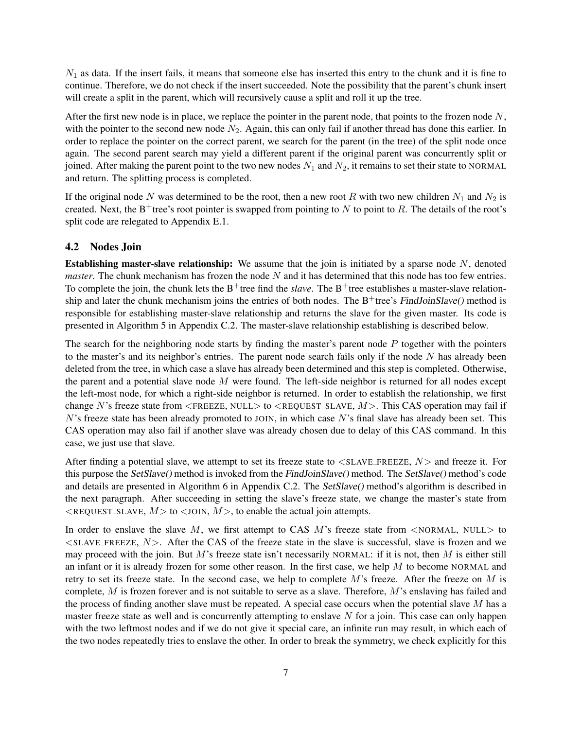$N_1$  as data. If the insert fails, it means that someone else has inserted this entry to the chunk and it is fine to continue. Therefore, we do not check if the insert succeeded. Note the possibility that the parent's chunk insert will create a split in the parent, which will recursively cause a split and roll it up the tree.

After the first new node is in place, we replace the pointer in the parent node, that points to the frozen node  $N$ , with the pointer to the second new node  $N_2$ . Again, this can only fail if another thread has done this earlier. In order to replace the pointer on the correct parent, we search for the parent (in the tree) of the split node once again. The second parent search may yield a different parent if the original parent was concurrently split or joined. After making the parent point to the two new nodes  $N_1$  and  $N_2$ , it remains to set their state to NORMAL and return. The splitting process is completed.

If the original node N was determined to be the root, then a new root R with two new children  $N_1$  and  $N_2$  is created. Next, the B<sup>+</sup>tree's root pointer is swapped from pointing to N to point to R. The details of the root's split code are relegated to Appendix E.1.

#### 4.2 Nodes Join

**Establishing master-slave relationship:** We assume that the join is initiated by a sparse node  $N$ , denoted *master*. The chunk mechanism has frozen the node N and it has determined that this node has too few entries. To complete the join, the chunk lets the  $B<sup>+</sup>$ tree find the *slave*. The  $B<sup>+</sup>$ tree establishes a master-slave relationship and later the chunk mechanism joins the entries of both nodes. The  $B^{+}$ tree's FindJoinSlave() method is responsible for establishing master-slave relationship and returns the slave for the given master. Its code is presented in Algorithm 5 in Appendix C.2. The master-slave relationship establishing is described below.

The search for the neighboring node starts by finding the master's parent node  $P$  together with the pointers to the master's and its neighbor's entries. The parent node search fails only if the node  $N$  has already been deleted from the tree, in which case a slave has already been determined and this step is completed. Otherwise, the parent and a potential slave node  $M$  were found. The left-side neighbor is returned for all nodes except the left-most node, for which a right-side neighbor is returned. In order to establish the relationship, we first change N's freeze state from  $\leq$ FREEZE, NULL $>$  to  $\leq$ REQUEST\_SLAVE, M $>$ . This CAS operation may fail if  $N$ 's freeze state has been already promoted to JOIN, in which case  $N$ 's final slave has already been set. This CAS operation may also fail if another slave was already chosen due to delay of this CAS command. In this case, we just use that slave.

After finding a potential slave, we attempt to set its freeze state to  $\leq$ SLAVE FREEZE,  $N$  and freeze it. For this purpose the SetSlave() method is invoked from the FindJoinSlave() method. The SetSlave() method's code and details are presented in Algorithm 6 in Appendix C.2. The SetSlave() method's algorithm is described in the next paragraph. After succeeding in setting the slave's freeze state, we change the master's state from  $\langle$ REQUEST\_SLAVE,  $M$   $>$  to  $\langle$  JOIN,  $M$   $>$ , to enable the actual join attempts.

In order to enslave the slave  $M$ , we first attempt to CAS  $M$ 's freeze state from  $\leq N$ ORMAL, NULL $>$  to  $\leq$ SLAVE FREEZE,  $N$ >. After the CAS of the freeze state in the slave is successful, slave is frozen and we may proceed with the join. But M's freeze state isn't necessarily NORMAL: if it is not, then M is either still an infant or it is already frozen for some other reason. In the first case, we help  $M$  to become NORMAL and retry to set its freeze state. In the second case, we help to complete  $M$ 's freeze. After the freeze on  $M$  is complete,  $M$  is frozen forever and is not suitable to serve as a slave. Therefore,  $M$ 's enslaving has failed and the process of finding another slave must be repeated. A special case occurs when the potential slave  $M$  has a master freeze state as well and is concurrently attempting to enslave  $N$  for a join. This case can only happen with the two leftmost nodes and if we do not give it special care, an infinite run may result, in which each of the two nodes repeatedly tries to enslave the other. In order to break the symmetry, we check explicitly for this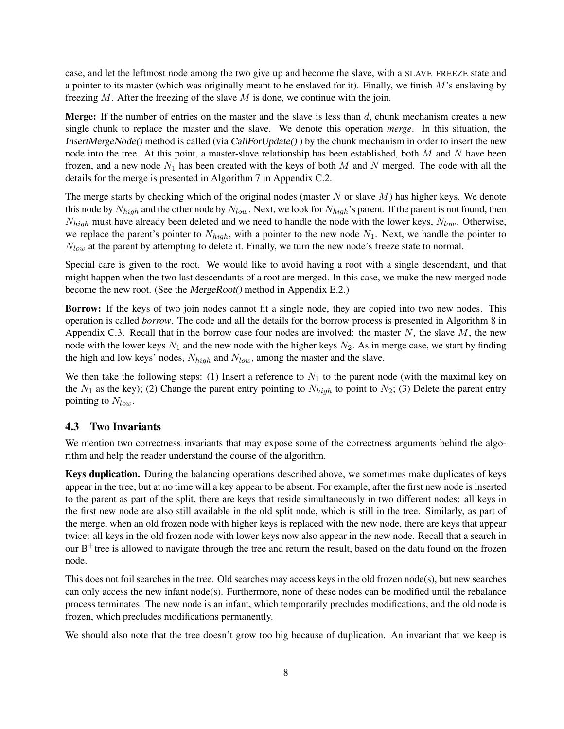case, and let the leftmost node among the two give up and become the slave, with a SLAVE FREEZE state and a pointer to its master (which was originally meant to be enslaved for it). Finally, we finish M's enslaving by freezing M. After the freezing of the slave M is done, we continue with the join.

**Merge:** If the number of entries on the master and the slave is less than  $d$ , chunk mechanism creates a new single chunk to replace the master and the slave. We denote this operation *merge*. In this situation, the InsertMergeNode() method is called (via CallForUpdate()) by the chunk mechanism in order to insert the new node into the tree. At this point, a master-slave relationship has been established, both  $M$  and  $N$  have been frozen, and a new node  $N_1$  has been created with the keys of both M and N merged. The code with all the details for the merge is presented in Algorithm 7 in Appendix C.2.

The merge starts by checking which of the original nodes (master  $N$  or slave  $M$ ) has higher keys. We denote this node by  $N_{high}$  and the other node by  $N_{low}$ . Next, we look for  $N_{high}$ 's parent. If the parent is not found, then  $N_{high}$  must have already been deleted and we need to handle the node with the lower keys,  $N_{low}$ . Otherwise, we replace the parent's pointer to  $N_{hiah}$ , with a pointer to the new node  $N_1$ . Next, we handle the pointer to  $N_{low}$  at the parent by attempting to delete it. Finally, we turn the new node's freeze state to normal.

Special care is given to the root. We would like to avoid having a root with a single descendant, and that might happen when the two last descendants of a root are merged. In this case, we make the new merged node become the new root. (See the MergeRoot() method in Appendix E.2.)

Borrow: If the keys of two join nodes cannot fit a single node, they are copied into two new nodes. This operation is called *borrow*. The code and all the details for the borrow process is presented in Algorithm 8 in Appendix C.3. Recall that in the borrow case four nodes are involved: the master  $N$ , the slave  $M$ , the new node with the lower keys  $N_1$  and the new node with the higher keys  $N_2$ . As in merge case, we start by finding the high and low keys' nodes,  $N_{high}$  and  $N_{low}$ , among the master and the slave.

We then take the following steps: (1) Insert a reference to  $N_1$  to the parent node (with the maximal key on the  $N_1$  as the key); (2) Change the parent entry pointing to  $N_{high}$  to point to  $N_2$ ; (3) Delete the parent entry pointing to  $N_{low}$ .

#### 4.3 Two Invariants

We mention two correctness invariants that may expose some of the correctness arguments behind the algorithm and help the reader understand the course of the algorithm.

Keys duplication. During the balancing operations described above, we sometimes make duplicates of keys appear in the tree, but at no time will a key appear to be absent. For example, after the first new node is inserted to the parent as part of the split, there are keys that reside simultaneously in two different nodes: all keys in the first new node are also still available in the old split node, which is still in the tree. Similarly, as part of the merge, when an old frozen node with higher keys is replaced with the new node, there are keys that appear twice: all keys in the old frozen node with lower keys now also appear in the new node. Recall that a search in our  $B^{+}$ tree is allowed to navigate through the tree and return the result, based on the data found on the frozen node.

This does not foil searches in the tree. Old searches may access keys in the old frozen node(s), but new searches can only access the new infant node(s). Furthermore, none of these nodes can be modified until the rebalance process terminates. The new node is an infant, which temporarily precludes modifications, and the old node is frozen, which precludes modifications permanently.

We should also note that the tree doesn't grow too big because of duplication. An invariant that we keep is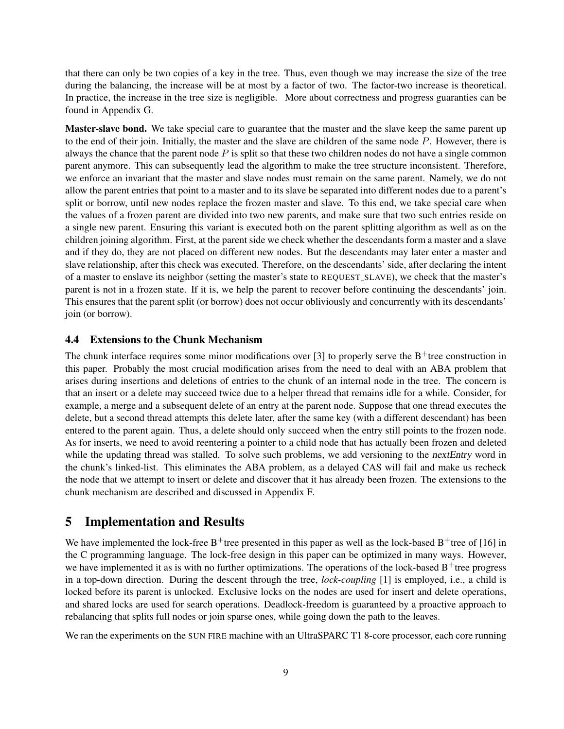that there can only be two copies of a key in the tree. Thus, even though we may increase the size of the tree during the balancing, the increase will be at most by a factor of two. The factor-two increase is theoretical. In practice, the increase in the tree size is negligible. More about correctness and progress guaranties can be found in Appendix G.

**Master-slave bond.** We take special care to guarantee that the master and the slave keep the same parent up to the end of their join. Initially, the master and the slave are children of the same node  $P$ . However, there is always the chance that the parent node  $P$  is split so that these two children nodes do not have a single common parent anymore. This can subsequently lead the algorithm to make the tree structure inconsistent. Therefore, we enforce an invariant that the master and slave nodes must remain on the same parent. Namely, we do not allow the parent entries that point to a master and to its slave be separated into different nodes due to a parent's split or borrow, until new nodes replace the frozen master and slave. To this end, we take special care when the values of a frozen parent are divided into two new parents, and make sure that two such entries reside on a single new parent. Ensuring this variant is executed both on the parent splitting algorithm as well as on the children joining algorithm. First, at the parent side we check whether the descendants form a master and a slave and if they do, they are not placed on different new nodes. But the descendants may later enter a master and slave relationship, after this check was executed. Therefore, on the descendants' side, after declaring the intent of a master to enslave its neighbor (setting the master's state to REQUEST SLAVE), we check that the master's parent is not in a frozen state. If it is, we help the parent to recover before continuing the descendants' join. This ensures that the parent split (or borrow) does not occur obliviously and concurrently with its descendants' join (or borrow).

### 4.4 Extensions to the Chunk Mechanism

The chunk interface requires some minor modifications over  $[3]$  to properly serve the B<sup>+</sup>tree construction in this paper. Probably the most crucial modification arises from the need to deal with an ABA problem that arises during insertions and deletions of entries to the chunk of an internal node in the tree. The concern is that an insert or a delete may succeed twice due to a helper thread that remains idle for a while. Consider, for example, a merge and a subsequent delete of an entry at the parent node. Suppose that one thread executes the delete, but a second thread attempts this delete later, after the same key (with a different descendant) has been entered to the parent again. Thus, a delete should only succeed when the entry still points to the frozen node. As for inserts, we need to avoid reentering a pointer to a child node that has actually been frozen and deleted while the updating thread was stalled. To solve such problems, we add versioning to the nextEntry word in the chunk's linked-list. This eliminates the ABA problem, as a delayed CAS will fail and make us recheck the node that we attempt to insert or delete and discover that it has already been frozen. The extensions to the chunk mechanism are described and discussed in Appendix F.

### 5 Implementation and Results

We have implemented the lock-free B<sup>+</sup>tree presented in this paper as well as the lock-based B<sup>+</sup>tree of [16] in the C programming language. The lock-free design in this paper can be optimized in many ways. However, we have implemented it as is with no further optimizations. The operations of the lock-based  $B^{+}$ tree progress in a top-down direction. During the descent through the tree, *lock-coupling* [1] is employed, i.e., a child is locked before its parent is unlocked. Exclusive locks on the nodes are used for insert and delete operations, and shared locks are used for search operations. Deadlock-freedom is guaranteed by a proactive approach to rebalancing that splits full nodes or join sparse ones, while going down the path to the leaves.

We ran the experiments on the SUN FIRE machine with an UltraSPARC T1 8-core processor, each core running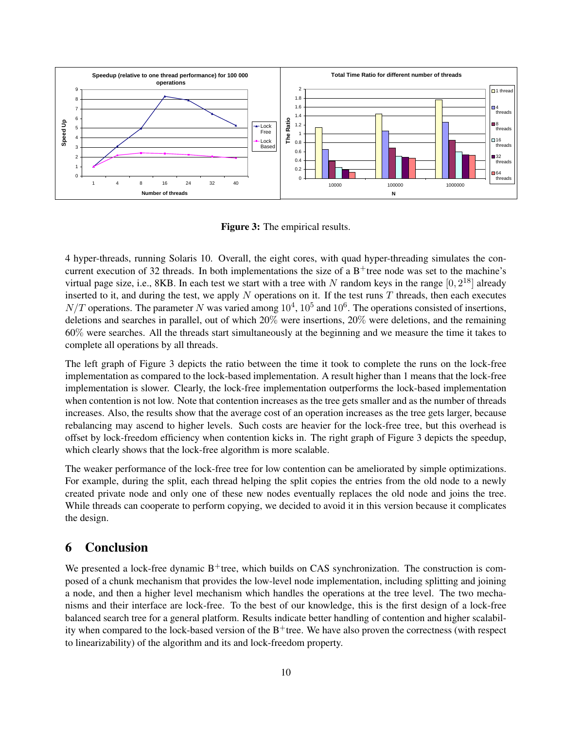

Figure 3: The empirical results.

4 hyper-threads, running Solaris 10. Overall, the eight cores, with quad hyper-threading simulates the concurrent execution of 32 threads. In both implementations the size of a  $B<sup>+</sup>$  tree node was set to the machine's virtual page size, i.e., 8KB. In each test we start with a tree with N random keys in the range  $[0, 2^{18}]$  already inserted to it, and during the test, we apply N operations on it. If the test runs  $T$  threads, then each executes  $N/T$  operations. The parameter N was varied among  $10^4$ ,  $10^5$  and  $10^6$ . The operations consisted of insertions, deletions and searches in parallel, out of which 20% were insertions, 20% were deletions, and the remaining 60% were searches. All the threads start simultaneously at the beginning and we measure the time it takes to complete all operations by all threads.

The left graph of Figure 3 depicts the ratio between the time it took to complete the runs on the lock-free implementation as compared to the lock-based implementation. A result higher than 1 means that the lock-free implementation is slower. Clearly, the lock-free implementation outperforms the lock-based implementation when contention is not low. Note that contention increases as the tree gets smaller and as the number of threads increases. Also, the results show that the average cost of an operation increases as the tree gets larger, because rebalancing may ascend to higher levels. Such costs are heavier for the lock-free tree, but this overhead is offset by lock-freedom efficiency when contention kicks in. The right graph of Figure 3 depicts the speedup, which clearly shows that the lock-free algorithm is more scalable.

The weaker performance of the lock-free tree for low contention can be ameliorated by simple optimizations. For example, during the split, each thread helping the split copies the entries from the old node to a newly created private node and only one of these new nodes eventually replaces the old node and joins the tree. While threads can cooperate to perform copying, we decided to avoid it in this version because it complicates the design.

# 6 Conclusion

We presented a lock-free dynamic  $B^+$ tree, which builds on CAS synchronization. The construction is composed of a chunk mechanism that provides the low-level node implementation, including splitting and joining a node, and then a higher level mechanism which handles the operations at the tree level. The two mechanisms and their interface are lock-free. To the best of our knowledge, this is the first design of a lock-free balanced search tree for a general platform. Results indicate better handling of contention and higher scalability when compared to the lock-based version of the  $B<sup>+</sup>$ tree. We have also proven the correctness (with respect to linearizability) of the algorithm and its and lock-freedom property.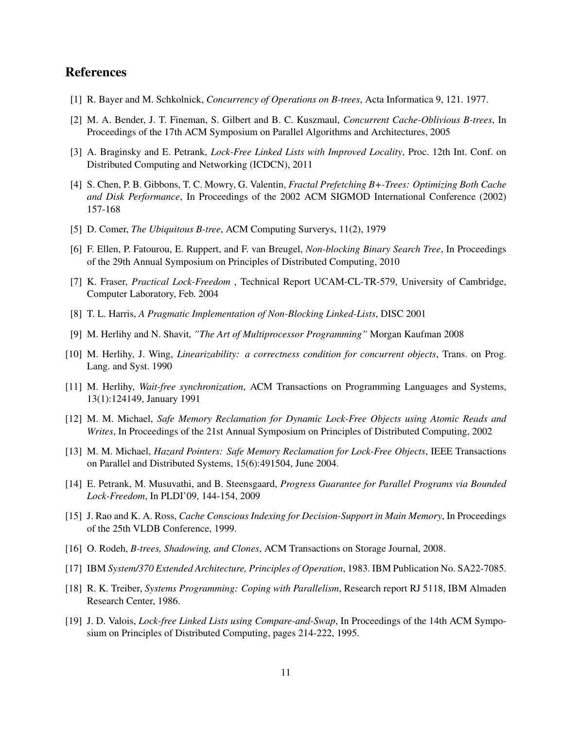# References

- [1] R. Bayer and M. Schkolnick, *Concurrency of Operations on B-trees*, Acta Informatica 9, 121. 1977.
- [2] M. A. Bender, J. T. Fineman, S. Gilbert and B. C. Kuszmaul, *Concurrent Cache-Oblivious B-trees*, In Proceedings of the 17th ACM Symposium on Parallel Algorithms and Architectures, 2005
- [3] A. Braginsky and E. Petrank, *Lock-Free Linked Lists with Improved Locality*, Proc. 12th Int. Conf. on Distributed Computing and Networking (ICDCN), 2011
- [4] S. Chen, P. B. Gibbons, T. C. Mowry, G. Valentin, *Fractal Prefetching B+-Trees: Optimizing Both Cache and Disk Performance*, In Proceedings of the 2002 ACM SIGMOD International Conference (2002) 157-168
- [5] D. Comer, *The Ubiquitous B-tree*, ACM Computing Surverys, 11(2), 1979
- [6] F. Ellen, P. Fatourou, E. Ruppert, and F. van Breugel, *Non-blocking Binary Search Tree*, In Proceedings of the 29th Annual Symposium on Principles of Distributed Computing, 2010
- [7] K. Fraser, *Practical Lock-Freedom* , Technical Report UCAM-CL-TR-579, University of Cambridge, Computer Laboratory, Feb. 2004
- [8] T. L. Harris, *A Pragmatic Implementation of Non-Blocking Linked-Lists*, DISC 2001
- [9] M. Herlihy and N. Shavit, *"The Art of Multiprocessor Programming"* Morgan Kaufman 2008
- [10] M. Herlihy, J. Wing, *Linearizability: a correctness condition for concurrent objects*, Trans. on Prog. Lang. and Syst. 1990
- [11] M. Herlihy, *Wait-free synchronization*, ACM Transactions on Programming Languages and Systems, 13(1):124149, January 1991
- [12] M. M. Michael, *Safe Memory Reclamation for Dynamic Lock-Free Objects using Atomic Reads and Writes*, In Proceedings of the 21st Annual Symposium on Principles of Distributed Computing, 2002
- [13] M. M. Michael, *Hazard Pointers: Safe Memory Reclamation for Lock-Free Objects*, IEEE Transactions on Parallel and Distributed Systems, 15(6):491504, June 2004.
- [14] E. Petrank, M. Musuvathi, and B. Steensgaard, *Progress Guarantee for Parallel Programs via Bounded Lock-Freedom*, In PLDI'09, 144-154, 2009
- [15] J. Rao and K. A. Ross, *Cache Conscious Indexing for Decision-Support in Main Memory*, In Proceedings of the 25th VLDB Conference, 1999.
- [16] O. Rodeh, *B-trees, Shadowing, and Clones*, ACM Transactions on Storage Journal, 2008.
- [17] IBM *System/370 Extended Architecture, Principles of Operation*, 1983. IBM Publication No. SA22-7085.
- [18] R. K. Treiber, *Systems Programming: Coping with Parallelism*, Research report RJ 5118, IBM Almaden Research Center, 1986.
- [19] J. D. Valois, *Lock-free Linked Lists using Compare-and-Swap*, In Proceedings of the 14th ACM Symposium on Principles of Distributed Computing, pages 214-222, 1995.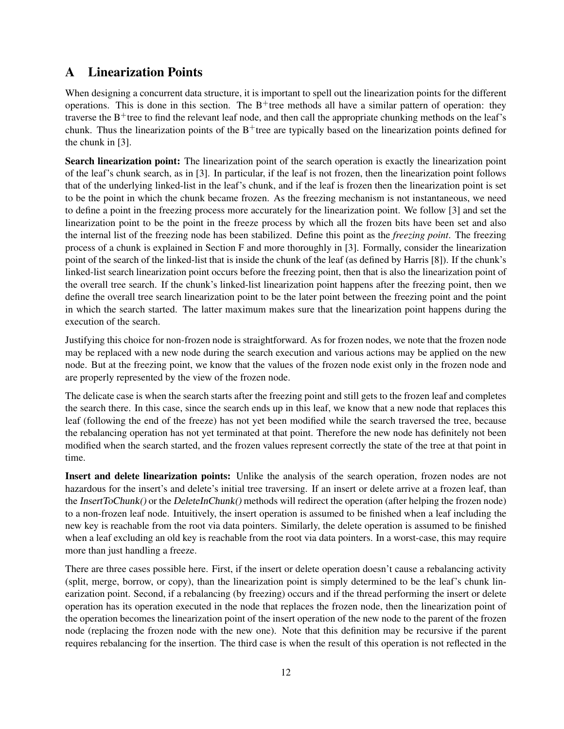# A Linearization Points

When designing a concurrent data structure, it is important to spell out the linearization points for the different operations. This is done in this section. The  $B<sup>+</sup>$  tree methods all have a similar pattern of operation: they traverse the  $B<sup>+</sup>$ tree to find the relevant leaf node, and then call the appropriate chunking methods on the leaf's chunk. Thus the linearization points of the  $B<sup>+</sup>$ tree are typically based on the linearization points defined for the chunk in [3].

Search linearization point: The linearization point of the search operation is exactly the linearization point of the leaf's chunk search, as in [3]. In particular, if the leaf is not frozen, then the linearization point follows that of the underlying linked-list in the leaf's chunk, and if the leaf is frozen then the linearization point is set to be the point in which the chunk became frozen. As the freezing mechanism is not instantaneous, we need to define a point in the freezing process more accurately for the linearization point. We follow [3] and set the linearization point to be the point in the freeze process by which all the frozen bits have been set and also the internal list of the freezing node has been stabilized. Define this point as the *freezing point*. The freezing process of a chunk is explained in Section F and more thoroughly in [3]. Formally, consider the linearization point of the search of the linked-list that is inside the chunk of the leaf (as defined by Harris [8]). If the chunk's linked-list search linearization point occurs before the freezing point, then that is also the linearization point of the overall tree search. If the chunk's linked-list linearization point happens after the freezing point, then we define the overall tree search linearization point to be the later point between the freezing point and the point in which the search started. The latter maximum makes sure that the linearization point happens during the execution of the search.

Justifying this choice for non-frozen node is straightforward. As for frozen nodes, we note that the frozen node may be replaced with a new node during the search execution and various actions may be applied on the new node. But at the freezing point, we know that the values of the frozen node exist only in the frozen node and are properly represented by the view of the frozen node.

The delicate case is when the search starts after the freezing point and still gets to the frozen leaf and completes the search there. In this case, since the search ends up in this leaf, we know that a new node that replaces this leaf (following the end of the freeze) has not yet been modified while the search traversed the tree, because the rebalancing operation has not yet terminated at that point. Therefore the new node has definitely not been modified when the search started, and the frozen values represent correctly the state of the tree at that point in time.

Insert and delete linearization points: Unlike the analysis of the search operation, frozen nodes are not hazardous for the insert's and delete's initial tree traversing. If an insert or delete arrive at a frozen leaf, than the InsertToChunk() or the DeleteInChunk() methods will redirect the operation (after helping the frozen node) to a non-frozen leaf node. Intuitively, the insert operation is assumed to be finished when a leaf including the new key is reachable from the root via data pointers. Similarly, the delete operation is assumed to be finished when a leaf excluding an old key is reachable from the root via data pointers. In a worst-case, this may require more than just handling a freeze.

There are three cases possible here. First, if the insert or delete operation doesn't cause a rebalancing activity (split, merge, borrow, or copy), than the linearization point is simply determined to be the leaf's chunk linearization point. Second, if a rebalancing (by freezing) occurs and if the thread performing the insert or delete operation has its operation executed in the node that replaces the frozen node, then the linearization point of the operation becomes the linearization point of the insert operation of the new node to the parent of the frozen node (replacing the frozen node with the new one). Note that this definition may be recursive if the parent requires rebalancing for the insertion. The third case is when the result of this operation is not reflected in the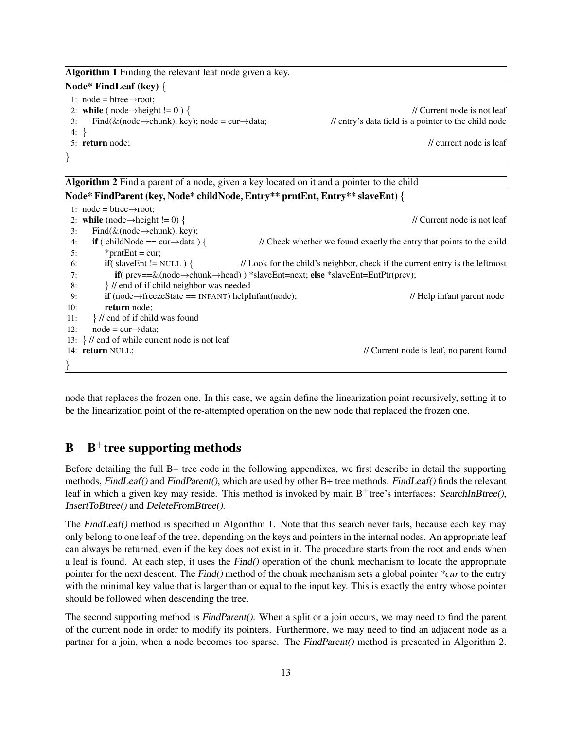| <b>Algorithm 1</b> Finding the relevant leaf node given a key.                   |                                                      |
|----------------------------------------------------------------------------------|------------------------------------------------------|
| Node* FindLeaf (key) $\{$                                                        |                                                      |
| 1: $node = three \rightarrow root$ ;                                             |                                                      |
| 2: while (node $\rightarrow$ height != 0) {                                      | // Current node is not leaf                          |
| Find( $&$ (node $\rightarrow$ chunk), key); node = cur $\rightarrow$ data;<br>3: | // entry's data field is a pointer to the child node |
| $4: \}$                                                                          |                                                      |
| 5: return node;                                                                  | $\prime\prime$ current node is leaf                  |
|                                                                                  |                                                      |

|                                                            | <b>Algorithm 2</b> Find a parent of a node, given a key located on it and a pointer to the child                             |                                                                              |
|------------------------------------------------------------|------------------------------------------------------------------------------------------------------------------------------|------------------------------------------------------------------------------|
|                                                            | Node* FindParent (key, Node* childNode, Entry** prntEnt, Entry** slaveEnt) {                                                 |                                                                              |
| 1: node = btree $\rightarrow$ root:                        |                                                                                                                              |                                                                              |
| 2: while (node $\rightarrow$ height != 0) {                |                                                                                                                              | // Current node is not leaf                                                  |
| Find $&$ (node $\rightarrow$ chunk), key);<br>3:           |                                                                                                                              |                                                                              |
| <b>if</b> (childNode == cur $\rightarrow$ data) {<br>4:    |                                                                                                                              | // Check whether we found exactly the entry that points to the child         |
| *prnt $Ent = cur;$<br>5:                                   |                                                                                                                              |                                                                              |
| <b>if</b> ( slaveEnt != NULL ) {<br>6:                     |                                                                                                                              | // Look for the child's neighbor, check if the current entry is the leftmost |
| 7:                                                         | <b>if</b> ( $prev == \& (node \rightarrow chunk \rightarrow head)$ ) *slaveEnt=next; <b>else</b> *slaveEnt=EntPtr( $prev$ ); |                                                                              |
| // end of if child neighbor was needed<br>8:               |                                                                                                                              |                                                                              |
| 9:                                                         | <b>if</b> (node $\rightarrow$ freezeState == INFANT) helpInfant(node);                                                       | // Help infant parent node                                                   |
| return node:<br>10:                                        |                                                                                                                              |                                                                              |
| // end of if child was found<br>11:                        |                                                                                                                              |                                                                              |
| $node = cur \rightarrow data;$<br>12:                      |                                                                                                                              |                                                                              |
| 13: $\frac{1}{2}$ // end of while current node is not leaf |                                                                                                                              |                                                                              |
| 14: return NULL;                                           |                                                                                                                              | // Current node is leaf, no parent found                                     |
|                                                            |                                                                                                                              |                                                                              |

node that replaces the frozen one. In this case, we again define the linearization point recursively, setting it to be the linearization point of the re-attempted operation on the new node that replaced the frozen one.

# $\mathbf{B}$  B<sup>+</sup>tree supporting methods

Before detailing the full B+ tree code in the following appendixes, we first describe in detail the supporting methods, FindLeaf() and FindParent(), which are used by other B+ tree methods. FindLeaf() finds the relevant leaf in which a given key may reside. This method is invoked by main  $B^{+}$ tree's interfaces: SearchInBtree(), InsertToBtree() and DeleteFromBtree().

The FindLeaf() method is specified in Algorithm 1. Note that this search never fails, because each key may only belong to one leaf of the tree, depending on the keys and pointers in the internal nodes. An appropriate leaf can always be returned, even if the key does not exist in it. The procedure starts from the root and ends when a leaf is found. At each step, it uses the Find() operation of the chunk mechanism to locate the appropriate pointer for the next descent. The Find() method of the chunk mechanism sets a global pointer *\*cur* to the entry with the minimal key value that is larger than or equal to the input key. This is exactly the entry whose pointer should be followed when descending the tree.

The second supporting method is FindParent(). When a split or a join occurs, we may need to find the parent of the current node in order to modify its pointers. Furthermore, we may need to find an adjacent node as a partner for a join, when a node becomes too sparse. The FindParent() method is presented in Algorithm 2.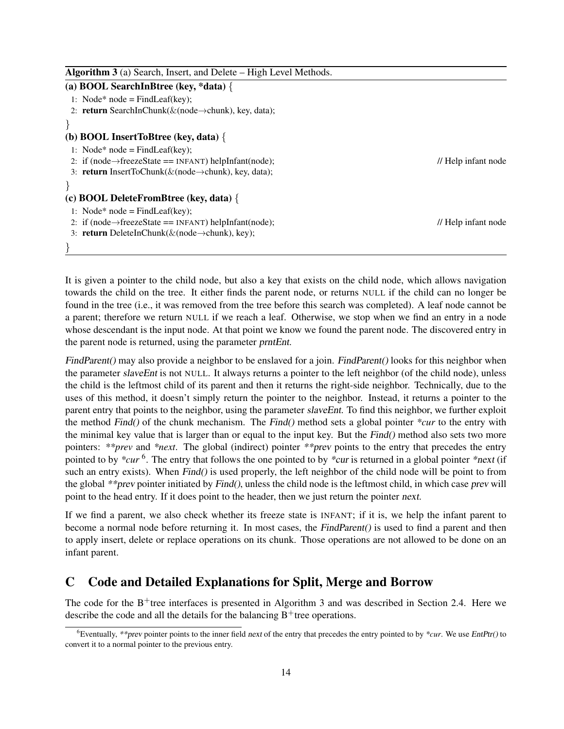| <b>Algorithm 3</b> (a) Search, Insert, and Delete – High Level Methods.      |                     |
|------------------------------------------------------------------------------|---------------------|
| (a) BOOL SearchInBtree (key, $*data$ ) {                                     |                     |
| 1: Node* node = FindLeaf(key);                                               |                     |
| 2: <b>return</b> SearchInChunk( $\&$ (node $\rightarrow$ chunk), key, data); |                     |
| ł                                                                            |                     |
| (b) BOOL InsertToBtree (key, data) $\{$                                      |                     |
| 1: Node* node = FindLeaf(key);                                               |                     |
| 2: if (node $\rightarrow$ freezeState == INFANT) helpInfant(node);           | // Help infant node |
| 3: <b>return</b> InsertToChunk( $\&$ (node $\rightarrow$ chunk), key, data); |                     |
| ł                                                                            |                     |
| (c) BOOL DeleteFromBtree (key, data) $\{$                                    |                     |
| 1: Node* node = FindLeaf(key);                                               |                     |
| 2: if (node $\rightarrow$ freezeState == INFANT) helpInfant(node);           | // Help infant node |
| 3: <b>return</b> DeleteInChunk( $\&$ (node $\rightarrow$ chunk), key);       |                     |
| ł                                                                            |                     |

It is given a pointer to the child node, but also a key that exists on the child node, which allows navigation towards the child on the tree. It either finds the parent node, or returns NULL if the child can no longer be found in the tree (i.e., it was removed from the tree before this search was completed). A leaf node cannot be a parent; therefore we return NULL if we reach a leaf. Otherwise, we stop when we find an entry in a node whose descendant is the input node. At that point we know we found the parent node. The discovered entry in the parent node is returned, using the parameter prntEnt.

FindParent() may also provide a neighbor to be enslaved for a join. FindParent() looks for this neighbor when the parameter slaveEnt is not NULL. It always returns a pointer to the left neighbor (of the child node), unless the child is the leftmost child of its parent and then it returns the right-side neighbor. Technically, due to the uses of this method, it doesn't simply return the pointer to the neighbor. Instead, it returns a pointer to the parent entry that points to the neighbor, using the parameter slaveEnt. To find this neighbor, we further exploit the method Find() of the chunk mechanism. The Find() method sets a global pointer *\*cur* to the entry with the minimal key value that is larger than or equal to the input key. But the Find() method also sets two more pointers: *\*\*prev* and *\*next*. The global (indirect) pointer \*\*prev points to the entry that precedes the entry pointed to by *\*cur* <sup>6</sup>. The entry that follows the one pointed to by *\*cur* is returned in a global pointer *\*next* (if such an entry exists). When Find() is used properly, the left neighbor of the child node will be point to from the global \*\*prev pointer initiated by Find(), unless the child node is the leftmost child, in which case prev will point to the head entry. If it does point to the header, then we just return the pointer next.

If we find a parent, we also check whether its freeze state is INFANT; if it is, we help the infant parent to become a normal node before returning it. In most cases, the FindParent() is used to find a parent and then to apply insert, delete or replace operations on its chunk. Those operations are not allowed to be done on an infant parent.

# C Code and Detailed Explanations for Split, Merge and Borrow

The code for the  $B<sup>+</sup>$ tree interfaces is presented in Algorithm 3 and was described in Section 2.4. Here we describe the code and all the details for the balancing  $B^{+}$ tree operations.

<sup>&</sup>lt;sup>6</sup>Eventually, \*\*prev pointer points to the inner field next of the entry that precedes the entry pointed to by  $*cur$ . We use  $EntPtr()$  to convert it to a normal pointer to the previous entry.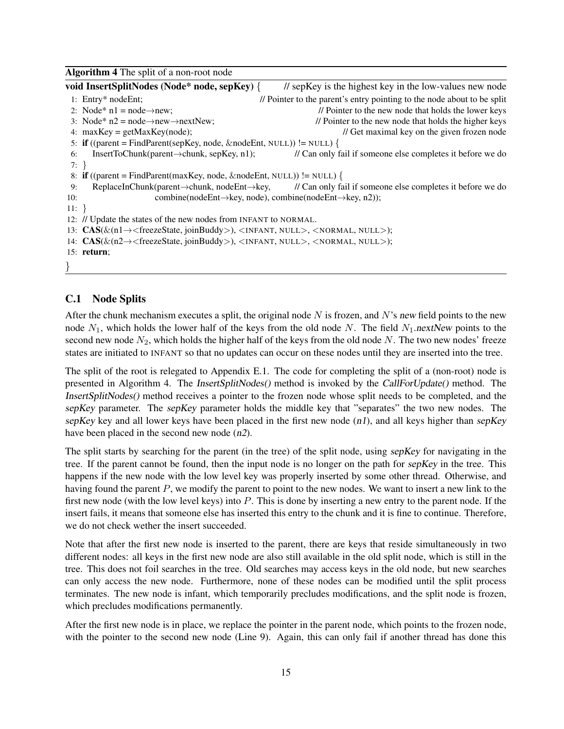Algorithm 4 The split of a non-root node void InsertSplitNodes (Node\* node, sepKey)  $\{$  // sepKey is the highest key in the low-values new node 1: Entry\* nodeEnt; // Pointer to the parent's entry pointing to the node about to be split 2: Node\*  $n1 = node \rightarrow new$ ; // Pointer to the new node that holds the lower keys 3: Node\*  $n^2 = node \rightarrow new \rightarrow new("Poinl)$  // Pointer to the new node that holds the higher keys 4: maxKey = getMaxKey(node); // Get maximal key on the given frozen node 5: **if** ((parent = FindParent(sepKey, node,  $\&$  nodeEnt, NULL)) != NULL) { 6: InsertToChunk(parent→chunk, sepKey, n1); // Can only fail if someone else completes it before we do 7: } 8: **if** ((parent = FindParent(maxKey, node, &nodeEnt, NULL)) != NULL) { 9: ReplaceInChunk(parent→chunk, nodeEnt→key, // Can only fail if someone else completes it before we do 10: combine(nodeEnt→key, node), combine(nodeEnt→key, n2)); 11: } 12: // Update the states of the new nodes from INFANT to NORMAL. 13: CAS(&(n1→<freezeState, joinBuddy>), <INFANT, NULL>, <NORMAL, NULL>); 14: CAS(&(n2→<freezeState, joinBuddy>), <INFANT, NULL>, <NORMAL, NULL>); 15: return; }

#### C.1 Node Splits

After the chunk mechanism executes a split, the original node N is frozen, and N's new field points to the new node  $N_1$ , which holds the lower half of the keys from the old node N. The field  $N_1$  nextNew points to the second new node  $N_2$ , which holds the higher half of the keys from the old node N. The two new nodes' freeze states are initiated to INFANT so that no updates can occur on these nodes until they are inserted into the tree.

The split of the root is relegated to Appendix E.1. The code for completing the split of a (non-root) node is presented in Algorithm 4. The InsertSplitNodes() method is invoked by the CallForUpdate() method. The InsertSplitNodes() method receives a pointer to the frozen node whose split needs to be completed, and the sepKey parameter. The sepKey parameter holds the middle key that "separates" the two new nodes. The sepKey key and all lower keys have been placed in the first new node  $(n1)$ , and all keys higher than sepKey have been placed in the second new node  $(n2)$ .

The split starts by searching for the parent (in the tree) of the split node, using sepKey for navigating in the tree. If the parent cannot be found, then the input node is no longer on the path for sepKey in the tree. This happens if the new node with the low level key was properly inserted by some other thread. Otherwise, and having found the parent P, we modify the parent to point to the new nodes. We want to insert a new link to the first new node (with the low level keys) into  $P$ . This is done by inserting a new entry to the parent node. If the insert fails, it means that someone else has inserted this entry to the chunk and it is fine to continue. Therefore, we do not check wether the insert succeeded.

Note that after the first new node is inserted to the parent, there are keys that reside simultaneously in two different nodes: all keys in the first new node are also still available in the old split node, which is still in the tree. This does not foil searches in the tree. Old searches may access keys in the old node, but new searches can only access the new node. Furthermore, none of these nodes can be modified until the split process terminates. The new node is infant, which temporarily precludes modifications, and the split node is frozen, which precludes modifications permanently.

After the first new node is in place, we replace the pointer in the parent node, which points to the frozen node, with the pointer to the second new node (Line 9). Again, this can only fail if another thread has done this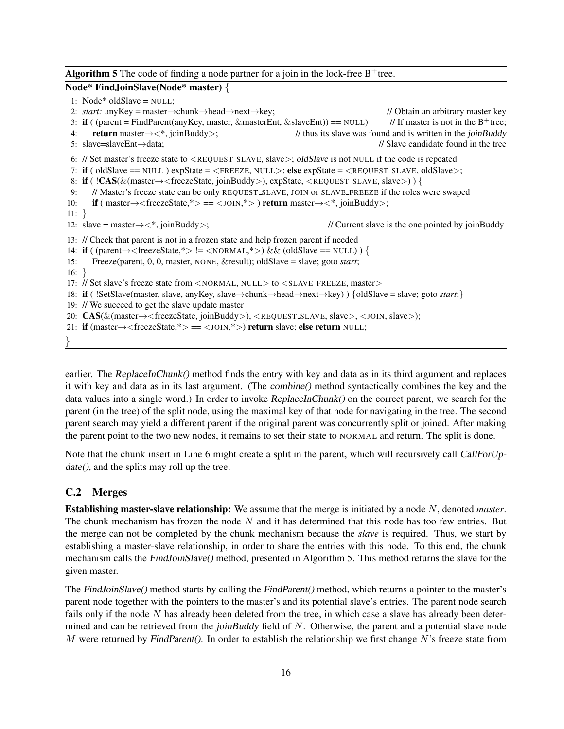Algorithm 5 The code of finding a node partner for a join in the lock-free  $B^+$ tree.

```
Node* FindJoinSlave(Node* master) {
 1: Node* oldSlave = NULL;
 2: start: anyKey = master→chunk→head→next→key; // Obtain an arbitrary master key
 3: if ( (parent = FindParent(anyKey, master, \&masterEnt, \&slaveEnt)) == NULL) // If master is not in the B<sup>+</sup>tree;
 4: return master\rightarrow <*, joinBuddy>; // thus its slave was found and is written in the joinBuddy
 5: slave=slaveEnt→data; // Slave candidate found in the tree
 6: // Set master's freeze state to <REQUEST SLAVE, slave>; oldSlave is not NULL if the code is repeated
7: if ( oldSlave == NULL ) expState = \langleFREEZE, NULL>; else expState = \langleREQUEST_SLAVE, oldSlave>;
 8: if ( !CAS(&(master→<freezeState, joinBuddy>), expState, <REQUEST SLAVE, slave>) ) {
9: // Master's freeze state can be only REQUEST SLAVE, JOIN or SLAVE FREEZE if the roles were swaped
10: if ( master→<freezeState,*> == <JOIN,*> ) return master→<*, joinBuddy>;
11: }
12: slave = master→<*, joinBuddy>; // Current slave is the one pointed by joinBuddy
13: // Check that parent is not in a frozen state and help frozen parent if needed
14: if ( (parent→<freezeState,*> != <NORMAL,*>) && (oldSlave == NULL) ) {
15: Freeze(parent, 0, 0, master, NONE, &result); oldSlave = slave; goto start;
16: }
17: // Set slave's freeze state from <NORMAL, NULL> to <SLAVE FREEZE, master>
18: if ( !SetSlave(master, slave, anyKey, slave→chunk→head→next→key) ) {oldSlave = slave; goto start;}
19: // We succeed to get the slave update master
20: CAS(&(master→<freezeState, joinBuddy>), <REQUEST SLAVE, slave>, <JOIN, slave>);
21: if (master→<freezeState,*> == <JOIN,*>) return slave; else return NULL;
}
```
earlier. The ReplaceInChunk() method finds the entry with key and data as in its third argument and replaces it with key and data as in its last argument. (The combine() method syntactically combines the key and the data values into a single word.) In order to invoke ReplaceInChunk() on the correct parent, we search for the parent (in the tree) of the split node, using the maximal key of that node for navigating in the tree. The second parent search may yield a different parent if the original parent was concurrently split or joined. After making the parent point to the two new nodes, it remains to set their state to NORMAL and return. The split is done.

Note that the chunk insert in Line 6 might create a split in the parent, which will recursively call CallForUpdate(), and the splits may roll up the tree.

### C.2 Merges

Establishing master-slave relationship: We assume that the merge is initiated by a node N, denoted *master*. The chunk mechanism has frozen the node  $N$  and it has determined that this node has too few entries. But the merge can not be completed by the chunk mechanism because the *slave* is required. Thus, we start by establishing a master-slave relationship, in order to share the entries with this node. To this end, the chunk mechanism calls the FindJoinSlave() method, presented in Algorithm 5. This method returns the slave for the given master.

The FindJoinSlave() method starts by calling the FindParent() method, which returns a pointer to the master's parent node together with the pointers to the master's and its potential slave's entries. The parent node search fails only if the node  $N$  has already been deleted from the tree, in which case a slave has already been determined and can be retrieved from the joinBuddy field of  $N$ . Otherwise, the parent and a potential slave node M were returned by FindParent(). In order to establish the relationship we first change N's freeze state from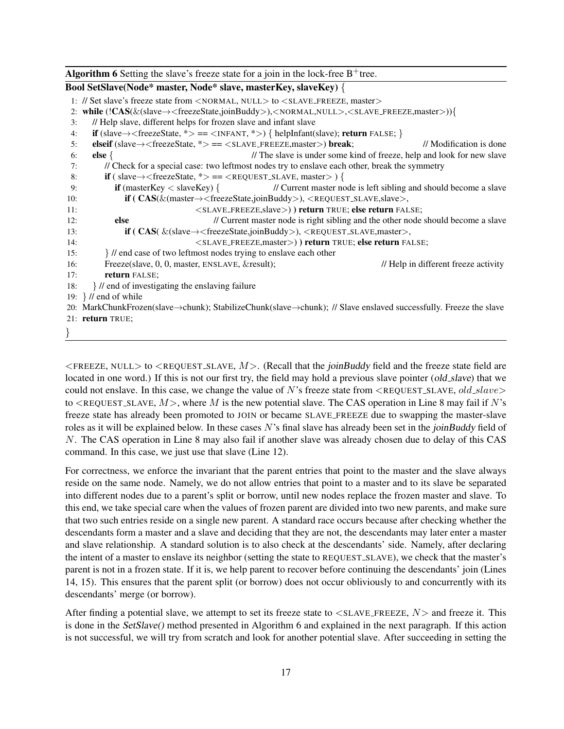|     | <b>Algorithm 6</b> Setting the slave's freeze state for a join in the lock-free $B^+$ tree.                                                          |                                                                                                                                                          |                                                                        |
|-----|------------------------------------------------------------------------------------------------------------------------------------------------------|----------------------------------------------------------------------------------------------------------------------------------------------------------|------------------------------------------------------------------------|
|     | Bool SetSlave(Node* master, Node* slave, masterKey, slaveKey) {                                                                                      |                                                                                                                                                          |                                                                        |
|     | 1: // Set slave's freeze state from <normal, null=""> to <slave_freeze, master=""></slave_freeze,></normal,>                                         |                                                                                                                                                          |                                                                        |
|     | 2: while (!CAS(&(slave-> <freezestate,joinbuddy>),<normal,null>,<slave_freeze,master>)){</slave_freeze,master></normal,null></freezestate,joinbuddy> |                                                                                                                                                          |                                                                        |
| 3:  | // Help slave, different helps for frozen slave and infant slave                                                                                     |                                                                                                                                                          |                                                                        |
| 4:  | <b>if</b> (slave $\rightarrow$ < freezeState, *> == <infant, *="">) { helpInfant(slave); return FALSE; }</infant,>                                   |                                                                                                                                                          |                                                                        |
| 5:  | elseif (slave $\rightarrow$ <freezestate, *=""> == <slave_freeze, master="">) break;</slave_freeze,></freezestate,>                                  |                                                                                                                                                          | // Modification is done                                                |
| 6:  | else $\{$                                                                                                                                            |                                                                                                                                                          | // The slave is under some kind of freeze, help and look for new slave |
| 7:  | // Check for a special case: two leftmost nodes try to enslave each other, break the symmetry                                                        |                                                                                                                                                          |                                                                        |
| 8:  | <b>if</b> (slave $\rightarrow$ <freezestate, *=""> == <request_slave, master=""> ) {</request_slave,></freezestate,>                                 |                                                                                                                                                          |                                                                        |
| 9:  | <b>if</b> (masterKey $\langle$ slaveKey) $\{$                                                                                                        |                                                                                                                                                          | // Current master node is left sibling and should become a slave       |
| 10: |                                                                                                                                                      | <b>if</b> ( $\text{CAS}(\&(\text{master}\rightarrow\text{~\leq} \text{freezeState},\text{joinBuddy}>,\text{~\leq} \text{REQUEST\_SLAVE},\text{slow}>$ ), |                                                                        |
| 11: |                                                                                                                                                      | <slave_freeze, slave="">) ) return TRUE; else return FALSE;</slave_freeze,>                                                                              |                                                                        |
| 12: | else                                                                                                                                                 | // Current master node is right sibling and the other node should become a slave                                                                         |                                                                        |
| 13: |                                                                                                                                                      | if ( $\text{CAS}(\&(\text{slave}\rightarrow<\text{freezeState},\text{joinBuddy}>)$ , <request_slave, master="">,</request_slave,>                        |                                                                        |
| 14: |                                                                                                                                                      | <slave_freeze, master="">) ) return TRUE; else return FALSE;</slave_freeze,>                                                                             |                                                                        |
| 15: | If $\parallel$ // end case of two leftmost nodes trying to enslave each other                                                                        |                                                                                                                                                          |                                                                        |
| 16: | Freeze(slave, 0, 0, master, ENSLAVE, & result);                                                                                                      |                                                                                                                                                          | // Help in different freeze activity                                   |
| 17: | return FALSE;                                                                                                                                        |                                                                                                                                                          |                                                                        |
| 18: | } // end of investigating the enslaving failure                                                                                                      |                                                                                                                                                          |                                                                        |
|     | 19: $\frac{1}{2}$ // end of while                                                                                                                    |                                                                                                                                                          |                                                                        |
|     | 20: MarkChunkFrozen(slave->chunk); StabilizeChunk(slave->chunk); // Slave enslaved successfully. Freeze the slave                                    |                                                                                                                                                          |                                                                        |
|     | 21: return TRUE;                                                                                                                                     |                                                                                                                                                          |                                                                        |
| }   |                                                                                                                                                      |                                                                                                                                                          |                                                                        |
|     |                                                                                                                                                      |                                                                                                                                                          |                                                                        |

 $\leq$ FREEZE, NULL $>$  to  $\leq$ REQUEST\_SLAVE, M $>$ . (Recall that the joinBuddy field and the freeze state field are located in one word.) If this is not our first try, the field may hold a previous slave pointer (old\_slave) that we could not enslave. In this case, we change the value of N's freeze state from  $\langle REQUEST\_SLAVE, old\_slave \rangle$ to  $\leq$ REQUEST\_SLAVE,  $M$ , where M is the new potential slave. The CAS operation in Line 8 may fail if N's freeze state has already been promoted to JOIN or became SLAVE FREEZE due to swapping the master-slave roles as it will be explained below. In these cases  $N$ 's final slave has already been set in the joinBuddy field of N. The CAS operation in Line 8 may also fail if another slave was already chosen due to delay of this CAS command. In this case, we just use that slave (Line 12).

For correctness, we enforce the invariant that the parent entries that point to the master and the slave always reside on the same node. Namely, we do not allow entries that point to a master and to its slave be separated into different nodes due to a parent's split or borrow, until new nodes replace the frozen master and slave. To this end, we take special care when the values of frozen parent are divided into two new parents, and make sure that two such entries reside on a single new parent. A standard race occurs because after checking whether the descendants form a master and a slave and deciding that they are not, the descendants may later enter a master and slave relationship. A standard solution is to also check at the descendants' side. Namely, after declaring the intent of a master to enslave its neighbor (setting the state to REQUEST SLAVE), we check that the master's parent is not in a frozen state. If it is, we help parent to recover before continuing the descendants' join (Lines 14, 15). This ensures that the parent split (or borrow) does not occur obliviously to and concurrently with its descendants' merge (or borrow).

After finding a potential slave, we attempt to set its freeze state to  $\langle$ SLAVE FREEZE,  $N$  and freeze it. This is done in the SetSlave() method presented in Algorithm 6 and explained in the next paragraph. If this action is not successful, we will try from scratch and look for another potential slave. After succeeding in setting the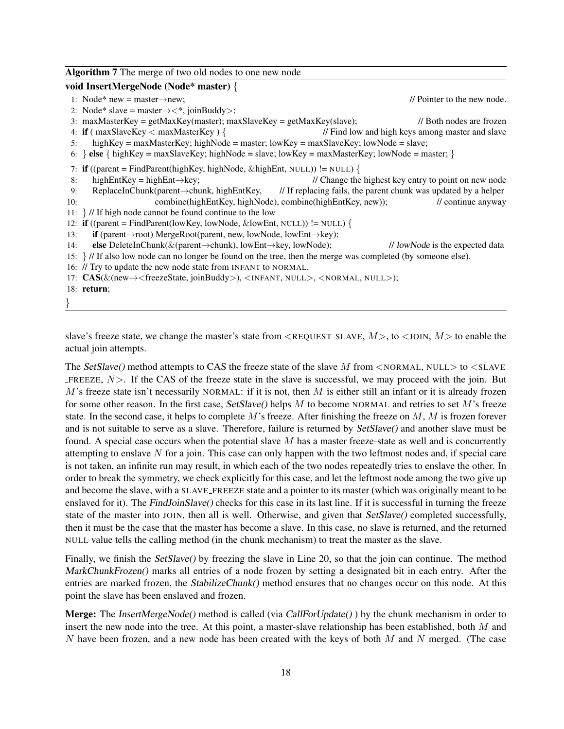| <b>Algorithm 7</b> The merge of two old nodes to one new node                                                                                                                                                                  |                                                      |
|--------------------------------------------------------------------------------------------------------------------------------------------------------------------------------------------------------------------------------|------------------------------------------------------|
| void InsertMergeNode (Node* master) {                                                                                                                                                                                          |                                                      |
| 1: Node* new = master $\rightarrow$ new;                                                                                                                                                                                       | // Pointer to the new node.                          |
| 2: Node* slave = master $\rightarrow$ <*, joinBuddy>;                                                                                                                                                                          |                                                      |
| 3: $maxMasterKey = getMaxKey(master); maxSlaveKey = getMaxKey(slave);$                                                                                                                                                         | // Both nodes are frozen                             |
| 4: <b>if</b> ( $maxSlaveKey < maxMasterKey$ ) {                                                                                                                                                                                | // Find low and high keys among master and slave     |
| highKey = maxMasterKey; highNode = master; $lowKey = maxSlaveKey$ ; $lowNode = slave$ ;<br>5:                                                                                                                                  |                                                      |
| else { highKey = maxSlaveKey; highNode = slave; lowKey = maxMasterKey; lowNode = master; }<br>6:                                                                                                                               |                                                      |
| 7: <b>if</b> ((parent = FindParent(highKey, highNode, & highEnt, NULL)) != NULL) {                                                                                                                                             |                                                      |
| highEntKey = highEnt $\rightarrow$ key;<br>8:                                                                                                                                                                                  | // Change the highest key entry to point on new node |
| ReplaceInChunk(parent $\rightarrow$ chunk, highEntKey, // If replacing fails, the parent chunk was updated by a helper<br>9:                                                                                                   |                                                      |
| combine(highEntKey, highNode), combine(highEntKey, new));<br>10:                                                                                                                                                               | // continue anyway                                   |
| 11: $\frac{1}{2}$ // If high node cannot be found continue to the low                                                                                                                                                          |                                                      |
| 12: <b>if</b> ((parent = FindParent(lowKey, lowNode, & lowEnt, NULL)) != NULL) {                                                                                                                                               |                                                      |
| <b>if</b> (parent $\rightarrow$ root) MergeRoot(parent, new, lowNode, lowEnt $\rightarrow$ key);<br>13:                                                                                                                        |                                                      |
| else DeleteInChunk( $&$ (parent $\rightarrow$ chunk), lowEnt $\rightarrow$ key, lowNode);<br>14:                                                                                                                               | // lowNode is the expected data                      |
| 15: $\frac{1}{2}$ // If also low node can no longer be found on the tree, then the merge was completed (by someone else).                                                                                                      |                                                      |
| 16: // Try to update the new node state from INFANT to NORMAL.                                                                                                                                                                 |                                                      |
| 17: CAS(&(new  ightarrow  of freezeState, joinBuddy >),  in FANT, NULL >,  in NuLL > ightarrow  ightarrow  ightarrow  ightarrow  ightarrow  ightarrow  ightarrow  ightarrow  ightarrow  ightarrow  ightarrow  ightarrow  ighta |                                                      |
| 18: return;                                                                                                                                                                                                                    |                                                      |
| }                                                                                                                                                                                                                              |                                                      |

slave's freeze state, we change the master's state from  $\langle$ REQUEST\_SLAVE,  $M$  $>$ , to  $\langle$ JOIN,  $M$  $>$  to enable the actual join attempts.

The SetSlave() method attempts to CAS the freeze state of the slave M from  $\langle$ NORMAL, NULL $>$  to  $\langle$ SLAVE FREEZE,  $N$ >. If the CAS of the freeze state in the slave is successful, we may proceed with the join. But  $M$ 's freeze state isn't necessarily NORMAL: if it is not, then  $M$  is either still an infant or it is already frozen for some other reason. In the first case,  $SetSlave()$  helps M to become NORMAL and retries to set M's freeze state. In the second case, it helps to complete M's freeze. After finishing the freeze on  $M$ ,  $M$  is frozen forever and is not suitable to serve as a slave. Therefore, failure is returned by SetSlave() and another slave must be found. A special case occurs when the potential slave  $M$  has a master freeze-state as well and is concurrently attempting to enslave  $N$  for a join. This case can only happen with the two leftmost nodes and, if special care is not taken, an infinite run may result, in which each of the two nodes repeatedly tries to enslave the other. In order to break the symmetry, we check explicitly for this case, and let the leftmost node among the two give up and become the slave, with a SLAVE FREEZE state and a pointer to its master (which was originally meant to be enslaved for it). The FindJoinSlave() checks for this case in its last line. If it is successful in turning the freeze state of the master into JOIN, then all is well. Otherwise, and given that SetSlave() completed successfully, then it must be the case that the master has become a slave. In this case, no slave is returned, and the returned NULL value tells the calling method (in the chunk mechanism) to treat the master as the slave.

Finally, we finish the SetSlave() by freezing the slave in Line 20, so that the join can continue. The method MarkChunkFrozen() marks all entries of a node frozen by setting a designated bit in each entry. After the entries are marked frozen, the *StabilizeChunk()* method ensures that no changes occur on this node. At this point the slave has been enslaved and frozen.

**Merge:** The *InsertMergeNode()* method is called (via *CallForUpdate())* by the chunk mechanism in order to insert the new node into the tree. At this point, a master-slave relationship has been established, both  $M$  and N have been frozen, and a new node has been created with the keys of both M and N merged. (The case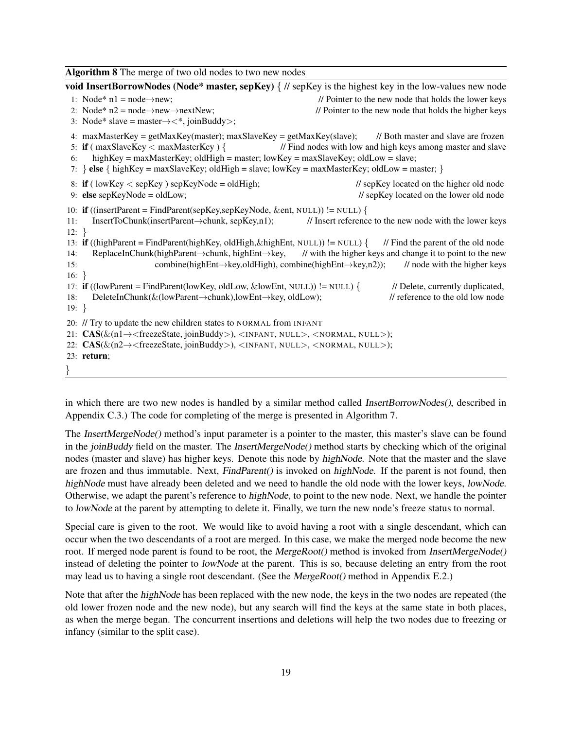| <b>Algorithm 8</b> The merge of two old nodes to two new nodes                                                                                                                                                                                                                                                                                                                                                                                                                    |                                                                                                                                                                                                                                                                                                                               |
|-----------------------------------------------------------------------------------------------------------------------------------------------------------------------------------------------------------------------------------------------------------------------------------------------------------------------------------------------------------------------------------------------------------------------------------------------------------------------------------|-------------------------------------------------------------------------------------------------------------------------------------------------------------------------------------------------------------------------------------------------------------------------------------------------------------------------------|
|                                                                                                                                                                                                                                                                                                                                                                                                                                                                                   | void InsertBorrowNodes (Node* master, sepKey) { // sepKey is the highest key in the low-values new node                                                                                                                                                                                                                       |
| 1: Node* $nl = node \rightarrow new;$<br>2: Node* $n2 = node \rightarrow new \rightarrow nextNew;$<br>3: Node* slave = master $\rightarrow$ <*, joinBuddy>;                                                                                                                                                                                                                                                                                                                       | // Pointer to the new node that holds the lower keys<br>// Pointer to the new node that holds the higher keys                                                                                                                                                                                                                 |
| 4: $maxMasterKey = getMaxKey(master); maxSlaveKey = getMaxKey(slave);$<br>5: if ( $maxSlaveKey < maxMasterKey$ ) {<br>6:                                                                                                                                                                                                                                                                                                                                                          | // Both master and slave are frozen<br>// Find nodes with low and high keys among master and slave<br>highKey = maxMasterKey; oldHigh = master; lowKey = maxSlaveKey; oldLow = slave;<br>7: } else { highKey = maxSlaveKey; oldHigh = slave; lowKey = maxMasterKey; oldLow = master; }                                        |
| 8: if (lowKey $\langle$ sepKey ) sepKeyNode = oldHigh;<br>9: else sepKeyNode = oldLow;                                                                                                                                                                                                                                                                                                                                                                                            | // sepKey located on the higher old node<br>// sepKey located on the lower old node                                                                                                                                                                                                                                           |
| 10: if ((insertParent = FindParent(sepKey,sepKeyNode, & ent, NULL)) != NULL) {<br>InsertToChunk(insertParent→chunk, sepKey,n1);<br>11:<br>$12: \}$<br>13: <b>if</b> ((highParent = FindParent(highKey, oldHigh, $\&$ highEnt, NULL)) != NULL) {<br>ReplaceInChunk(highParent→chunk, highEnt→key,<br>14:<br>15:<br>16: $\}$<br>17: <b>if</b> ((lowParent = FindParent(lowKey, oldLow, &lowEnt, NULL)) != NULL) {<br>DeleteInChunk(&(lowParent->chunk),lowEnt->key, oldLow);<br>18: | // Insert reference to the new node with the lower keys<br>// Find the parent of the old node<br>// with the higher keys and change it to point to the new<br>combine(highEnt→key,oldHigh), combine(highEnt→key,n2));<br>// node with the higher keys<br>// Delete, currently duplicated,<br>// reference to the old low node |
| 19: $\}$<br>20: // Try to update the new children states to NORMAL from INFANT<br>21: CAS(&(n1→ <freezestate, joinbuddy="">), <infant, null="">, <normal, null="">);<br/>22: CAS(&amp;(n2→<freezestate, joinbuddy="">), <infant, null="">, <normal, null="">);<br/>23: return;<br/>}</normal,></infant,></freezestate,></normal,></infant,></freezestate,>                                                                                                                        |                                                                                                                                                                                                                                                                                                                               |

in which there are two new nodes is handled by a similar method called InsertBorrowNodes(), described in Appendix C.3.) The code for completing of the merge is presented in Algorithm 7.

The InsertMergeNode() method's input parameter is a pointer to the master, this master's slave can be found in the joinBuddy field on the master. The *InsertMergeNode()* method starts by checking which of the original nodes (master and slave) has higher keys. Denote this node by highNode. Note that the master and the slave are frozen and thus immutable. Next, FindParent() is invoked on highNode. If the parent is not found, then highNode must have already been deleted and we need to handle the old node with the lower keys, lowNode. Otherwise, we adapt the parent's reference to highNode, to point to the new node. Next, we handle the pointer to lowNode at the parent by attempting to delete it. Finally, we turn the new node's freeze status to normal.

Special care is given to the root. We would like to avoid having a root with a single descendant, which can occur when the two descendants of a root are merged. In this case, we make the merged node become the new root. If merged node parent is found to be root, the MergeRoot() method is invoked from InsertMergeNode() instead of deleting the pointer to lowNode at the parent. This is so, because deleting an entry from the root may lead us to having a single root descendant. (See the MergeRoot() method in Appendix E.2.)

Note that after the highNode has been replaced with the new node, the keys in the two nodes are repeated (the old lower frozen node and the new node), but any search will find the keys at the same state in both places, as when the merge began. The concurrent insertions and deletions will help the two nodes due to freezing or infancy (similar to the split case).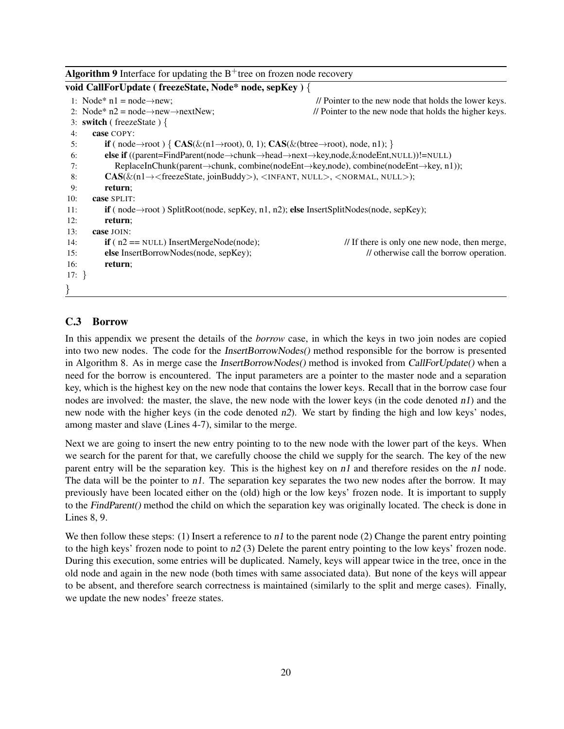| <b>Algorithm 9</b> Interface for updating the $B^+$ tree on frozen node recovery                                                   |                                                                                                                   |  |  |  |  |  |
|------------------------------------------------------------------------------------------------------------------------------------|-------------------------------------------------------------------------------------------------------------------|--|--|--|--|--|
| void CallForUpdate (freezeState, Node* node, sepKey) {                                                                             |                                                                                                                   |  |  |  |  |  |
| 1: Node* $n1 = node \rightarrow new$ ;                                                                                             | // Pointer to the new node that holds the lower keys.                                                             |  |  |  |  |  |
| 2: Node* $n2 = node \rightarrow new \rightarrow nextNew$ ;                                                                         | // Pointer to the new node that holds the higher keys.                                                            |  |  |  |  |  |
| 3: switch (freezeState) $\{$                                                                                                       |                                                                                                                   |  |  |  |  |  |
| 4:<br>case COPY:                                                                                                                   |                                                                                                                   |  |  |  |  |  |
| <b>if</b> (node→root) { $CAS(%n1→root), 0, 1)$ ; $CAS(%btree→root), node, n1)$ ; }<br>5:                                           |                                                                                                                   |  |  |  |  |  |
| 6:                                                                                                                                 | <b>else if</b> ((parent=FindParent(node→chunk→head→next→key,node, $\&$ nodeEnt, NULL))!=NULL)                     |  |  |  |  |  |
| ReplaceInChunk(parent $\rightarrow$ chunk, combine(nodeEnt $\rightarrow$ key,node), combine(nodeEnt $\rightarrow$ key, n1));<br>7: |                                                                                                                   |  |  |  |  |  |
| 8:                                                                                                                                 | $\text{CAS}(\& (n1 \rightarrow \text{~freezeState}, joinBuddy), \text{~number, NULL}> , \text{~knownAL, NULL}>);$ |  |  |  |  |  |
| 9:<br>return:                                                                                                                      |                                                                                                                   |  |  |  |  |  |
| 10:<br>case SPLIT:                                                                                                                 |                                                                                                                   |  |  |  |  |  |
| <b>if</b> (node $\rightarrow$ root) SplitRoot(node, sepKey, n1, n2); <b>else</b> InsertSplitNodes(node, sepKey);<br>11:            |                                                                                                                   |  |  |  |  |  |
| 12:<br>return;                                                                                                                     |                                                                                                                   |  |  |  |  |  |
| 13:<br>case JOIN:                                                                                                                  |                                                                                                                   |  |  |  |  |  |
| $if (n2 == NULL) InsertMergeNode(node);$<br>14:                                                                                    | // If there is only one new node, then merge,                                                                     |  |  |  |  |  |
| <b>else</b> InsertBorrowNodes(node, sepKey);<br>15:                                                                                | // otherwise call the borrow operation.                                                                           |  |  |  |  |  |
| 16:<br>return;                                                                                                                     |                                                                                                                   |  |  |  |  |  |
| 17: $\}$                                                                                                                           |                                                                                                                   |  |  |  |  |  |
| $\}$                                                                                                                               |                                                                                                                   |  |  |  |  |  |

#### C.3 Borrow

In this appendix we present the details of the *borrow* case, in which the keys in two join nodes are copied into two new nodes. The code for the InsertBorrowNodes() method responsible for the borrow is presented in Algorithm 8. As in merge case the InsertBorrowNodes() method is invoked from CallForUpdate() when a need for the borrow is encountered. The input parameters are a pointer to the master node and a separation key, which is the highest key on the new node that contains the lower keys. Recall that in the borrow case four nodes are involved: the master, the slave, the new node with the lower keys (in the code denoted n1) and the new node with the higher keys (in the code denoted n2). We start by finding the high and low keys' nodes, among master and slave (Lines 4-7), similar to the merge.

Next we are going to insert the new entry pointing to to the new node with the lower part of the keys. When we search for the parent for that, we carefully choose the child we supply for the search. The key of the new parent entry will be the separation key. This is the highest key on n1 and therefore resides on the n1 node. The data will be the pointer to n1. The separation key separates the two new nodes after the borrow. It may previously have been located either on the (old) high or the low keys' frozen node. It is important to supply to the FindParent() method the child on which the separation key was originally located. The check is done in Lines 8, 9.

We then follow these steps: (1) Insert a reference to  $n_1$  to the parent node (2) Change the parent entry pointing to the high keys' frozen node to point to n2 (3) Delete the parent entry pointing to the low keys' frozen node. During this execution, some entries will be duplicated. Namely, keys will appear twice in the tree, once in the old node and again in the new node (both times with same associated data). But none of the keys will appear to be absent, and therefore search correctness is maintained (similarly to the split and merge cases). Finally, we update the new nodes' freeze states.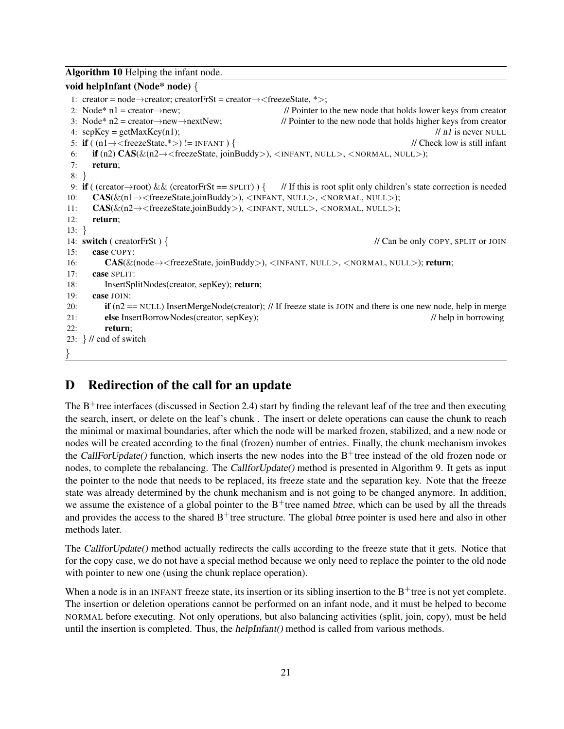Algorithm 10 Helping the infant node.

```
void helpInfant (Node* node) {
 1: creator = node→creator; creatorFrSt = creator→ <freezeState, *>;
2: Node* n1 = \text{creation} \rightarrow \text{new}; // Pointer to the new node that holds lower keys from creator
3: Node* n2 = creator→new→nextNew; // Pointer to the new node that holds higher keys from creator
4: \text{sepKey} = \text{getMaxKey}(n1); // n1 is never NULL
5: if ((n1 \rightarrow \text{6} + \text{6} + \text{6} + \text{7})) != INFANT ) { // Check low is still infant
6: if (n2) \text{CAS}(\& (n2) \rightarrow \text{StreezState}, \text{joinBuddy}), <INFANT, NULL>, <NORMAL, NULL>);
7: return;
8: }
9: if ( (creator \rightarrow root) && (creatorFrSt == SPLIT) ) { // If this is root split only children's state correction is needed
10: CAS(&(n1→<freezeState,joinBuddy>), <INFANT, NULL>, <NORMAL, NULL>);
11: CAS(&(n2→<freezeState,joinBuddy>), <INFANT, NULL>, <NORMAL, NULL>);
12: return;
13: }
14: switch ( creatorFrSt ) { \angle // Can be only COPY, SPLIT or JOIN
15: case COPY:
16: CAS(&(node→<freezeState, joinBuddy>), <INFANT, NULL>, <NORMAL, NULL>); return;
17: case SPLIT:
18: InsertSplitNodes(creator, sepKey); return;
19: case JOIN:
20: if (n2 == NULL) InsertMergeNode(creator); // If freeze state is JOIN and there is one new node, help in merge
21: else InsertBorrowNodes(creator, sepKey); // help in borrowing
22: return;
23: } // end of switch
}
```
# D Redirection of the call for an update

The  $B^+$ tree interfaces (discussed in Section 2.4) start by finding the relevant leaf of the tree and then executing the search, insert, or delete on the leaf's chunk . The insert or delete operations can cause the chunk to reach the minimal or maximal boundaries, after which the node will be marked frozen, stabilized, and a new node or nodes will be created according to the final (frozen) number of entries. Finally, the chunk mechanism invokes the CallForUpdate() function, which inserts the new nodes into the  $B<sup>+</sup>$ tree instead of the old frozen node or nodes, to complete the rebalancing. The CallforUpdate() method is presented in Algorithm 9. It gets as input the pointer to the node that needs to be replaced, its freeze state and the separation key. Note that the freeze state was already determined by the chunk mechanism and is not going to be changed anymore. In addition, we assume the existence of a global pointer to the  $B<sup>+</sup>$ tree named btree, which can be used by all the threads and provides the access to the shared  $B<sup>+</sup>$ tree structure. The global btree pointer is used here and also in other methods later.

The CallforUpdate() method actually redirects the calls according to the freeze state that it gets. Notice that for the copy case, we do not have a special method because we only need to replace the pointer to the old node with pointer to new one (using the chunk replace operation).

When a node is in an INFANT freeze state, its insertion or its sibling insertion to the  $B<sup>+</sup>$ tree is not yet complete. The insertion or deletion operations cannot be performed on an infant node, and it must be helped to become NORMAL before executing. Not only operations, but also balancing activities (split, join, copy), must be held until the insertion is completed. Thus, the *helpInfant()* method is called from various methods.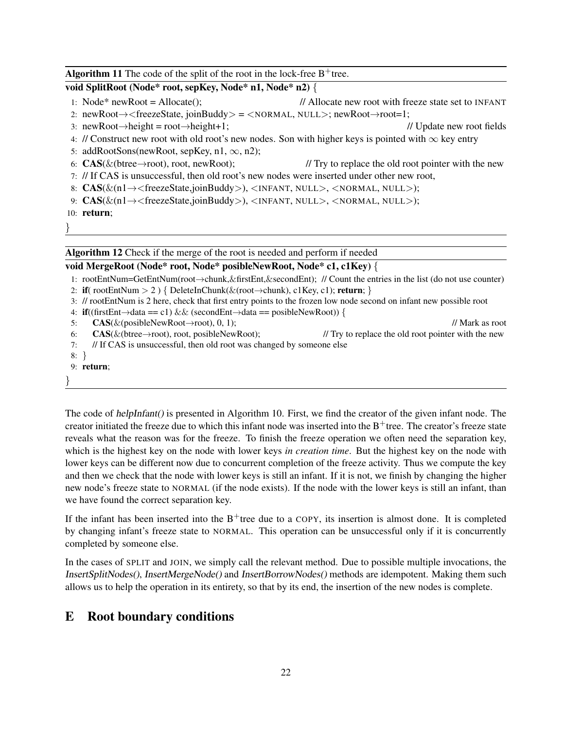|   |  | <b>Algorithm 11</b> The code of the split of the root in the lock-free $B^+$ tree. |  |
|---|--|------------------------------------------------------------------------------------|--|
| . |  |                                                                                    |  |

# void SplitRoot (Node\* root, sepKey, Node\* n1, Node\* n2) {

- 1: Node\* newRoot = Allocate(); // Allocate new root with freeze state set to INFANT 2: newRoot $\rightarrow$ <freezeState, joinBuddy> = <NORMAL, NULL>; newRoot $\rightarrow$ root=1;
- 3:  $newRoot \rightarrow height = root \rightarrow height +1$ ; // Update new root fields
- 4: // Construct new root with old root's new nodes. Son with higher keys is pointed with  $\infty$  key entry
- 5: addRootSons(newRoot, sepKey, n1,  $\infty$ , n2);
- 6:  $\text{CAS}(\&\text{ (three—root)},\text{ root},\text{ newRoot});$  // Try to replace the old root pointer with the new 7: // If CAS is unsuccessful, then old root's new nodes were inserted under other new root,
- 8:  $\text{CAS}(\& (n1 \rightarrow \text{~freezeState}, \text{joinBuddy})), \text{~number, NULL}>, \text{~lower, NULL}$
- 9: CAS(&(n1→<freezeState,joinBuddy>), <INFANT, NULL>, <NORMAL, NULL>);

10: return;

}

Algorithm 12 Check if the merge of the root is needed and perform if needed

#### void MergeRoot (Node\* root, Node\* posibleNewRoot, Node\* c1, c1Key) {

- 1: rootEntNum=GetEntNum(root→chunk,&firstEnt,&secondEnt); // Count the entries in the list (do not use counter)
- 2: if( rootEntNum > 2 ) { DeleteInChunk( $\&$ (root $\rightarrow$ chunk), c1Key, c1); return; }
- 3: // rootEntNum is 2 here, check that first entry points to the frozen low node second on infant new possible root
- 4:  $\textbf{if}((\text{firstEnt} \rightarrow \text{data} == c1) \& \& (\text{secondEnt} \rightarrow \text{data} == \text{possibleNewRoot}))$
- 5:  $\text{CAS}(\&text{ (positive Root)} \text{root}), 0, 1);$  // Mark as root
- 6:  $\text{CAS}(\&\text{(btree}\rightarrow\text{root}),\text{root},\text{positive})$ ; // Try to replace the old root pointer with the new
- 7: // If CAS is unsuccessful, then old root was changed by someone else
- 8: }
- 9: return;
- }

The code of helpInfant() is presented in Algorithm 10. First, we find the creator of the given infant node. The creator initiated the freeze due to which this infant node was inserted into the  $B^+$ tree. The creator's freeze state reveals what the reason was for the freeze. To finish the freeze operation we often need the separation key, which is the highest key on the node with lower keys *in creation time*. But the highest key on the node with lower keys can be different now due to concurrent completion of the freeze activity. Thus we compute the key and then we check that the node with lower keys is still an infant. If it is not, we finish by changing the higher new node's freeze state to NORMAL (if the node exists). If the node with the lower keys is still an infant, than we have found the correct separation key.

If the infant has been inserted into the  $B<sup>+</sup>$ tree due to a COPY, its insertion is almost done. It is completed by changing infant's freeze state to NORMAL. This operation can be unsuccessful only if it is concurrently completed by someone else.

In the cases of SPLIT and JOIN, we simply call the relevant method. Due to possible multiple invocations, the InsertSplitNodes(), InsertMergeNode() and InsertBorrowNodes() methods are idempotent. Making them such allows us to help the operation in its entirety, so that by its end, the insertion of the new nodes is complete.

# E Root boundary conditions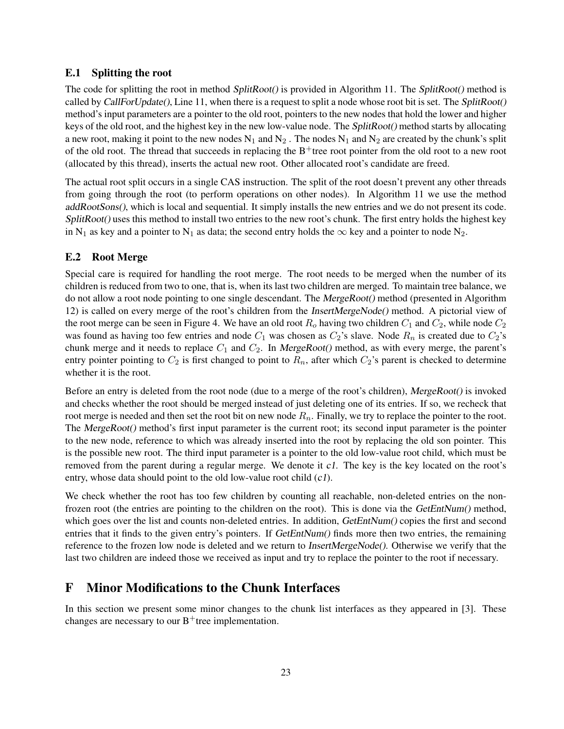#### E.1 Splitting the root

The code for splitting the root in method SplitRoot() is provided in Algorithm 11. The SplitRoot() method is called by  $CallForUpdate()$ , Line 11, when there is a request to split a node whose root bit is set. The SplitRoot $()$ method's input parameters are a pointer to the old root, pointers to the new nodes that hold the lower and higher keys of the old root, and the highest key in the new low-value node. The SplitRoot() method starts by allocating a new root, making it point to the new nodes  $N_1$  and  $N_2$ . The nodes  $N_1$  and  $N_2$  are created by the chunk's split of the old root. The thread that succeeds in replacing the  $B<sup>+</sup>$ tree root pointer from the old root to a new root (allocated by this thread), inserts the actual new root. Other allocated root's candidate are freed.

The actual root split occurs in a single CAS instruction. The split of the root doesn't prevent any other threads from going through the root (to perform operations on other nodes). In Algorithm 11 we use the method addRootSons(), which is local and sequential. It simply installs the new entries and we do not present its code. SplitRoot() uses this method to install two entries to the new root's chunk. The first entry holds the highest key in N<sub>1</sub> as key and a pointer to N<sub>1</sub> as data; the second entry holds the  $\infty$  key and a pointer to node N<sub>2</sub>.

### E.2 Root Merge

Special care is required for handling the root merge. The root needs to be merged when the number of its children is reduced from two to one, that is, when its last two children are merged. To maintain tree balance, we do not allow a root node pointing to one single descendant. The MergeRoot() method (presented in Algorithm 12) is called on every merge of the root's children from the InsertMergeNode() method. A pictorial view of the root merge can be seen in Figure 4. We have an old root  $R_o$  having two children  $C_1$  and  $C_2$ , while node  $C_2$ was found as having too few entries and node  $C_1$  was chosen as  $C_2$ 's slave. Node  $R_n$  is created due to  $C_2$ 's chunk merge and it needs to replace  $C_1$  and  $C_2$ . In MergeRoot() method, as with every merge, the parent's entry pointer pointing to  $C_2$  is first changed to point to  $R_n$ , after which  $C_2$ 's parent is checked to determine whether it is the root.

Before an entry is deleted from the root node (due to a merge of the root's children), MergeRoot() is invoked and checks whether the root should be merged instead of just deleting one of its entries. If so, we recheck that root merge is needed and then set the root bit on new node  $R_n$ . Finally, we try to replace the pointer to the root. The MergeRoot() method's first input parameter is the current root; its second input parameter is the pointer to the new node, reference to which was already inserted into the root by replacing the old son pointer. This is the possible new root. The third input parameter is a pointer to the old low-value root child, which must be removed from the parent during a regular merge. We denote it c1. The key is the key located on the root's entry, whose data should point to the old low-value root child  $(c1)$ .

We check whether the root has too few children by counting all reachable, non-deleted entries on the nonfrozen root (the entries are pointing to the children on the root). This is done via the GetEntNum() method, which goes over the list and counts non-deleted entries. In addition, GetEntNum() copies the first and second entries that it finds to the given entry's pointers. If GetEntNum() finds more then two entries, the remaining reference to the frozen low node is deleted and we return to InsertMergeNode(). Otherwise we verify that the last two children are indeed those we received as input and try to replace the pointer to the root if necessary.

# F Minor Modifications to the Chunk Interfaces

In this section we present some minor changes to the chunk list interfaces as they appeared in [3]. These changes are necessary to our  $B^+$  tree implementation.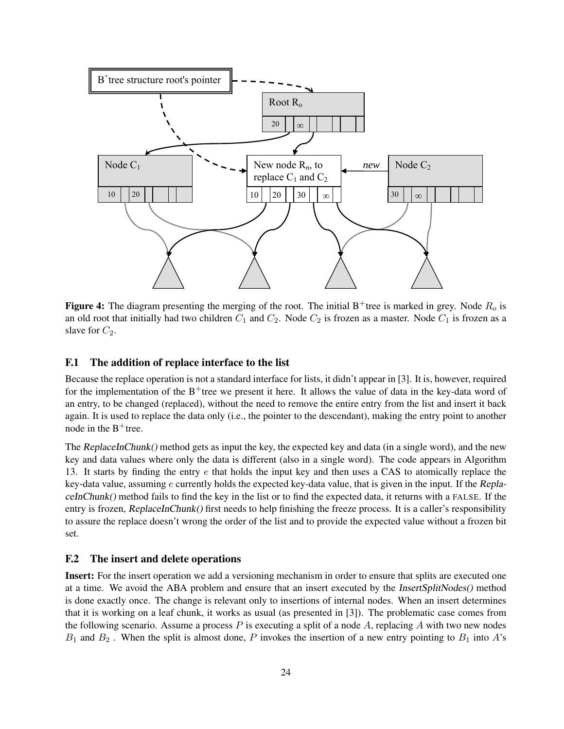

**Figure 4:** The diagram presenting the merging of the root. The initial  $B^{+}$ tree is marked in grey. Node  $R_{o}$  is an old root that initially had two children  $C_1$  and  $C_2$ . Node  $C_2$  is frozen as a master. Node  $C_1$  is frozen as a slave for  $C_2$ .

#### F.1 The addition of replace interface to the list

Because the replace operation is not a standard interface for lists, it didn't appear in [3]. It is, however, required for the implementation of the  $B^+$ tree we present it here. It allows the value of data in the key-data word of an entry, to be changed (replaced), without the need to remove the entire entry from the list and insert it back again. It is used to replace the data only (i.e., the pointer to the descendant), making the entry point to another node in the  $B^+$ tree.

The ReplaceInChunk() method gets as input the key, the expected key and data (in a single word), and the new key and data values where only the data is different (also in a single word). The code appears in Algorithm 13. It starts by finding the entry e that holds the input key and then uses a CAS to atomically replace the key-data value, assuming e currently holds the expected key-data value, that is given in the input. If the ReplaceInChunk() method fails to find the key in the list or to find the expected data, it returns with a FALSE. If the entry is frozen, ReplaceInChunk() first needs to help finishing the freeze process. It is a caller's responsibility to assure the replace doesn't wrong the order of the list and to provide the expected value without a frozen bit set.

#### F.2 The insert and delete operations

Insert: For the insert operation we add a versioning mechanism in order to ensure that splits are executed one at a time. We avoid the ABA problem and ensure that an insert executed by the InsertSplitNodes() method is done exactly once. The change is relevant only to insertions of internal nodes. When an insert determines that it is working on a leaf chunk, it works as usual (as presented in [3]). The problematic case comes from the following scenario. Assume a process  $P$  is executing a split of a node  $A$ , replacing  $A$  with two new nodes  $B_1$  and  $B_2$ . When the split is almost done, P invokes the insertion of a new entry pointing to  $B_1$  into A's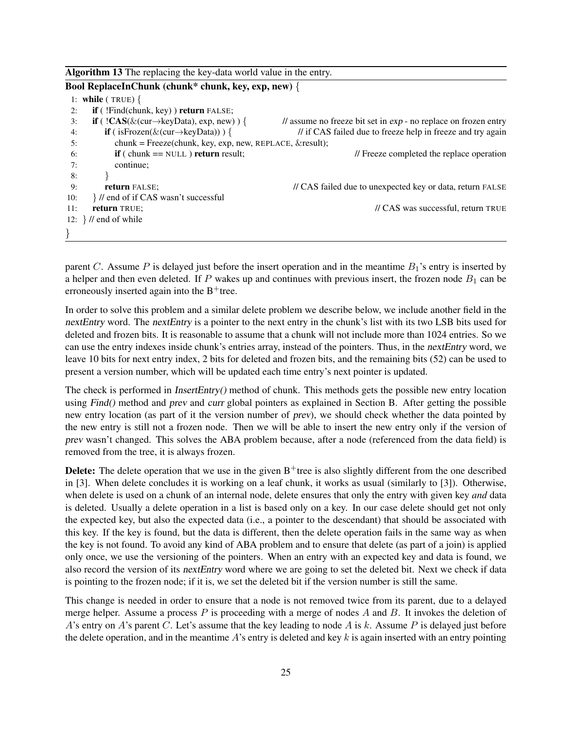| Algorithm 13 The replacing the key-data world value in the entry.   |                                                                            |
|---------------------------------------------------------------------|----------------------------------------------------------------------------|
| <b>Bool ReplaceInChunk (chunk* chunk, key, exp, new)</b> {          |                                                                            |
| 1: while ( $TRUE$ ) {                                               |                                                                            |
| $if$ (!Find(chunk, key)) return FALSE;<br>2:                        |                                                                            |
| <b>if</b> ( $!CAS(\&(cur \rightarrow keyData), exp, new)$ ) {<br>3: | $\frac{1}{2}$ assume no freeze bit set in exp - no replace on frozen entry |
| <b>if</b> ( $isFrozen(\&(cur\rightarrow keyData))$ ) {<br>4:        | // if CAS failed due to freeze help in freeze and try again                |
| $chunk = Freeze(chunk, key, exp, new, REPLACE, & result);$<br>5:    |                                                                            |
| $if$ (chunk == NULL) return result;<br>6:                           | // Freeze completed the replace operation                                  |
| continue;<br>7:                                                     |                                                                            |
| 8:                                                                  |                                                                            |
| 9:<br>return FALSE;                                                 | // CAS failed due to unexpected key or data, return FALSE                  |
| // end of if CAS wasn't successful<br>10:                           |                                                                            |
| 11:<br>return TRUE;                                                 | // CAS was successful, return TRUE                                         |
| 12: $\frac{1}{2}$ // end of while                                   |                                                                            |
| $\}$                                                                |                                                                            |
|                                                                     |                                                                            |

parent C. Assume P is delayed just before the insert operation and in the meantime  $B_1$ 's entry is inserted by a helper and then even deleted. If P wakes up and continues with previous insert, the frozen node  $B_1$  can be erroneously inserted again into the  $B^{+}$ tree.

In order to solve this problem and a similar delete problem we describe below, we include another field in the nextEntry word. The nextEntry is a pointer to the next entry in the chunk's list with its two LSB bits used for deleted and frozen bits. It is reasonable to assume that a chunk will not include more than 1024 entries. So we can use the entry indexes inside chunk's entries array, instead of the pointers. Thus, in the nextEntry word, we leave 10 bits for next entry index, 2 bits for deleted and frozen bits, and the remaining bits (52) can be used to present a version number, which will be updated each time entry's next pointer is updated.

The check is performed in InsertEntry() method of chunk. This methods gets the possible new entry location using Find() method and prev and curr global pointers as explained in Section B. After getting the possible new entry location (as part of it the version number of prev), we should check whether the data pointed by the new entry is still not a frozen node. Then we will be able to insert the new entry only if the version of prev wasn't changed. This solves the ABA problem because, after a node (referenced from the data field) is removed from the tree, it is always frozen.

**Delete:** The delete operation that we use in the given  $B^+$ tree is also slightly different from the one described in [3]. When delete concludes it is working on a leaf chunk, it works as usual (similarly to [3]). Otherwise, when delete is used on a chunk of an internal node, delete ensures that only the entry with given key *and* data is deleted. Usually a delete operation in a list is based only on a key. In our case delete should get not only the expected key, but also the expected data (i.e., a pointer to the descendant) that should be associated with this key. If the key is found, but the data is different, then the delete operation fails in the same way as when the key is not found. To avoid any kind of ABA problem and to ensure that delete (as part of a join) is applied only once, we use the versioning of the pointers. When an entry with an expected key and data is found, we also record the version of its nextEntry word where we are going to set the deleted bit. Next we check if data is pointing to the frozen node; if it is, we set the deleted bit if the version number is still the same.

This change is needed in order to ensure that a node is not removed twice from its parent, due to a delayed merge helper. Assume a process  $P$  is proceeding with a merge of nodes  $A$  and  $B$ . It invokes the deletion of A's entry on A's parent C. Let's assume that the key leading to node A is k. Assume P is delayed just before the delete operation, and in the meantime  $A$ 's entry is deleted and key  $k$  is again inserted with an entry pointing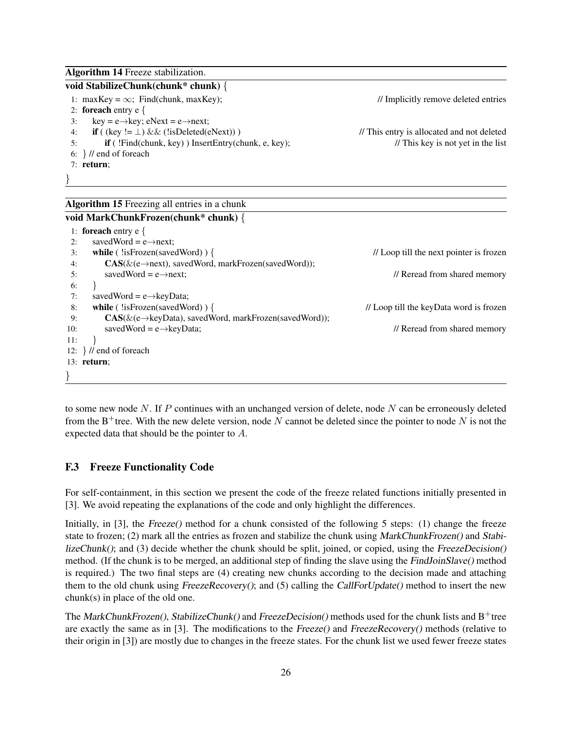Algorithm 14 Freeze stabilization.

| void StabilizeChunk(chunk* chunk) {                              |                                            |
|------------------------------------------------------------------|--------------------------------------------|
| 1: maxKey = $\infty$ ; Find(chunk, maxKey);                      | // Implicitly remove deleted entries       |
| 2: <b>foreach</b> entry e $\{$                                   |                                            |
| $key = e \rightarrow key$ ; $eNext = e \rightarrow next$ ;<br>3: |                                            |
| <b>if</b> ((key != $\perp$ ) & & (!isDeleted(eNext)))<br>4:      | // This entry is allocated and not deleted |
| $if$ (!Find(chunk, key)) InsertEntry(chunk, e, key);<br>5:       | // This key is not yet in the list         |
| 6: $\frac{1}{2}$ // end of foreach                               |                                            |
| $7:$ return;                                                     |                                            |
|                                                                  |                                            |
|                                                                  |                                            |

|     | <b>Algorithm 15</b> Freezing all entries in a chunk                                       |                                         |
|-----|-------------------------------------------------------------------------------------------|-----------------------------------------|
|     | void MarkChunkFrozen(chunk* chunk) {                                                      |                                         |
|     | 1: <b>foreach</b> entry $e \{$                                                            |                                         |
| 2:  | savedWord = $e \rightarrow$ next;                                                         |                                         |
| 3:  | while (!isFrozen(savedWord)) $\{$                                                         | // Loop till the next pointer is frozen |
| 4:  | $\mathbf{CAS}(\& (e \rightarrow next), savedWord, markFrozen(savedWord));$                |                                         |
| 5:  | savedWord = $e \rightarrow$ next:                                                         | // Reread from shared memory            |
| 6:  |                                                                                           |                                         |
| 7:  | savedWord = $e \rightarrow \text{keyData}$ ;                                              |                                         |
| 8:  | while (!isFrozen(savedWord)) $\{$                                                         | // Loop till the keyData word is frozen |
| 9:  | $\mathbf{CAS}(\&\text{(e}\rightarrow\text{keyData})$ , savedWord, markFrozen(savedWord)); |                                         |
| 10: | savedWord = $e \rightarrow kevData$ ;                                                     | // Reread from shared memory            |
| 11: |                                                                                           |                                         |
|     | 12: $\frac{1}{2}$ // end of foreach                                                       |                                         |
|     | $13:$ return;                                                                             |                                         |
|     |                                                                                           |                                         |

to some new node  $N$ . If  $P$  continues with an unchanged version of delete, node  $N$  can be erroneously deleted from the B<sup>+</sup>tree. With the new delete version, node N cannot be deleted since the pointer to node N is not the expected data that should be the pointer to A.

#### F.3 Freeze Functionality Code

For self-containment, in this section we present the code of the freeze related functions initially presented in [3]. We avoid repeating the explanations of the code and only highlight the differences.

Initially, in [3], the Freeze() method for a chunk consisted of the following 5 steps: (1) change the freeze state to frozen; (2) mark all the entries as frozen and stabilize the chunk using MarkChunkFrozen() and StabilizeChunk(); and (3) decide whether the chunk should be split, joined, or copied, using the FreezeDecision() method. (If the chunk is to be merged, an additional step of finding the slave using the FindJoinSlave() method is required.) The two final steps are (4) creating new chunks according to the decision made and attaching them to the old chunk using FreezeRecovery(); and (5) calling the CallForUpdate() method to insert the new chunk(s) in place of the old one.

The MarkChunkFrozen(), StabilizeChunk() and FreezeDecision() methods used for the chunk lists and  $B^+$ tree are exactly the same as in [3]. The modifications to the Freeze() and FreezeRecovery() methods (relative to their origin in [3]) are mostly due to changes in the freeze states. For the chunk list we used fewer freeze states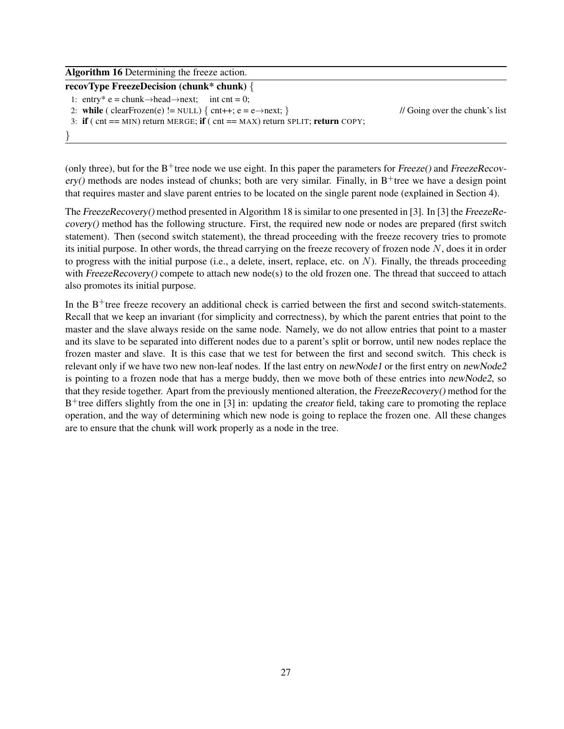| <b>Algorithm 16</b> Determining the freeze action.                                                                                                                                                                                  |                                |  |  |
|-------------------------------------------------------------------------------------------------------------------------------------------------------------------------------------------------------------------------------------|--------------------------------|--|--|
| recovType FreezeDecision (chunk* chunk) $\{$                                                                                                                                                                                        |                                |  |  |
| 1: entry* e = chunk $\rightarrow$ head $\rightarrow$ next; int cnt = 0;<br>2: while ( clearFrozen(e) != NULL) { cnt++; $e = e \rightarrow$ next; }<br>3: if ( cnt == MIN) return MERGE; if ( cnt == MAX) return SPLIT; return COPY; | // Going over the chunk's list |  |  |
|                                                                                                                                                                                                                                     |                                |  |  |

(only three), but for the  $B<sup>+</sup>$ tree node we use eight. In this paper the parameters for Freeze() and FreezeRecov- $\text{ery}(\ell)$  methods are nodes instead of chunks; both are very similar. Finally, in B<sup>+</sup>tree we have a design point that requires master and slave parent entries to be located on the single parent node (explained in Section 4).

The FreezeRecovery() method presented in Algorithm 18 is similar to one presented in [3]. In [3] the FreezeRecovery() method has the following structure. First, the required new node or nodes are prepared (first switch statement). Then (second switch statement), the thread proceeding with the freeze recovery tries to promote its initial purpose. In other words, the thread carrying on the freeze recovery of frozen node  $N$ , does it in order to progress with the initial purpose (i.e., a delete, insert, replace, etc. on  $N$ ). Finally, the threads proceeding with FreezeRecovery() compete to attach new node(s) to the old frozen one. The thread that succeed to attach also promotes its initial purpose.

In the  $B^+$ tree freeze recovery an additional check is carried between the first and second switch-statements. Recall that we keep an invariant (for simplicity and correctness), by which the parent entries that point to the master and the slave always reside on the same node. Namely, we do not allow entries that point to a master and its slave to be separated into different nodes due to a parent's split or borrow, until new nodes replace the frozen master and slave. It is this case that we test for between the first and second switch. This check is relevant only if we have two new non-leaf nodes. If the last entry on newNode1 or the first entry on newNode2 is pointing to a frozen node that has a merge buddy, then we move both of these entries into newNode2, so that they reside together. Apart from the previously mentioned alteration, the FreezeRecovery() method for the  $B<sup>+</sup>$ tree differs slightly from the one in [3] in: updating the *creator* field, taking care to promoting the replace operation, and the way of determining which new node is going to replace the frozen one. All these changes are to ensure that the chunk will work properly as a node in the tree.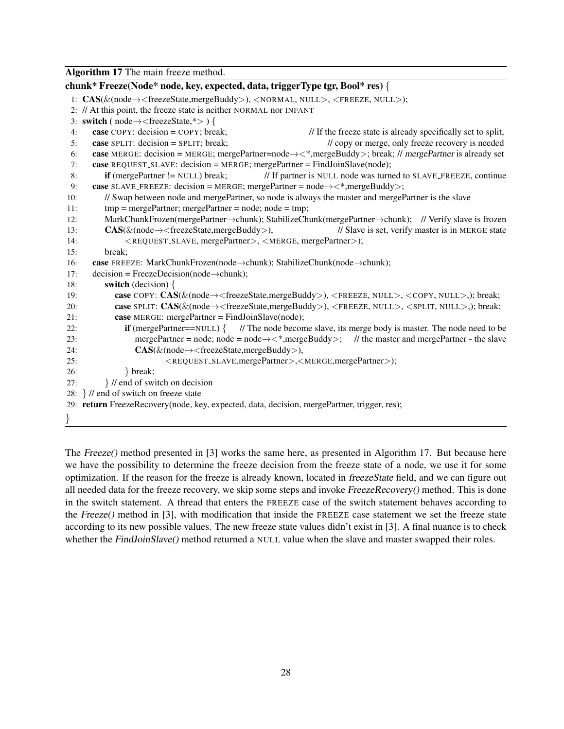Algorithm 17 The main freeze method.

|     | chunk* Freeze(Node* node, key, expected, data, triggerType tgr, Bool* res) {                                                                |  |  |
|-----|---------------------------------------------------------------------------------------------------------------------------------------------|--|--|
|     |                                                                                                                                             |  |  |
|     | 1: CAS(&(node→ <freezestate,mergebuddy>), <normal, null="">, <freeze, null="">);</freeze,></normal,></freezestate,mergebuddy>               |  |  |
|     | 2: // At this point, the freeze state is neither NORMAL nor INFANT<br>3: switch (node $\rightarrow$ < freezeState,* > ) {                   |  |  |
| 4:  | case COPY: $decision = COPY$ ; break;<br>// If the freeze state is already specifically set to split,                                       |  |  |
| 5:  | case SPLIT: $decision = SPIIT$ ; break;<br>// copy or merge, only freeze recovery is needed                                                 |  |  |
| 6:  | case MERGE: decision = MERGE; mergePartner=node $\rightarrow$ <*,mergeBuddy>; break; // mergePartner is already set                         |  |  |
| 7:  | case REQUEST_SLAVE: $decision = MERGE$ ; mergePartner = FindJoinSlave(node);                                                                |  |  |
| 8:  | $if$ (mergePartner != NULL) break;<br>// If partner is NULL node was turned to SLAVE_FREEZE, continue                                       |  |  |
| 9:  | case SLAVE_FREEZE: decision = MERGE; mergePartner = $node \rightarrow \lt^*$ , mergeBuddy>;                                                 |  |  |
| 10: | // Swap between node and mergePartner, so node is always the master and mergePartner is the slave                                           |  |  |
| 11: | $tmp = mergePartner; mergePartner = node; node = tmp;$                                                                                      |  |  |
| 12: | MarkChunkFrozen(mergePartner->chunk); StabilizeChunk(mergePartner->chunk); // Verify slave is frozen                                        |  |  |
| 13: | CAS(&(node→ <freezestate,mergebuddy>),<br/>// Slave is set, verify master is in MERGE state</freezestate,mergebuddy>                        |  |  |
| 14: | <request_slave, mergepartner="">, <merge, mergepartner="">);</merge,></request_slave,>                                                      |  |  |
| 15: | break;                                                                                                                                      |  |  |
| 16: | <b>case</b> FREEZE: MarkChunkFrozen(node $\rightarrow$ chunk); StabilizeChunk(node $\rightarrow$ chunk);                                    |  |  |
| 17: | $decision = FreezeDecision(node \rightarrow chunk);$                                                                                        |  |  |
| 18: | switch (decision) $\{$                                                                                                                      |  |  |
| 19: |                                                                                                                                             |  |  |
| 20: | case SPLIT: CAS(&(node→ <freezestate,mergebuddy>), <freeze, null="">, <split, null="">); break;</split,></freeze,></freezestate,mergebuddy> |  |  |
| 21: | case MERGE: mergePartner = FindJoinSlave(node);                                                                                             |  |  |
| 22: | <b>if</b> (mergePartner==NULL) $\{$ // The node become slave, its merge body is master. The node need to be                                 |  |  |
| 23: | mergePartner = node; node = node $\rightarrow$ <*, mergeBuddy>; // the master and mergePartner - the slave                                  |  |  |
| 24: | $\text{CAS}(\& \text{(node}\rightarrow \text{~freezeState}, \text{mergeBuddy}>,$                                                            |  |  |
| 25: | <request_slave, mergepartner="">, <merge, mergepartner="">);</merge,></request_slave,>                                                      |  |  |
| 26: | } break;                                                                                                                                    |  |  |
| 27: | } // end of switch on decision                                                                                                              |  |  |
|     | 28: } // end of switch on freeze state                                                                                                      |  |  |
|     | 29: return FreezeRecovery(node, key, expected, data, decision, mergePartner, trigger, res);                                                 |  |  |
| }   |                                                                                                                                             |  |  |
|     |                                                                                                                                             |  |  |

The Freeze() method presented in [3] works the same here, as presented in Algorithm 17. But because here we have the possibility to determine the freeze decision from the freeze state of a node, we use it for some optimization. If the reason for the freeze is already known, located in freezeState field, and we can figure out all needed data for the freeze recovery, we skip some steps and invoke FreezeRecovery() method. This is done in the switch statement. A thread that enters the FREEZE case of the switch statement behaves according to the Freeze() method in [3], with modification that inside the FREEZE case statement we set the freeze state according to its new possible values. The new freeze state values didn't exist in [3]. A final nuance is to check whether the FindJoinSlave() method returned a NULL value when the slave and master swapped their roles.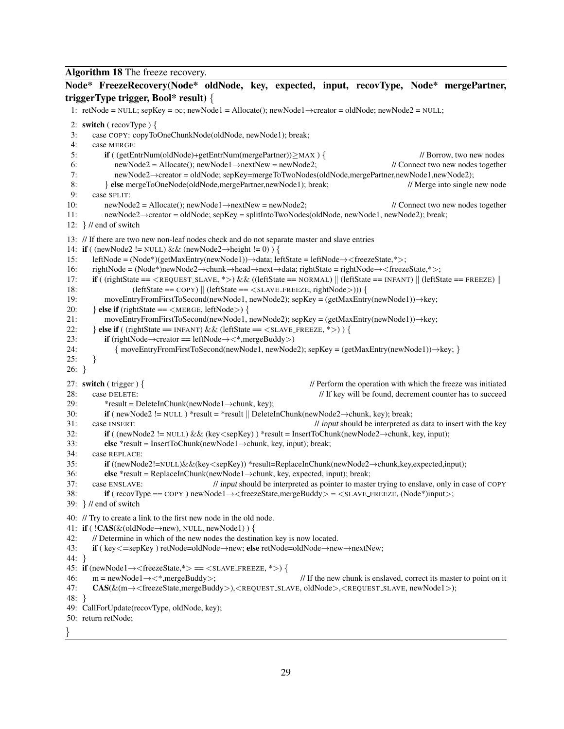Algorithm 18 The freeze recovery. Node\* FreezeRecovery(Node\* oldNode, key, expected, input, recovType, Node\* mergePartner, triggerType trigger, Bool\* result) { 1: retNode = NULL; sepKey = ∞; newNode1 = Allocate(); newNode1→creator = oldNode; newNode2 = NULL; 2: switch ( recovType ) { 3: case COPY: copyToOneChunkNode(oldNode, newNode1); break; 4: case MERGE: 5: **if** ( (getEntrNum(oldNode)+getEntrNum(mergePartner))≥MAX ) { // Borrow, two new nodes 6: newNode2 = Allocate(); newNode1 $\rightarrow$ nextNew = newNode2; // Connect two new nodes together 7: newNode2→creator = oldNode; sepKey=mergeToTwoNodes(oldNode,mergePartner,newNode1,newNode2); 8: } else mergeToOneNode(oldNode,mergePartner,newNode1); break; // Merge into single new node 9: case SPLIT: 10: newNode2 = Allocate(); newNode1→nextNew = newNode2; // Connect two new nodes together 11: newNode2→creator = oldNode; sepKey = splitIntoTwoNodes(oldNode, newNode1, newNode2); break; 12: } // end of switch 13: // If there are two new non-leaf nodes check and do not separate master and slave entries 14: **if** ( (newNode2 != NULL) & & (newNode2 $\rightarrow$ height != 0) ) { 15: leftNode = (Node\*)(getMaxEntry(newNode1))→data; leftState = leftNode→<freezeState,\*>; 16: rightNode = (Node\*)newNode2→chunk→head→next→data; rightState = rightNode→<freezeState,\*>; 17: if ( (rightState ==  $\langle REQUEST\_SLAVE, * \rangle$ ) && ((leftState == NORMAL) || (leftState == INFANT) || (leftState == FREEZE) || 18: (leftState == COPY) || (leftState ==  $\langle$  SLAVE\_FREEZE, rightNode>))) { 19: moveEntryFromFirstToSecond(newNode1, newNode2); sepKey = (getMaxEntry(newNode1))→key; 20: **} else if** (rightState ==  $\langle$ MERGE, leftNode>) { 21: moveEntryFromFirstToSecond(newNode1, newNode2); sepKey = (getMaxEntry(newNode1))→key; 22: **} else if** ( (rightState == INFANT)  $\&&$  (leftState ==  $\langle$  SLAVE\_FREEZE, \*>) ) { 23: if (rightNode→creator == leftNode→ $\lt^*$ ,mergeBuddy>) 24: { moveEntryFromFirstToSecond(newNode1, newNode2); sepKey = (getMaxEntry(newNode1))→key; }  $25:$  } 26: } 27: **switch** ( trigger ) { // Perform the operation with which the freeze was initiated 28: case DELETE: // If key will be found, decrement counter has to succeed 29:  $*$ result = DeleteInChunk(newNode1 $\rightarrow$ chunk, key); 30: if ( newNode2 != NULL ) \*result = \*result || DeleteInChunk(newNode2 $\rightarrow$ chunk, key); break; 31: case INSERT: // input should be interpreted as data to insert with the key 32: if ( (newNode2 != NULL) && (key<sepKey) ) \*result = InsertToChunk(newNode2→chunk, key, input); 33: else \*result = InsertToChunk(newNode1→chunk, key, input); break; 34: case REPLACE: 35: if ((newNode2!=NULL)&&(key<sepKey)) \*result=ReplaceInChunk(newNode2→chunk,key,expected,input); 36: else \*result = ReplaceInChunk(newNode1 $\rightarrow$ chunk, key, expected, input); break; 37: case ENSLAVE: // input should be interpreted as pointer to master trying to enslave, only in case of COPY 38: if ( recovType == COPY ) newNode1→<freezeState,mergeBuddy> = <SLAVE FREEZE, (Node\*)input>; 39: } // end of switch 40: // Try to create a link to the first new node in the old node. 41: **if** ( $!CAS(\&(oldNode \rightarrow new), NULL, newNode1)$ ) { 42: // Determine in which of the new nodes the destination key is now located. 43: if ( key<=sepKey ) retNode=oldNode→new; else retNode=oldNode→new→nextNew; 44: } 45: if (newNode1 $\rightarrow$  <freezeState,\*> == <SLAVE\_FREEZE, \*>) { 46: m = newNode1 $\rightarrow$  <\*,mergeBuddy>; // If the new chunk is enslaved, correct its master to point on it 47: CAS(&(m→<freezeState,mergeBuddy>),<REQUEST SLAVE, oldNode>,<REQUEST SLAVE, newNode1>); 48: } 49: CallForUpdate(recovType, oldNode, key); 50: return retNode; }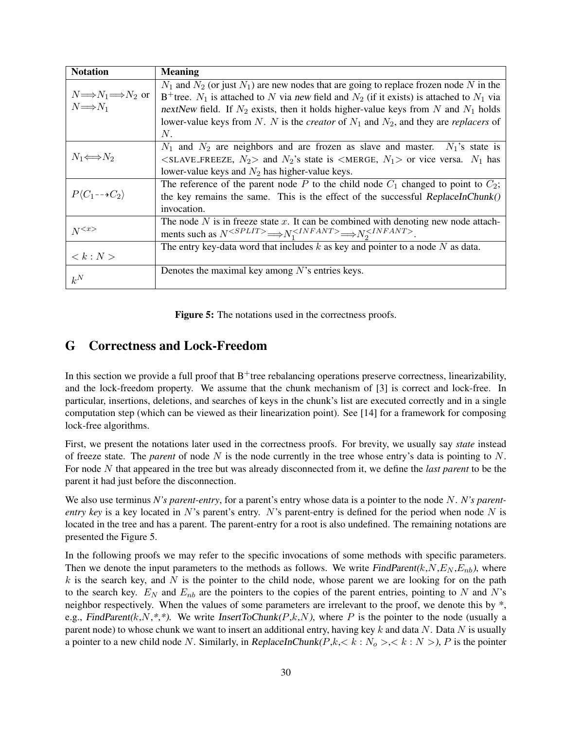| <b>Notation</b>                                | <b>Meaning</b>                                                                                         |
|------------------------------------------------|--------------------------------------------------------------------------------------------------------|
|                                                | $N_1$ and $N_2$ (or just $N_1$ ) are new nodes that are going to replace frozen node N in the          |
| $N \Longrightarrow N_1 \Longrightarrow N_2$ or | $B^{+}$ tree. $N_1$ is attached to N via new field and $N_2$ (if it exists) is attached to $N_1$ via   |
| $N \Longrightarrow N_1$                        | nextNew field. If $N_2$ exists, then it holds higher-value keys from N and $N_1$ holds                 |
|                                                | lower-value keys from N. N is the <i>creator</i> of $N_1$ and $N_2$ , and they are <i>replacers</i> of |
|                                                | $N$ .                                                                                                  |
|                                                | $N_1$ and $N_2$ are neighbors and are frozen as slave and master. $N_1$ 's state is                    |
| $N_1 \Longleftrightarrow N_2$                  | $\leq$ SLAVE_FREEZE, $N_2$ > and $N_2$ 's state is $\leq$ MERGE, $N_1$ > or vice versa. $N_1$ has      |
|                                                | lower-value keys and $N_2$ has higher-value keys.                                                      |
|                                                | The reference of the parent node P to the child node $C_1$ changed to point to $C_2$ ;                 |
| $P\langle C_1 \rightarrow C_2 \rangle$         | the key remains the same. This is the effect of the successful ReplaceInChunk()                        |
|                                                | invocation.                                                                                            |
|                                                | The node N is in freeze state x. It can be combined with denoting new node attach-                     |
| $N^{&>}$                                       | ments such as $N^{} \Longrightarrow N_1^{} \Longrightarrow N_2^{}$ .                                   |
|                                                | The entry key-data word that includes $k$ as key and pointer to a node $N$ as data.                    |
| $\langle k:N \rangle$                          |                                                                                                        |
|                                                | Denotes the maximal key among $N$ 's entries keys.                                                     |
| $k^N$                                          |                                                                                                        |

Figure 5: The notations used in the correctness proofs.

# G Correctness and Lock-Freedom

In this section we provide a full proof that  $B^+$ tree rebalancing operations preserve correctness, linearizability, and the lock-freedom property. We assume that the chunk mechanism of [3] is correct and lock-free. In particular, insertions, deletions, and searches of keys in the chunk's list are executed correctly and in a single computation step (which can be viewed as their linearization point). See [14] for a framework for composing lock-free algorithms.

First, we present the notations later used in the correctness proofs. For brevity, we usually say *state* instead of freeze state. The *parent* of node N is the node currently in the tree whose entry's data is pointing to N. For node N that appeared in the tree but was already disconnected from it, we define the *last parent* to be the parent it had just before the disconnection.

We also use terminus *N's parent-entry*, for a parent's entry whose data is a pointer to the node N. *N's parententry key* is a key located in N's parent's entry. N's parent-entry is defined for the period when node N is located in the tree and has a parent. The parent-entry for a root is also undefined. The remaining notations are presented the Figure 5.

In the following proofs we may refer to the specific invocations of some methods with specific parameters. Then we denote the input parameters to the methods as follows. We write  $FindParent(k, N, E_N, E<sub>nb</sub>)$ , where  $k$  is the search key, and  $N$  is the pointer to the child node, whose parent we are looking for on the path to the search key.  $E_N$  and  $E_{nb}$  are the pointers to the copies of the parent entries, pointing to N and N's neighbor respectively. When the values of some parameters are irrelevant to the proof, we denote this by \*, e.g., FindParent(k, N, \*,\*). We write InsertToChunk( $P, k, N$ ), where P is the pointer to the node (usually a parent node) to whose chunk we want to insert an additional entry, having key  $k$  and data  $N$ . Data  $N$  is usually a pointer to a new child node N. Similarly, in ReplaceInChunk( $P, k, < k : N_o >, < k : N >$ ), P is the pointer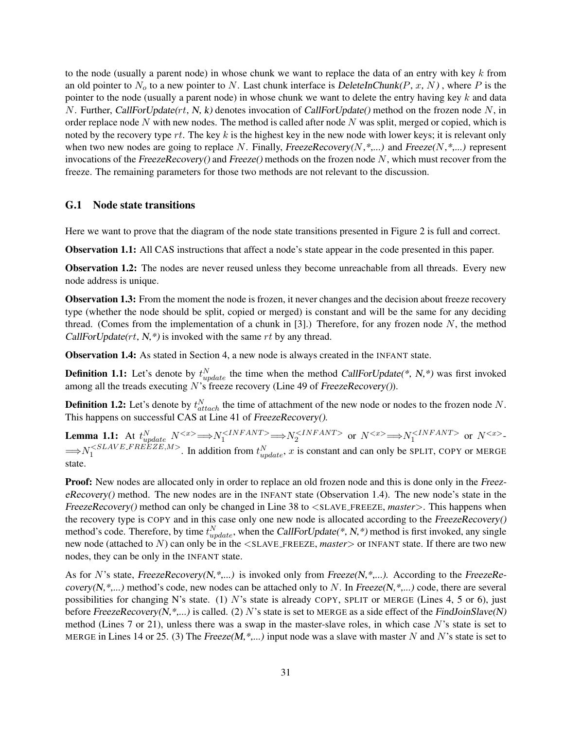to the node (usually a parent node) in whose chunk we want to replace the data of an entry with key  $k$  from an old pointer to  $N_0$  to a new pointer to N. Last chunk interface is DeleteInChunk(P, x, N), where P is the pointer to the node (usually a parent node) in whose chunk we want to delete the entry having key  $k$  and data N. Further, CallForUpdate(rt, N, k) denotes invocation of CallForUpdate() method on the frozen node N, in order replace node  $N$  with new nodes. The method is called after node  $N$  was split, merged or copied, which is noted by the recovery type  $rt$ . The key k is the highest key in the new node with lower keys; it is relevant only when two new nodes are going to replace N. Finally, FreezeRecovery( $N,$ ,...) and Freeze( $N,$ ,...) represent invocations of the FreezeRecovery() and Freeze() methods on the frozen node  $N$ , which must recover from the freeze. The remaining parameters for those two methods are not relevant to the discussion.

#### G.1 Node state transitions

Here we want to prove that the diagram of the node state transitions presented in Figure 2 is full and correct.

Observation 1.1: All CAS instructions that affect a node's state appear in the code presented in this paper.

**Observation 1.2:** The nodes are never reused unless they become unreachable from all threads. Every new node address is unique.

Observation 1.3: From the moment the node is frozen, it never changes and the decision about freeze recovery type (whether the node should be split, copied or merged) is constant and will be the same for any deciding thread. (Comes from the implementation of a chunk in  $[3]$ .) Therefore, for any frozen node N, the method CallForUpdate(rt, N,\*) is invoked with the same rt by any thread.

Observation 1.4: As stated in Section 4, a new node is always created in the INFANT state.

**Definition 1.1:** Let's denote by  $t_{update}^N$  the time when the method *CallForUpdate*(\*, *N*,\*) was first invoked among all the treads executing  $N$ 's freeze recovery (Line 49 of FreezeRecovery()).

**Definition 1.2:** Let's denote by  $t_{attack}^N$  the time of attachment of the new node or nodes to the frozen node N. This happens on successful CAS at Line 41 of FreezeRecovery().

**Lemma 1.1:** At  $t_{update}^N N^{< x>} \Longrightarrow N_1^{< INFANT>} \Longrightarrow N_2^{< INFANT>}$  or  $N^{< x>} \Longrightarrow N_1^{< INFANT>}$  or  $N^{< x>}$ .  $\Longrightarrow$ N $_1$  $<$ SLAVE\_FREEZE,M $>$ <sup>2</sup>/2*LAV E\_F REEZE,M>*. In addition from  $t_{update}^N$ , x is constant and can only be SPLIT, COPY or MERGE state.

**Proof:** New nodes are allocated only in order to replace an old frozen node and this is done only in the FreezeRecovery() method. The new nodes are in the INFANT state (Observation 1.4). The new node's state in the FreezeRecovery() method can only be changed in Line 38 to <SLAVE FREEZE, *master*>. This happens when the recovery type is COPY and in this case only one new node is allocated according to the FreezeRecovery() method's code. Therefore, by time  $t_{update}^N$ , when the CallForUpdate(\*, N,\*) method is first invoked, any single new node (attached to N) can only be in the <SLAVE FREEZE, *master*> or INFANT state. If there are two new nodes, they can be only in the INFANT state.

As for N's state, FreezeRecovery(N,\*,...) is invoked only from Freeze(N,\*,...). According to the FreezeRecovery( $N,$ \*,...) method's code, new nodes can be attached only to N. In Freeze( $N,$ \*,...) code, there are several possibilities for changing N's state. (1) N's state is already COPY, SPLIT or MERGE (Lines 4, 5 or 6), just before FreezeRecovery(N,  $*,\ldots$ ) is called. (2) N's state is set to MERGE as a side effect of the FindJoinSlave(N) method (Lines 7 or 21), unless there was a swap in the master-slave roles, in which case  $N$ 's state is set to MERGE in Lines 14 or 25. (3) The Freeze( $M,$ \*,...) input node was a slave with master N and N's state is set to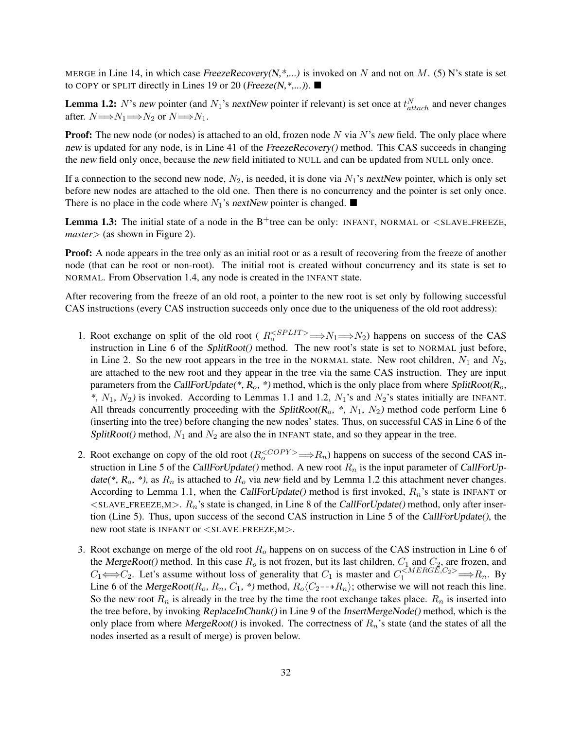MERGE in Line 14, in which case FreezeRecovery( $N,$ \*,...) is invoked on N and not on M. (5) N's state is set to COPY or SPLIT directly in Lines 19 or 20 (Freeze(N,  $^*, \dots$ )).

**Lemma 1.2:** N's new pointer (and  $N_1$ 's nextNew pointer if relevant) is set once at  $t_{attack}^N$  and never changes after.  $N \Longrightarrow N_1 \Longrightarrow N_2$  or  $N \Longrightarrow N_1$ .

**Proof:** The new node (or nodes) is attached to an old, frozen node N via N's new field. The only place where new is updated for any node, is in Line 41 of the FreezeRecovery() method. This CAS succeeds in changing the new field only once, because the new field initiated to NULL and can be updated from NULL only once.

If a connection to the second new node,  $N_2$ , is needed, it is done via  $N_1$ 's nextNew pointer, which is only set before new nodes are attached to the old one. Then there is no concurrency and the pointer is set only once. There is no place in the code where  $N_1$ 's nextNew pointer is changed.  $\blacksquare$ 

**Lemma 1.3:** The initial state of a node in the  $B^+$ tree can be only: INFANT, NORMAL or  $\lt$ SLAVE\_FREEZE, *master*> (as shown in Figure 2).

**Proof:** A node appears in the tree only as an initial root or as a result of recovering from the freeze of another node (that can be root or non-root). The initial root is created without concurrency and its state is set to NORMAL. From Observation 1.4, any node is created in the INFANT state.

After recovering from the freeze of an old root, a pointer to the new root is set only by following successful CAS instructions (every CAS instruction succeeds only once due to the uniqueness of the old root address):

- 1. Root exchange on split of the old root ( $R_o^{SPLIT>} \implies N_1 \implies N_2$ ) happens on success of the CAS instruction in Line 6 of the *SplitRoot*() method. The new root's state is set to NORMAL just before, in Line 2. So the new root appears in the tree in the NORMAL state. New root children,  $N_1$  and  $N_2$ , are attached to the new root and they appear in the tree via the same CAS instruction. They are input parameters from the CallForUpdate(\*,  $R_o$ , \*) method, which is the only place from where SplitRoot( $R_o$ ,  $N_1$ ,  $N_2$ ) is invoked. According to Lemmas 1.1 and 1.2,  $N_1$ 's and  $N_2$ 's states initially are INFANT. All threads concurrently proceeding with the SplitRoot( $R_o$ , \*,  $N_1$ ,  $N_2$ ) method code perform Line 6 (inserting into the tree) before changing the new nodes' states. Thus, on successful CAS in Line 6 of the SplitRoot() method,  $N_1$  and  $N_2$  are also the in INFANT state, and so they appear in the tree.
- 2. Root exchange on copy of the old root  $(R_o^{©} \implies R_n)$  happens on success of the second CAS instruction in Line 5 of the CallForUpdate() method. A new root  $R_n$  is the input parameter of CallForUpdate(\*,  $R_o$ , \*), as  $R_n$  is attached to  $R_o$  via new field and by Lemma 1.2 this attachment never changes. According to Lemma 1.1, when the CallForUpdate() method is first invoked,  $R_n$ 's state is INFANT or  $\leq$ SLAVE FREEZE,M $>$ .  $R_n$ 's state is changed, in Line 8 of the CallForUpdate() method, only after insertion (Line 5). Thus, upon success of the second CAS instruction in Line 5 of the CallForUpdate(), the new root state is INFANT or <SLAVE FREEZE,M>.
- 3. Root exchange on merge of the old root  $R<sub>o</sub>$  happens on on success of the CAS instruction in Line 6 of the MergeRoot() method. In this case  $R_o$  is not frozen, but its last children,  $C_1$  and  $C_2$ , are frozen, and  $C_1 \Longleftrightarrow C_2$ . Let's assume without loss of generality that  $C_1$  is master and  $C_1^{< MERGE, C_2>} \Longrightarrow R_n$ . By Line 6 of the MergeRoot( $R_0, R_n, C_1, *$ ) method,  $R_0 \langle C_2 \rightarrow R_n \rangle$ ; otherwise we will not reach this line. So the new root  $R_n$  is already in the tree by the time the root exchange takes place.  $R_n$  is inserted into the tree before, by invoking ReplaceInChunk() in Line 9 of the InsertMergeNode() method, which is the only place from where MergeRoot() is invoked. The correctness of  $R_n$ 's state (and the states of all the nodes inserted as a result of merge) is proven below.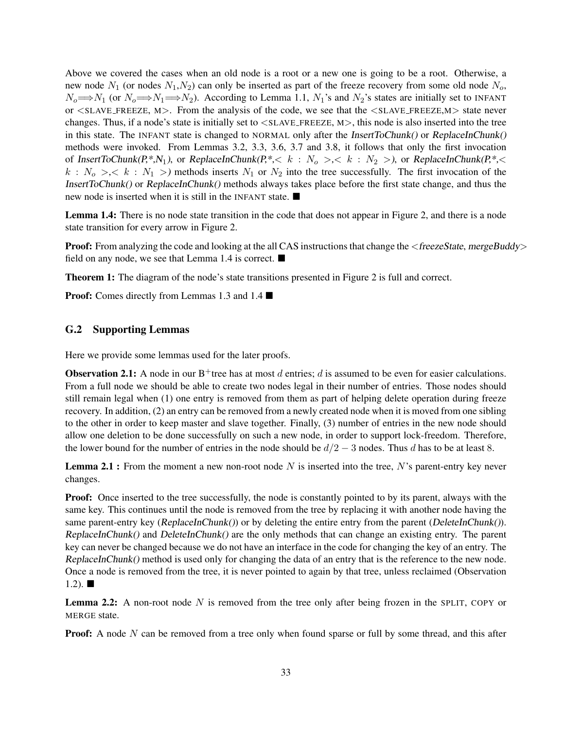Above we covered the cases when an old node is a root or a new one is going to be a root. Otherwise, a new node  $N_1$  (or nodes  $N_1, N_2$ ) can only be inserted as part of the freeze recovery from some old node  $N_0$ ,  $N_0 \Longrightarrow N_1$  (or  $N_0 \Longrightarrow N_1 \Longrightarrow N_2$ ). According to Lemma 1.1,  $N_1$ 's and  $N_2$ 's states are initially set to INFANT or <SLAVE FREEZE, M>. From the analysis of the code, we see that the <SLAVE FREEZE,M> state never changes. Thus, if a node's state is initially set to  $\leq$ SLAVE FREEZE, M $>$ , this node is also inserted into the tree in this state. The INFANT state is changed to NORMAL only after the InsertToChunk() or ReplaceInChunk() methods were invoked. From Lemmas 3.2, 3.3, 3.6, 3.7 and 3.8, it follows that only the first invocation of InsertToChunk(P,\*,N<sub>1</sub>), or ReplaceInChunk(P,\*,< k : N<sub>0</sub> >,< k : N<sub>2</sub> >), or ReplaceInChunk(P,\*,<  $k : N_o \geq k \leq N_1 >$  methods inserts  $N_1$  or  $N_2$  into the tree successfully. The first invocation of the InsertToChunk() or ReplaceInChunk() methods always takes place before the first state change, and thus the new node is inserted when it is still in the INFANT state.

Lemma 1.4: There is no node state transition in the code that does not appear in Figure 2, and there is a node state transition for every arrow in Figure 2.

**Proof:** From analyzing the code and looking at the all CAS instructions that change the  $\langle freezeState, mergeBuddy\rangle$ field on any node, we see that Lemma 1.4 is correct.

Theorem 1: The diagram of the node's state transitions presented in Figure 2 is full and correct.

**Proof:** Comes directly from Lemmas 1.3 and 1.4 ■

#### G.2 Supporting Lemmas

Here we provide some lemmas used for the later proofs.

**Observation 2.1:** A node in our B<sup>+</sup>tree has at most d entries; d is assumed to be even for easier calculations. From a full node we should be able to create two nodes legal in their number of entries. Those nodes should still remain legal when (1) one entry is removed from them as part of helping delete operation during freeze recovery. In addition, (2) an entry can be removed from a newly created node when it is moved from one sibling to the other in order to keep master and slave together. Finally, (3) number of entries in the new node should allow one deletion to be done successfully on such a new node, in order to support lock-freedom. Therefore, the lower bound for the number of entries in the node should be  $d/2 - 3$  nodes. Thus d has to be at least 8.

**Lemma 2.1 :** From the moment a new non-root node N is inserted into the tree,  $N$ 's parent-entry key never changes.

**Proof:** Once inserted to the tree successfully, the node is constantly pointed to by its parent, always with the same key. This continues until the node is removed from the tree by replacing it with another node having the same parent-entry key (ReplaceInChunk()) or by deleting the entire entry from the parent (DeleteInChunk()). ReplaceInChunk() and DeleteInChunk() are the only methods that can change an existing entry. The parent key can never be changed because we do not have an interface in the code for changing the key of an entry. The ReplaceInChunk() method is used only for changing the data of an entry that is the reference to the new node. Once a node is removed from the tree, it is never pointed to again by that tree, unless reclaimed (Observation  $1.2$ ).

**Lemma 2.2:** A non-root node  $N$  is removed from the tree only after being frozen in the SPLIT, COPY or MERGE state.

**Proof:** A node N can be removed from a tree only when found sparse or full by some thread, and this after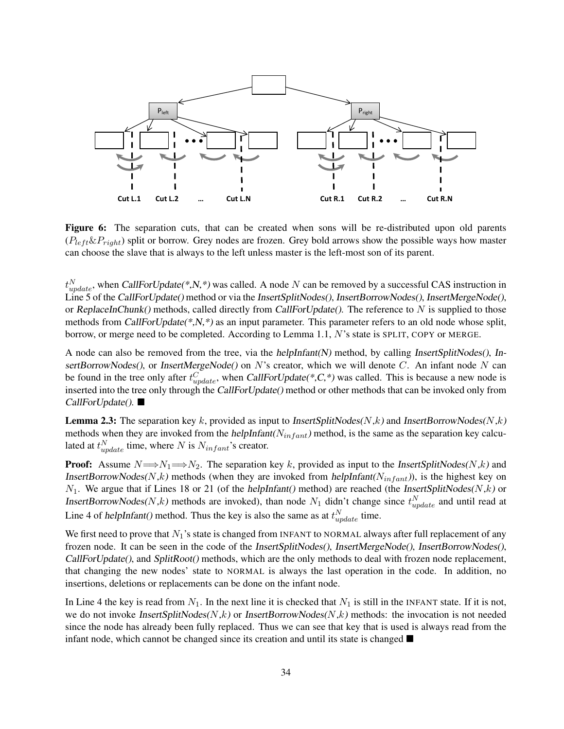

Figure 6: The separation cuts, that can be created when sons will be re-distributed upon old parents  $(P_{left} \& P_{right})$  split or borrow. Grey nodes are frozen. Grey bold arrows show the possible ways how master can choose the slave that is always to the left unless master is the left-most son of its parent.

 $t_{update}^N$ , when CallForUpdate(\*,N,\*) was called. A node N can be removed by a successful CAS instruction in Line 5 of the CallForUpdate() method or via the InsertSplitNodes(), InsertBorrowNodes(), InsertMergeNode(), or ReplaceInChunk() methods, called directly from CallForUpdate(). The reference to  $N$  is supplied to those methods from *CallForUpdate*(\*, $N$ ,\*) as an input parameter. This parameter refers to an old node whose split, borrow, or merge need to be completed. According to Lemma 1.1, N's state is SPLIT, COPY or MERGE.

A node can also be removed from the tree, via the *helpInfant(N)* method, by calling *InsertSplitNodes()*, *In*sertBorrowNodes(), or InsertMergeNode() on  $N$ 's creator, which we will denote  $C$ . An infant node  $N$  can be found in the tree only after  $t_{update}^C$ , when CallForUpdate(\*,C,\*) was called. This is because a new node is inserted into the tree only through the CallForUpdate() method or other methods that can be invoked only from  $CallForUpdate()$ .

**Lemma 2.3:** The separation key k, provided as input to InsertSplitNodes( $N, k$ ) and InsertBorrowNodes( $N, k$ ) methods when they are invoked from the helpInfant( $N_{infant}$ ) method, is the same as the separation key calculated at  $t_{update}^N$  time, where N is  $N_{infant}$ 's creator.

**Proof:** Assume  $N \implies N_1 \implies N_2$ . The separation key k, provided as input to the InsertSplitNodes(N,k) and InsertBorrowNodes(N,k) methods (when they are invoked from helpInfant( $N_{infant}$ )), is the highest key on  $N_1$ . We argue that if Lines 18 or 21 (of the *helpInfant*() method) are reached (the *InsertSplitNodes(N,k)* or InsertBorrowNodes(N,k) methods are invoked), than node  $N_1$  didn't change since  $t_{update}^N$  and until read at Line 4 of helpInfant() method. Thus the key is also the same as at  $t_{update}^N$  time.

We first need to prove that  $N_1$ 's state is changed from INFANT to NORMAL always after full replacement of any frozen node. It can be seen in the code of the InsertSplitNodes(), InsertMergeNode(), InsertBorrowNodes(), CallForUpdate(), and SplitRoot() methods, which are the only methods to deal with frozen node replacement, that changing the new nodes' state to NORMAL is always the last operation in the code. In addition, no insertions, deletions or replacements can be done on the infant node.

In Line 4 the key is read from  $N_1$ . In the next line it is checked that  $N_1$  is still in the INFANT state. If it is not, we do not invoke InsertSplitNodes(N,k) or InsertBorrowNodes(N,k) methods: the invocation is not needed since the node has already been fully replaced. Thus we can see that key that is used is always read from the infant node, which cannot be changed since its creation and until its state is changed  $\blacksquare$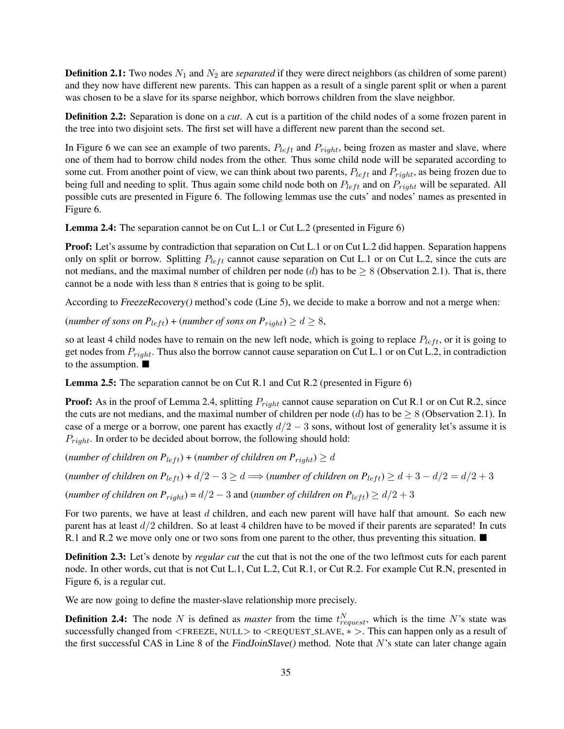**Definition 2.1:** Two nodes  $N_1$  and  $N_2$  are *separated* if they were direct neighbors (as children of some parent) and they now have different new parents. This can happen as a result of a single parent split or when a parent was chosen to be a slave for its sparse neighbor, which borrows children from the slave neighbor.

Definition 2.2: Separation is done on a *cut*. A cut is a partition of the child nodes of a some frozen parent in the tree into two disjoint sets. The first set will have a different new parent than the second set.

In Figure 6 we can see an example of two parents,  $P_{left}$  and  $P_{right}$ , being frozen as master and slave, where one of them had to borrow child nodes from the other. Thus some child node will be separated according to some cut. From another point of view, we can think about two parents,  $P_{left}$  and  $P_{right}$ , as being frozen due to being full and needing to split. Thus again some child node both on  $P_{left}$  and on  $P_{right}$  will be separated. All possible cuts are presented in Figure 6. The following lemmas use the cuts' and nodes' names as presented in Figure 6.

Lemma 2.4: The separation cannot be on Cut L.1 or Cut L.2 (presented in Figure 6)

**Proof:** Let's assume by contradiction that separation on Cut L.1 or on Cut L.2 did happen. Separation happens only on split or borrow. Splitting  $P_{left}$  cannot cause separation on Cut L.1 or on Cut L.2, since the cuts are not medians, and the maximal number of children per node (d) has to be  $\geq 8$  (Observation 2.1). That is, there cannot be a node with less than 8 entries that is going to be split.

According to FreezeRecovery() method's code (Line 5), we decide to make a borrow and not a merge when:

(*number of sons on*  $P_{left}$ ) + (*number of sons on*  $P_{right}$ )  $\geq d \geq 8$ ,

so at least 4 child nodes have to remain on the new left node, which is going to replace  $P_{left}$ , or it is going to get nodes from  $P_{right}$ . Thus also the borrow cannot cause separation on Cut L.1 or on Cut L.2, in contradiction to the assumption.

Lemma 2.5: The separation cannot be on Cut R.1 and Cut R.2 (presented in Figure 6)

**Proof:** As in the proof of Lemma 2.4, splitting  $P_{right}$  cannot cause separation on Cut R.1 or on Cut R.2, since the cuts are not medians, and the maximal number of children per node (d) has to be  $\geq 8$  (Observation 2.1). In case of a merge or a borrow, one parent has exactly  $d/2 - 3$  sons, without lost of generality let's assume it is  $P_{right}$ . In order to be decided about borrow, the following should hold:

(*number of children on*  $P_{left}$ ) + (*number of children on*  $P_{right}$ )  $\geq d$ 

(*number of children on P*<sub>left</sub>) +  $d/2 - 3 \ge d \implies$  (*number of children on P*<sub>left</sub>)  $\ge d + 3 - d/2 = d/2 + 3$ (*number of children on*  $P_{right) = d/2 - 3$  and (*number of children on*  $P_{left} \ge d/2 + 3$ 

For two parents, we have at least d children, and each new parent will have half that amount. So each new parent has at least  $d/2$  children. So at least 4 children have to be moved if their parents are separated! In cuts R.1 and R.2 we move only one or two sons from one parent to the other, thus preventing this situation.

Definition 2.3: Let's denote by *regular cut* the cut that is not the one of the two leftmost cuts for each parent node. In other words, cut that is not Cut L.1, Cut L.2, Cut R.1, or Cut R.2. For example Cut R.N, presented in Figure 6, is a regular cut.

We are now going to define the master-slave relationship more precisely.

**Definition 2.4:** The node N is defined as *master* from the time  $t_{request}^N$ , which is the time N's state was successfully changed from <FREEZE, NULL> to <REQUEST\_SLAVE,  $*$  >. This can happen only as a result of the first successful CAS in Line 8 of the FindJoinSlave() method. Note that  $N$ 's state can later change again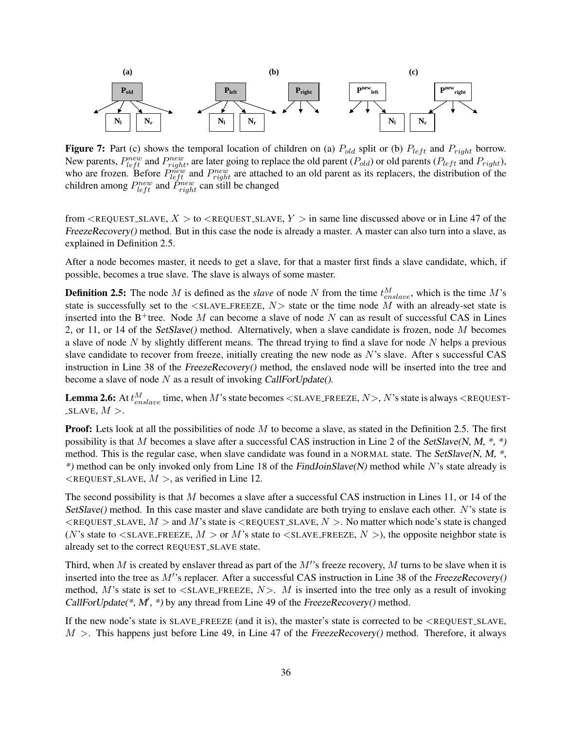

Figure 7: Part (c) shows the temporal location of children on (a)  $P_{old}$  split or (b)  $P_{left}$  and  $P_{right}$  borrow. New parents,  $P_{left}^{new}$  and  $P_{right}^{new}$ , are later going to replace the old parent  $(P_{old})$  or old parents  $(P_{left}$  and  $P_{right}$ ), who are frozen. Before  $P_{left}^{new}$  and  $P_{right}^{new}$  are attached to an old parent as its replacers, the distribution of the children among  $P_{left}^{new}$  and  $P_{right}^{new}$  can still be changed

from  $\leq$ REQUEST\_SLAVE,  $X >$  to  $\leq$ REQUEST\_SLAVE,  $Y >$  in same line discussed above or in Line 47 of the FreezeRecovery() method. But in this case the node is already a master. A master can also turn into a slave, as explained in Definition 2.5.

After a node becomes master, it needs to get a slave, for that a master first finds a slave candidate, which, if possible, becomes a true slave. The slave is always of some master.

**Definition 2.5:** The node M is defined as the *slave* of node N from the time  $t_{enslave}^M$ , which is the time M's state is successfully set to the  $\leq$ SLAVE\_FREEZE,  $N$  state or the time node M with an already-set state is inserted into the B<sup>+</sup>tree. Node M can become a slave of node N can as result of successful CAS in Lines 2, or 11, or 14 of the SetSlave() method. Alternatively, when a slave candidate is frozen, node  $M$  becomes a slave of node  $N$  by slightly different means. The thread trying to find a slave for node  $N$  helps a previous slave candidate to recover from freeze, initially creating the new node as  $N$ 's slave. After s successful CAS instruction in Line 38 of the FreezeRecovery() method, the enslaved node will be inserted into the tree and become a slave of node  $N$  as a result of invoking CallForUpdate().

**Lemma 2.6:** At  $t_{enslave}^M$  time, when M's state becomes <SLAVE\_FREEZE,  $N$ >,  $N$ 's state is always <REQUEST- $SLAVE, M >$ .

**Proof:** Lets look at all the possibilities of node  $M$  to become a slave, as stated in the Definition 2.5. The first possibility is that M becomes a slave after a successful CAS instruction in Line 2 of the SetSlave(N, M,  $*, *$ ) method. This is the regular case, when slave candidate was found in a NORMAL state. The SetSlave(N,  $M$ ,  $*$ ,  $*$ ) method can be only invoked only from Line 18 of the FindJoinSlave(N) method while N's state already is  $\leq$ REQUEST\_SLAVE,  $M >$ , as verified in Line 12.

The second possibility is that M becomes a slave after a successful CAS instruction in Lines 11, or 14 of the SetSlave() method. In this case master and slave candidate are both trying to enslave each other. N's state is  $\langle$ REQUEST\_SLAVE,  $M >$  and M's state is  $\langle$ REQUEST\_SLAVE,  $N >$ . No matter which node's state is changed (N's state to  $\leq$ SLAVE\_FREEZE,  $M >$  or M's state to  $\leq$ SLAVE\_FREEZE,  $N >$ ), the opposite neighbor state is already set to the correct REQUEST SLAVE state.

Third, when M is created by enslaver thread as part of the  $M'$ 's freeze recovery, M turns to be slave when it is inserted into the tree as  $M'$ 's replacer. After a successful CAS instruction in Line 38 of the FreezeRecovery() method, M's state is set to  $\leq$ SLAVE\_FREEZE, N>. M is inserted into the tree only as a result of invoking CallForUpdate( $^*$ , M',  $^*$ ) by any thread from Line 49 of the FreezeRecovery() method.

If the new node's state is SLAVE FREEZE (and it is), the master's state is corrected to be <REQUEST SLAVE,  $M >$ . This happens just before Line 49, in Line 47 of the FreezeRecovery() method. Therefore, it always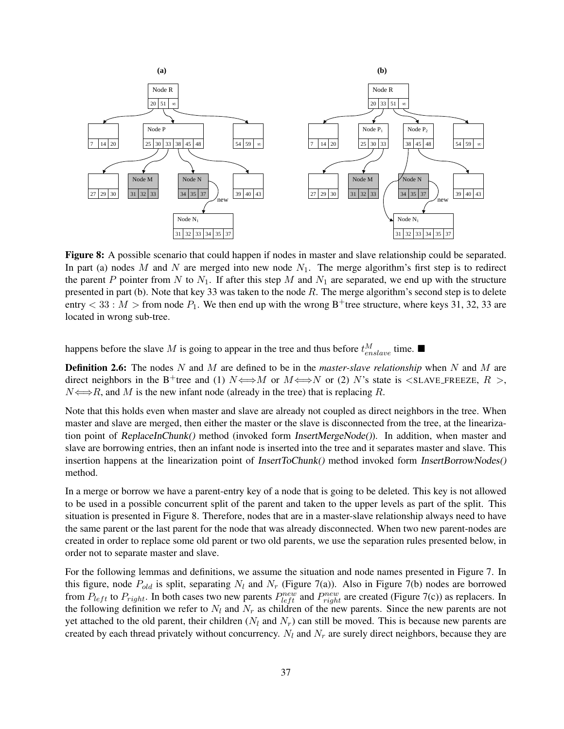

Figure 8: A possible scenario that could happen if nodes in master and slave relationship could be separated. In part (a) nodes M and N are merged into new node  $N_1$ . The merge algorithm's first step is to redirect the parent P pointer from N to  $N_1$ . If after this step M and  $N_1$  are separated, we end up with the structure presented in part (b). Note that key 33 was taken to the node  $R$ . The merge algorithm's second step is to delete entry  $<$  33 :  $M$  > from node  $P_1$ . We then end up with the wrong B<sup>+</sup>tree structure, where keys 31, 32, 33 are located in wrong sub-tree.

happens before the slave M is going to appear in the tree and thus before  $t_{enslave}^M$  time.

**Definition 2.6:** The nodes N and M are defined to be in the *master-slave relationship* when N and M are direct neighbors in the B<sup>+</sup>tree and (1)  $N \Longleftrightarrow M$  or  $M \Longleftrightarrow N$  or (2) N's state is <SLAVE\_FREEZE, R >,  $N \Longleftrightarrow R$ , and M is the new infant node (already in the tree) that is replacing R.

Note that this holds even when master and slave are already not coupled as direct neighbors in the tree. When master and slave are merged, then either the master or the slave is disconnected from the tree, at the linearization point of ReplaceInChunk() method (invoked form InsertMergeNode()). In addition, when master and slave are borrowing entries, then an infant node is inserted into the tree and it separates master and slave. This insertion happens at the linearization point of InsertToChunk() method invoked form InsertBorrowNodes() method.

In a merge or borrow we have a parent-entry key of a node that is going to be deleted. This key is not allowed to be used in a possible concurrent split of the parent and taken to the upper levels as part of the split. This situation is presented in Figure 8. Therefore, nodes that are in a master-slave relationship always need to have the same parent or the last parent for the node that was already disconnected. When two new parent-nodes are created in order to replace some old parent or two old parents, we use the separation rules presented below, in order not to separate master and slave.

For the following lemmas and definitions, we assume the situation and node names presented in Figure 7. In this figure, node  $P_{old}$  is split, separating  $N_l$  and  $N_r$  (Figure 7(a)). Also in Figure 7(b) nodes are borrowed from  $P_{left}$  to  $P_{right}$ . In both cases two new parents  $P_{left}^{new}$  and  $P_{right}^{new}$  are created (Figure 7(c)) as replacers. In the following definition we refer to  $N_l$  and  $N_r$  as children of the new parents. Since the new parents are not yet attached to the old parent, their children ( $N_l$  and  $N_r$ ) can still be moved. This is because new parents are created by each thread privately without concurrency.  $N_l$  and  $N_r$  are surely direct neighbors, because they are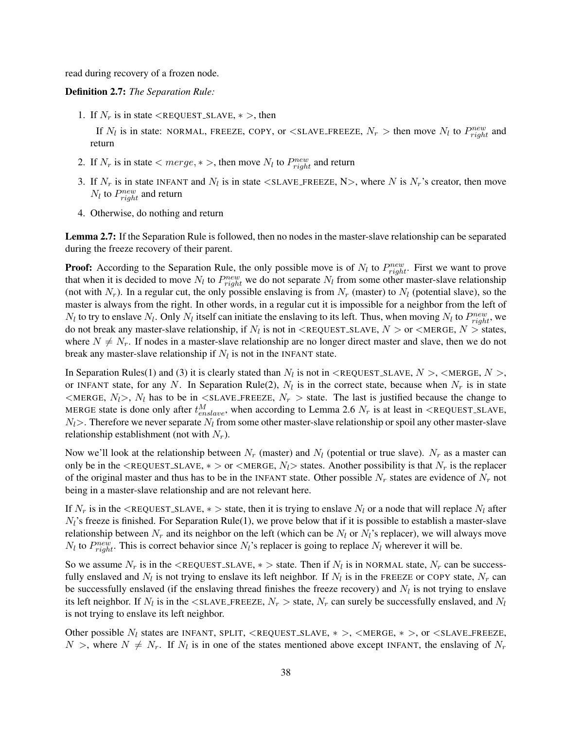read during recovery of a frozen node.

Definition 2.7: *The Separation Rule:*

- 1. If  $N_r$  is in state <REQUEST\_SLAVE,  $*$  >, then If  $N_l$  is in state: NORMAL, FREEZE, COPY, or <SLAVE\_FREEZE,  $N_r$  > then move  $N_l$  to  $P_{right}^{new}$  and return
- 2. If  $N_r$  is in state  $\langle$  merge,  $*$   $>$ , then move  $N_l$  to  $P_{right}^{new}$  and return
- 3. If  $N_r$  is in state INFANT and  $N_l$  is in state  $\lt$  SLAVE\_FREEZE, N>, where N is  $N_r$ 's creator, then move  $N_l$  to  $P_{right}^{new}$  and return
- 4. Otherwise, do nothing and return

Lemma 2.7: If the Separation Rule is followed, then no nodes in the master-slave relationship can be separated during the freeze recovery of their parent.

**Proof:** According to the Separation Rule, the only possible move is of  $N_l$  to  $P_{right}^{new}$ . First we want to prove that when it is decided to move  $N_l$  to  $P_{right}^{new}$  we do not separate  $N_l$  from some other master-slave relationship (not with  $N_r$ ). In a regular cut, the only possible enslaving is from  $N_r$  (master) to  $N_l$  (potential slave), so the master is always from the right. In other words, in a regular cut it is impossible for a neighbor from the left of  $N_l$  to try to enslave  $N_l$ . Only  $N_l$  itself can initiate the enslaving to its left. Thus, when moving  $N_l$  to  $P_{right}^{new}$ , we do not break any master-slave relationship, if  $N_l$  is not in <REQUEST\_SLAVE,  $N >$  or <MERGE,  $N >$  states, where  $N \neq N_r$ . If nodes in a master-slave relationship are no longer direct master and slave, then we do not break any master-slave relationship if  $N_l$  is not in the INFANT state.

In Separation Rules(1) and (3) it is clearly stated than  $N_l$  is not in  $\langle$ REQUEST\_SLAVE,  $N >$ ,  $\langle$ MERGE,  $N >$ , or INFANT state, for any N. In Separation Rule(2),  $N_l$  is in the correct state, because when  $N_r$  is in state  $\langle MERGE, N_l \rangle$ ,  $N_l$  has to be in  $\langle SLAVE\_FREEZE, N_r \rangle$  state. The last is justified because the change to MERGE state is done only after  $t_{enslave}^M$ , when according to Lemma 2.6  $N_r$  is at least in  $\leq$ REQUEST\_SLAVE,  $N_l$ >. Therefore we never separate  $N_l$  from some other master-slave relationship or spoil any other master-slave relationship establishment (not with  $N_r$ ).

Now we'll look at the relationship between  $N_r$  (master) and  $N_l$  (potential or true slave).  $N_r$  as a master can only be in the  $\langle REQUEST\_SLAVE, * \rangle$  or  $\langle MERGE, N_l \rangle$  states. Another possibility is that  $N_r$  is the replacer of the original master and thus has to be in the INFANT state. Other possible  $N_r$  states are evidence of  $N_r$  not being in a master-slave relationship and are not relevant here.

If  $N_r$  is in the  $\langle$ REQUEST\_SLAVE,  $*$  > state, then it is trying to enslave  $N_l$  or a node that will replace  $N_l$  after  $N_l$ 's freeze is finished. For Separation Rule(1), we prove below that if it is possible to establish a master-slave relationship between  $N_r$  and its neighbor on the left (which can be  $N_l$  or  $N_l$ 's replacer), we will always move  $N_l$  to  $P_{right}^{new}$ . This is correct behavior since  $N_l$ 's replacer is going to replace  $N_l$  wherever it will be.

So we assume  $N_r$  is in the  $\langle$ REQUEST\_SLAVE,  $*$   $>$  state. Then if  $N_l$  is in NORMAL state,  $N_r$  can be successfully enslaved and  $N_l$  is not trying to enslave its left neighbor. If  $N_l$  is in the FREEZE or COPY state,  $N_r$  can be successfully enslaved (if the enslaving thread finishes the freeze recovery) and  $N_l$  is not trying to enslave its left neighbor. If  $N_l$  is in the  $\lt$ SLAVE\_FREEZE,  $N_r >$  state,  $N_r$  can surely be successfully enslaved, and  $N_l$ is not trying to enslave its left neighbor.

Other possible  $N_l$  states are INFANT, SPLIT, <REQUEST\_SLAVE, \* >, <MERGE, \* >, or <SLAVE\_FREEZE, N >, where  $N \neq N_r$ . If  $N_l$  is in one of the states mentioned above except INFANT, the enslaving of  $N_r$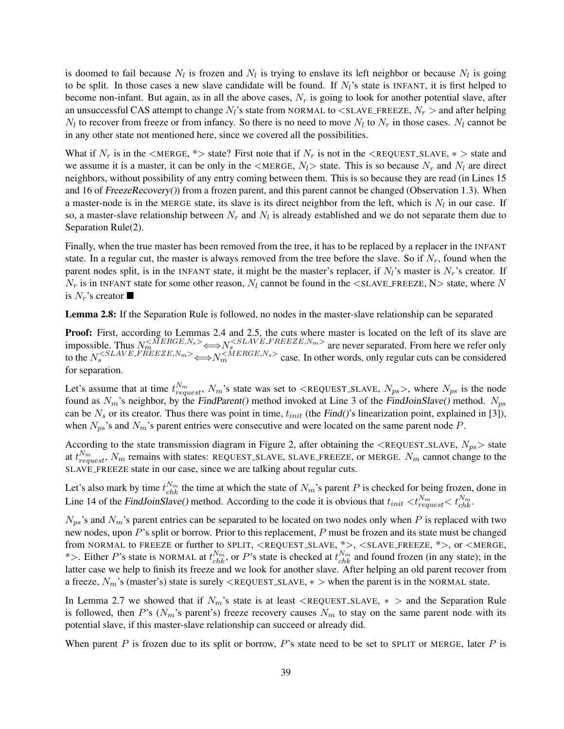is doomed to fail because  $N_l$  is frozen and  $N_l$  is trying to enslave its left neighbor or because  $N_l$  is going to be split. In those cases a new slave candidate will be found. If  $N_l$ 's state is INFANT, it is first helped to become non-infant. But again, as in all the above cases,  $N_r$  is going to look for another potential slave, after an unsuccessful CAS attempt to change  $N_l$ 's state from NORMAL to  $\lt$ SLAVE FREEZE,  $N_r >$  and after helping  $N_l$  to recover from freeze or from infancy. So there is no need to move  $N_l$  to  $N_r$  in those cases.  $N_l$  cannot be in any other state not mentioned here, since we covered all the possibilities.

What if  $N_r$  is in the  $\leq$ MERGE, \*> state? First note that if  $N_r$  is not in the  $\leq$ REQUEST\_SLAVE, \* > state and we assume it is a master, it can be only in the  $\langle\text{MERGE}, N_l\rangle$  state. This is so because  $N_r$  and  $N_l$  are direct neighbors, without possibility of any entry coming between them. This is so because they are read (in Lines 15 and 16 of FreezeRecovery()) from a frozen parent, and this parent cannot be changed (Observation 1.3). When a master-node is in the MERGE state, its slave is its direct neighbor from the left, which is  $N_l$  in our case. If so, a master-slave relationship between  $N_r$  and  $N_l$  is already established and we do not separate them due to Separation Rule(2).

Finally, when the true master has been removed from the tree, it has to be replaced by a replacer in the INFANT state. In a regular cut, the master is always removed from the tree before the slave. So if  $N_r$ , found when the parent nodes split, is in the INFANT state, it might be the master's replacer, if  $N_l$ 's master is  $N_r$ 's creator. If  $N_r$  is in INFANT state for some other reason,  $N_l$  cannot be found in the  $\lt$ SLAVE\_FREEZE, N $>$  state, where N is  $N_r$ 's creator

Lemma 2.8: If the Separation Rule is followed, no nodes in the master-slave relationship can be separated

Proof: First, according to Lemmas 2.4 and 2.5, the cuts where master is located on the left of its slave are impossible. Thus  $N_m^{< MERGE,N_s>} \iff N_s^{< SLAVE\_FREEZE,N_m>}$  are never separated. From here we refer only to the  $N_s^{}\iff N_m^{}$  case. In other words, only regular cuts can be considered for separation.

Let's assume that at time  $t_{request}^{N_m}$ ,  $N_m$ 's state was set to <REQUEST\_SLAVE,  $N_{ps}$ >, where  $N_{ps}$  is the node found as  $N_m$ 's neighbor, by the FindParent() method invoked at Line 3 of the FindJoinSlave() method.  $N_{ps}$ can be  $N_s$  or its creator. Thus there was point in time,  $t_{init}$  (the Find()'s linearization point, explained in [3]), when  $N_{ps}$ 's and  $N_m$ 's parent entries were consecutive and were located on the same parent node P.

According to the state transmission diagram in Figure 2, after obtaining the  $\langle REQUEST\_SLAVE, N_{ps}\rangle$  state at  $t_{request}^{N_m}$ ,  $N_m$  remains with states: REQUEST\_SLAVE, SLAVE\_FREEZE, or MERGE.  $N_m$  cannot change to the SLAVE FREEZE state in our case, since we are talking about regular cuts.

Let's also mark by time  $t_{chk}^{N_m}$  the time at which the state of  $N_m$ 's parent P is checked for being frozen, done in Line 14 of the FindJoinSlave() method. According to the code it is obvious that  $t_{init} < t_{request}^{N_m} < t_{chk}^{N_m}$ .

 $N_{ps}$ 's and  $N_m$ 's parent entries can be separated to be located on two nodes only when P is replaced with two new nodes, upon P's split or borrow. Prior to this replacement, P must be frozen and its state must be changed from NORMAL to FREEZE or further to SPLIT, <REQUEST SLAVE, \*>, <SLAVE FREEZE, \*>, or <MERGE, \*>. Either P's state is NORMAL at  $t_{chk}^{N_m}$ , or P's state is checked at  $t_{chk}^{N_m}$  and found frozen (in any state); in the latter case we help to finish its freeze and we look for another slave. After helping an old parent recover from a freeze,  $N_m$ 's (master's) state is surely <REQUEST\_SLAVE,  $*$  > when the parent is in the NORMAL state.

In Lemma 2.7 we showed that if  $N_m$ 's state is at least <REQUEST\_SLAVE,  $*$  > and the Separation Rule is followed, then P's ( $N_m$ 's parent's) freeze recovery causes  $N_m$  to stay on the same parent node with its potential slave, if this master-slave relationship can succeed or already did.

When parent P is frozen due to its split or borrow, P's state need to be set to SPLIT or MERGE, later P is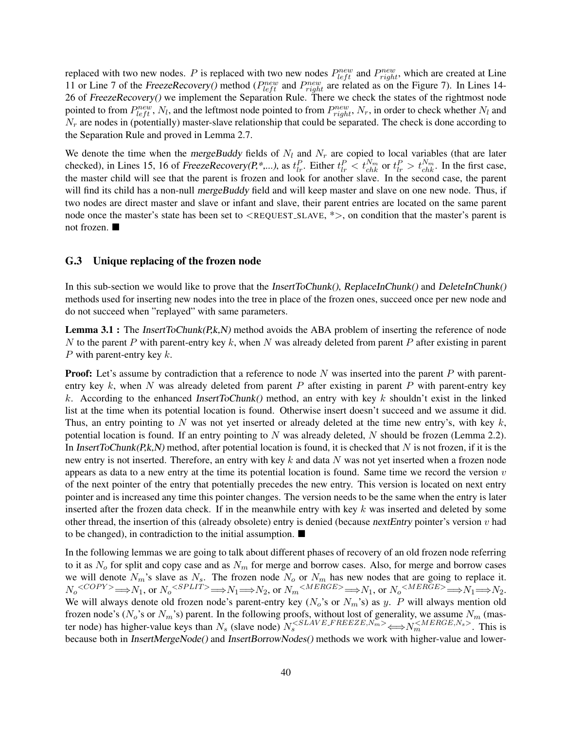replaced with two new nodes. P is replaced with two new nodes  $P_{left}^{new}$  and  $P_{right}^{new}$ , which are created at Line 11 or Line 7 of the FreezeRecovery() method ( $P_{left}^{new}$  and  $P_{right}^{new}$  are related as on the Figure 7). In Lines 14-26 of FreezeRecovery() we implement the Separation Rule. There we check the states of the rightmost node pointed to from  $P_{left}^{new}$ ,  $N_l$ , and the leftmost node pointed to from  $P_{right}^{new}$ ,  $N_r$ , in order to check whether  $N_l$  and  $N_r$  are nodes in (potentially) master-slave relationship that could be separated. The check is done according to the Separation Rule and proved in Lemma 2.7.

We denote the time when the mergeBuddy fields of  $N_l$  and  $N_r$  are copied to local variables (that are later checked), in Lines 15, 16 of FreezeRecovery(P,\*,...), as  $t^P_{lr}$ . Either  $t^P_{lr} < t^{N_m}_{chk}$  or  $t^P_{lr} > t^{N_m}_{chk}$ . In the first case, the master child will see that the parent is frozen and look for another slave. In the second case, the parent will find its child has a non-null mergeBuddy field and will keep master and slave on one new node. Thus, if two nodes are direct master and slave or infant and slave, their parent entries are located on the same parent node once the master's state has been set to  $\langle REQUEST\_SLAVE, * \rangle$ , on condition that the master's parent is not frozen.

#### G.3 Unique replacing of the frozen node

In this sub-section we would like to prove that the InsertToChunk(), ReplaceInChunk() and DeleteInChunk() methods used for inserting new nodes into the tree in place of the frozen ones, succeed once per new node and do not succeed when "replayed" with same parameters.

**Lemma 3.1 :** The InsertToChunk( $P, k, N$ ) method avoids the ABA problem of inserting the reference of node N to the parent P with parent-entry key k, when N was already deleted from parent P after existing in parent P with parent-entry key  $k$ .

**Proof:** Let's assume by contradiction that a reference to node N was inserted into the parent P with parententry key k, when N was already deleted from parent P after existing in parent P with parent-entry key k. According to the enhanced InsertToChunk() method, an entry with key k shouldn't exist in the linked list at the time when its potential location is found. Otherwise insert doesn't succeed and we assume it did. Thus, an entry pointing to N was not yet inserted or already deleted at the time new entry's, with key  $k$ , potential location is found. If an entry pointing to  $N$  was already deleted,  $N$  should be frozen (Lemma 2.2). In InsertToChunk(P,k,N) method, after potential location is found, it is checked that  $N$  is not frozen, if it is the new entry is not inserted. Therefore, an entry with key  $k$  and data  $N$  was not yet inserted when a frozen node appears as data to a new entry at the time its potential location is found. Same time we record the version  $v$ of the next pointer of the entry that potentially precedes the new entry. This version is located on next entry pointer and is increased any time this pointer changes. The version needs to be the same when the entry is later inserted after the frozen data check. If in the meanwhile entry with key  $k$  was inserted and deleted by some other thread, the insertion of this (already obsolete) entry is denied (because nextEntry pointer's version  $v$  had to be changed), in contradiction to the initial assumption.

In the following lemmas we are going to talk about different phases of recovery of an old frozen node referring to it as  $N_o$  for split and copy case and as  $N_m$  for merge and borrow cases. Also, for merge and borrow cases we will denote  $N_m$ 's slave as  $N_s$ . The frozen node  $N_o$  or  $N_m$  has new nodes that are going to replace it.  $N_o \leq \text{COPY} > \Longrightarrow N_1$ , or  $N_o \leq \text{SPLIT} > \Longrightarrow N_1 \Longrightarrow N_2$ , or  $N_m \leq \text{MERGE} > \Longrightarrow N_1$ , or  $N_o \leq \text{MERGE} > \Longrightarrow N_1 \Longrightarrow N_2$ . We will always denote old frozen node's parent-entry key  $(N_o)$ 's or  $N_m$ 's) as y. P will always mention old frozen node's ( $N_o$ 's or  $N_m$ 's) parent. In the following proofs, without lost of generality, we assume  $N_m$  (master node) has higher-value keys than  $N_s$  (slave node)  $N_s^{  $FREEZE, N_m^->\iff N_m^{}$ . This is$ because both in *InsertMergeNode()* and *InsertBorrowNodes()* methods we work with higher-value and lower-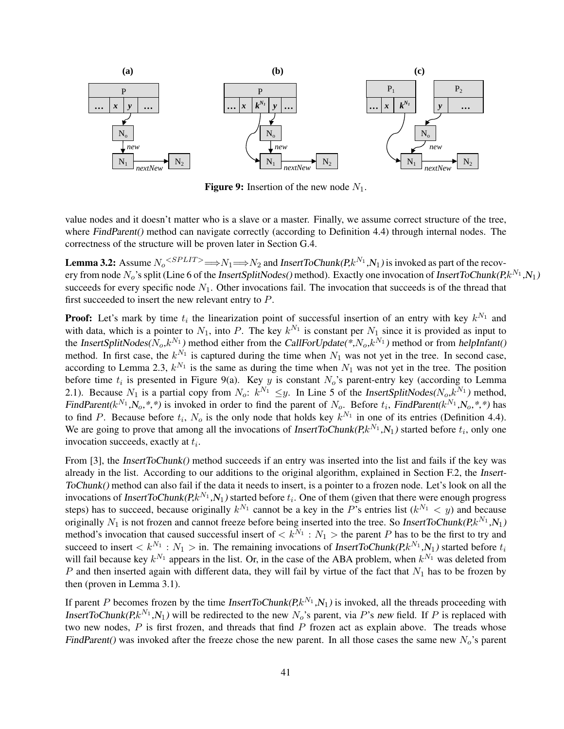

**Figure 9:** Insertion of the new node  $N_1$ .

value nodes and it doesn't matter who is a slave or a master. Finally, we assume correct structure of the tree, where FindParent() method can navigate correctly (according to Definition 4.4) through internal nodes. The correctness of the structure will be proven later in Section G.4.

succeeds for every specific node  $N_1$ . Other invocations fail. The invocation that succeeds is of the thread that **Lemma 3.2:** Assume  $N_o$ <sup><SPLIT></sup> $\implies$  $N_1 \implies N_2$  and InsertToChunk( $P_k k^{N_1}$ , $N_1$ ) is invoked as part of the recovery from node  $N_o$ 's split (Line 6 of the InsertSplitNodes() method). Exactly one invocation of InsertToChunk(P,k $^{N_1},$ N<sub>1</sub>) first succeeded to insert the new relevant entry to P.

**Proof:** Let's mark by time  $t_i$  the linearization point of successful insertion of an entry with key  $k^{N_1}$  and with data, which is a pointer to  $N_1$ , into P. The key  $k^{N_1}$  is constant per  $N_1$  since it is provided as input to the InsertSplitNodes( $N_o, k^{N_1}$ ) method either from the CallForUpdate(\*, $N_o, k^{N_1}$ ) method or from helpInfant() method. In first case, the  $k^{N_1}$  is captured during the time when  $N_1$  was not yet in the tree. In second case, according to Lemma 2.3,  $k^{N_1}$  is the same as during the time when  $N_1$  was not yet in the tree. The position before time  $t_i$  is presented in Figure 9(a). Key y is constant  $N_o$ 's parent-entry key (according to Lemma 2.1). Because  $N_1$  is a partial copy from  $N_0$ :  $k^{N_1} \leq y$ . In Line 5 of the InsertSplitNodes( $N_0, k^{N_1}$ ) method, FindParent( $k^{N_1}, N_0, *, *$ ) is invoked in order to find the parent of  $N_0$ . Before  $t_i$ , FindParent( $k^{N_1}, N_0, *, *$ ) has to find P. Because before  $t_i$ ,  $N_o$  is the only node that holds key  $k^{N_1}$  in one of its entries (Definition 4.4). We are going to prove that among all the invocations of InsertToChunk( $P, k^{N_1}, N_1$ ) started before  $t_i$ , only one invocation succeeds, exactly at  $t_i$ .

From [3], the *InsertToChunk()* method succeeds if an entry was inserted into the list and fails if the key was already in the list. According to our additions to the original algorithm, explained in Section F.2, the Insert-ToChunk() method can also fail if the data it needs to insert, is a pointer to a frozen node. Let's look on all the invocations of InsertToChunk( $P_k k^{N_1}$ , $N_1$ ) started before  $t_i$ . One of them (given that there were enough progress steps) has to succeed, because originally  $k^{N_1}$  cannot be a key in the P's entries list  $(k^{N_1} < y)$  and because originally  $N_1$  is not frozen and cannot freeze before being inserted into the tree. So InsertToChunk( $P, k^{N_1}, N_1$ ) method's invocation that caused successful insert of  $\langle k^{N_1} : N_1 \rangle$  the parent P has to be the first to try and succeed to insert  $\langle k^{N_1} : N_1 \rangle$  in. The remaining invocations of InsertToChunk(P, $k^{N_1}$ ,N<sub>1</sub>) started before  $t_i$ will fail because key  $k^{N_1}$  appears in the list. Or, in the case of the ABA problem, when  $k^{N_1}$  was deleted from P and then inserted again with different data, they will fail by virtue of the fact that  $N_1$  has to be frozen by then (proven in Lemma 3.1).

If parent P becomes frozen by the time InsertToChunk( $P_k^{N_1}, N_1$ ) is invoked, all the threads proceeding with InsertToChunk(P, $k^{N_1}$ ,N<sub>1</sub>) will be redirected to the new N<sub>o</sub>'s parent, via P's new field. If P is replaced with two new nodes,  $P$  is first frozen, and threads that find  $P$  frozen act as explain above. The treads whose FindParent() was invoked after the freeze chose the new parent. In all those cases the same new  $N_o$ 's parent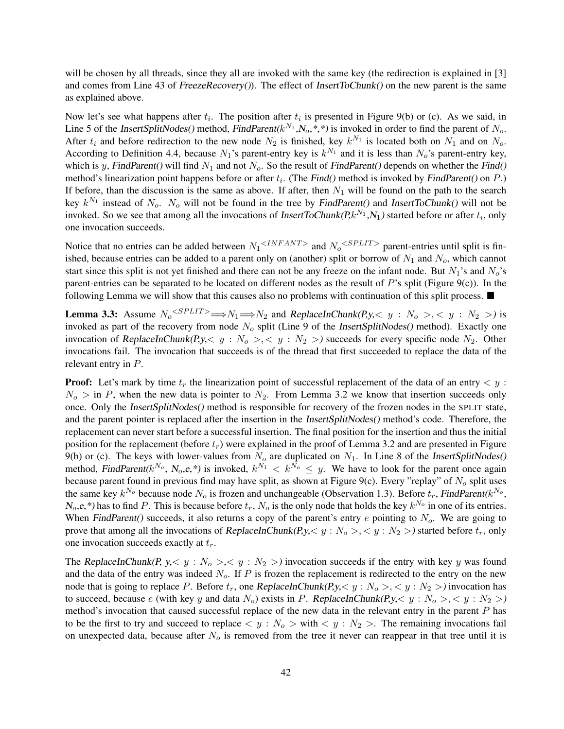will be chosen by all threads, since they all are invoked with the same key (the redirection is explained in [3] and comes from Line 43 of FreezeRecovery()). The effect of InsertToChunk() on the new parent is the same as explained above.

Now let's see what happens after  $t_i$ . The position after  $t_i$  is presented in Figure 9(b) or (c). As we said, in Line 5 of the InsertSplitNodes() method, FindParent( $k^{N_1}$ , $N_0$ ,\*,\*) is invoked in order to find the parent of  $N_0$ . After  $t_i$  and before redirection to the new node  $N_2$  is finished, key  $k^{N_1}$  is located both on  $N_1$  and on  $N_0$ . According to Definition 4.4, because  $N_1$ 's parent-entry key is  $k^{N_1}$  and it is less than  $N_o$ 's parent-entry key, which is y, FindParent() will find  $N_1$  and not  $N_0$ . So the result of FindParent() depends on whether the Find() method's linearization point happens before or after  $t_i$ . (The Find() method is invoked by FindParent() on  $P$ .) If before, than the discussion is the same as above. If after, then  $N_1$  will be found on the path to the search key  $k^{N_1}$  instead of  $N_o$ .  $N_o$  will not be found in the tree by FindParent() and InsertToChunk() will not be invoked. So we see that among all the invocations of InsertToChunk( $P_k k^{N_1}$ , $N_1$ ) started before or after  $t_i$ , only one invocation succeeds.

Notice that no entries can be added between  $N_1 \leq N_1 \leq N_2 \leq N_1$  and  $N_0 \leq S_1$  parent-entries until split is finished, because entries can be added to a parent only on (another) split or borrow of  $N_1$  and  $N_0$ , which cannot start since this split is not yet finished and there can not be any freeze on the infant node. But  $N_1$ 's and  $N_o$ 's parent-entries can be separated to be located on different nodes as the result of  $P$ 's split (Figure 9(c)). In the following Lemma we will show that this causes also no problems with continuation of this split process.

**Lemma 3.3:** Assume  $N_o \leq SPLIT \geq N_1 \Longrightarrow N_2$  and ReplaceInChunk(P,y,  $\lt y : N_o \gt, \lt y : N_2 \gt)$  is invoked as part of the recovery from node  $N<sub>o</sub>$  split (Line 9 of the InsertSplitNodes() method). Exactly one invocation of ReplaceInChunk(P,y,  $\lt y : N_o > \lt y : N_2 >$ ) succeeds for every specific node N<sub>2</sub>. Other invocations fail. The invocation that succeeds is of the thread that first succeeded to replace the data of the relevant entry in P.

**Proof:** Let's mark by time  $t_r$  the linearization point of successful replacement of the data of an entry  $\lt y$ :  $N<sub>o</sub> >$  in P, when the new data is pointer to  $N<sub>2</sub>$ . From Lemma 3.2 we know that insertion succeeds only once. Only the InsertSplitNodes() method is responsible for recovery of the frozen nodes in the SPLIT state, and the parent pointer is replaced after the insertion in the InsertSplitNodes() method's code. Therefore, the replacement can never start before a successful insertion. The final position for the insertion and thus the initial position for the replacement (before  $t_r$ ) were explained in the proof of Lemma 3.2 and are presented in Figure 9(b) or (c). The keys with lower-values from  $N_0$  are duplicated on  $N_1$ . In Line 8 of the InsertSplitNodes() method, FindParent( $k^{N_o}$ , N<sub>o</sub>,e,\*) is invoked,  $k^{N_1} < k^{N_o} \leq y$ . We have to look for the parent once again because parent found in previous find may have split, as shown at Figure 9(c). Every "replay" of  $N_o$  split uses the same key  $k^{N_o}$  because node  $N_o$  is frozen and unchangeable (Observation 1.3). Before  $t_r$ , FindParent( $k^{N_o}$ ,  $N_o,e,*$ ) has to find P. This is because before  $t_r$ ,  $N_o$  is the only node that holds the key  $k^{N_o}$  in one of its entries. When FindParent() succeeds, it also returns a copy of the parent's entry  $e$  pointing to  $N<sub>o</sub>$ . We are going to prove that among all the invocations of ReplaceInChunk(P,y,  $\lt y : N_o > \lt y : N_2 >$ ) started before  $t_r$ , only one invocation succeeds exactly at  $t_r$ .

The ReplaceInChunk(P, y,  $\lt y : N_o \gt, \lt y : N_2 \gt)$  invocation succeeds if the entry with key y was found and the data of the entry was indeed  $N<sub>o</sub>$ . If P is frozen the replacement is redirected to the entry on the new node that is going to replace P. Before  $t_r$ , one ReplaceInChunk(P,y,  $y : N_o > v$ ,  $y : N_2 > v$ ) invocation has to succeed, because e (with key y and data  $N_o$ ) exists in P. ReplaceInChunk(P,y,  $\langle y : N_o \rangle$ ,  $\langle y : N_2 \rangle$ ) method's invocation that caused successful replace of the new data in the relevant entry in the parent P has to be the first to try and succeed to replace  $y : N_0 > \text{with} < y : N_2 > \text{.}$  The remaining invocations fail on unexpected data, because after  $N<sub>o</sub>$  is removed from the tree it never can reappear in that tree until it is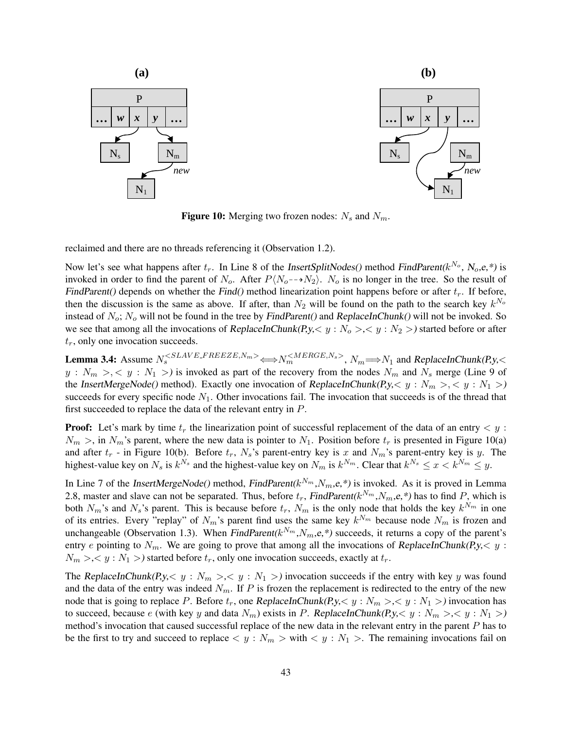



**Figure 10:** Merging two frozen nodes:  $N_s$  and  $N_m$ .

reclaimed and there are no threads referencing it (Observation 1.2).

Now let's see what happens after  $t_r$ . In Line 8 of the InsertSplitNodes() method FindParent( $k^{N_o}$ ,  $N_o$ ,e,\*) is invoked in order to find the parent of  $N_o$ . After  $P\langle N_o \rightarrow N_2 \rangle$ .  $N_o$  is no longer in the tree. So the result of FindParent() depends on whether the Find() method linearization point happens before or after  $t_r$ . If before, then the discussion is the same as above. If after, than  $N_2$  will be found on the path to the search key  $k^{N_o}$ instead of  $N_o$ ;  $N_o$  will not be found in the tree by FindParent() and ReplaceInChunk() will not be invoked. So we see that among all the invocations of ReplaceInChunk(P,y,  $y : N_o > 0$ ,  $y : N_2 > 0$  started before or after  $t_r$ , only one invocation succeeds.

**Lemma 3.4:** Assume  $N_s^{}\Longleftrightarrow N_m^{}, N_m \Longrightarrow N_1$  and ReplaceInChunk(P,y,<  $y: N_m > z \leq y: N_1 >$  is invoked as part of the recovery from the nodes  $N_m$  and  $N_s$  merge (Line 9 of the InsertMergeNode() method). Exactly one invocation of ReplaceInChunk(P,y,  $\langle y : N_m \rangle$ ,  $\langle y : N_1 \rangle$ ) succeeds for every specific node  $N_1$ . Other invocations fail. The invocation that succeeds is of the thread that first succeeded to replace the data of the relevant entry in P.

**Proof:** Let's mark by time  $t_r$  the linearization point of successful replacement of the data of an entry  $\lt y$ :  $N_m >$ , in  $N_m$ 's parent, where the new data is pointer to  $N_1$ . Position before  $t_r$  is presented in Figure 10(a) and after  $t_r$  - in Figure 10(b). Before  $t_r$ ,  $N_s$ 's parent-entry key is x and  $N_m$ 's parent-entry key is y. The highest-value key on  $N_s$  is  $k^{N_s}$  and the highest-value key on  $N_m$  is  $k^{N_m}$ . Clear that  $k^{N_s} \le x < k^{N_m} \le y$ .

In Line 7 of the InsertMergeNode() method,  $FindParent(k^{N_m}, N_m, e, *)$  is invoked. As it is proved in Lemma 2.8, master and slave can not be separated. Thus, before  $t_r$ , FindParent( $k^{N_m}$ , $N_m$ , $e, *$ ) has to find P, which is both  $N_m$ 's and  $N_s$ 's parent. This is because before  $t_r$ ,  $N_m$  is the only node that holds the key  $k^{N_m}$  in one of its entries. Every "replay" of  $N_m$ 's parent find uses the same key  $k^{N_m}$  because node  $N_m$  is frozen and unchangeable (Observation 1.3). When  $FindParent(k^{N_m}, N_m, e, *)$  succeeds, it returns a copy of the parent's entry e pointing to  $N_m$ . We are going to prove that among all the invocations of ReplaceInChunk(P,y,  $\lt y$  :  $N_m$  >,< y:  $N_1$  >) started before  $t_r$ , only one invocation succeeds, exactly at  $t_r$ .

The ReplaceInChunk(P,y,<  $y : N_m$  >,<  $y : N_1$  >) invocation succeeds if the entry with key y was found and the data of the entry was indeed  $N_m$ . If P is frozen the replacement is redirected to the entry of the new node that is going to replace P. Before  $t_r$ , one ReplaceInChunk(P,y,  $\lt y : N_m \gt, \lt y : N_1 \gt)$  invocation has to succeed, because e (with key y and data  $N_m$ ) exists in P. ReplaceInChunk(P,y,  $y : N_m > 0$ ,  $y : N_1 > 0$ method's invocation that caused successful replace of the new data in the relevant entry in the parent P has to be the first to try and succeed to replace  $\langle y : N_m \rangle$  with  $\langle y : N_1 \rangle$ . The remaining invocations fail on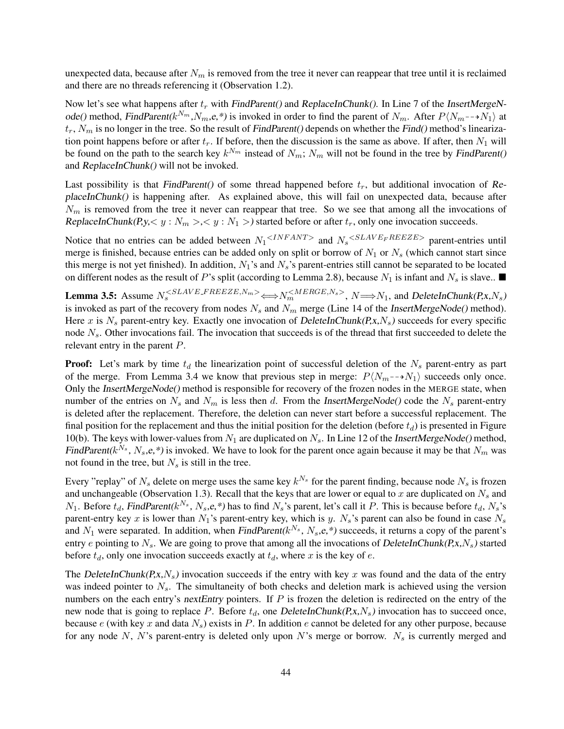unexpected data, because after  $N_m$  is removed from the tree it never can reappear that tree until it is reclaimed and there are no threads referencing it (Observation 1.2).

Now let's see what happens after  $t_r$  with FindParent() and ReplaceInChunk(). In Line 7 of the InsertMergeNode() method, FindParent( $k^{N_m},N_m,e,*$ ) is invoked in order to find the parent of  $N_m$ . After  $P\langle N_m-\rightarrow N_1\rangle$  at  $t_r$ ,  $N_m$  is no longer in the tree. So the result of FindParent() depends on whether the Find() method's linearization point happens before or after  $t_r$ . If before, then the discussion is the same as above. If after, then  $N_1$  will be found on the path to the search key  $k^{N_m}$  instead of  $N_m$ ;  $N_m$  will not be found in the tree by FindParent() and ReplaceInChunk() will not be invoked.

Last possibility is that FindParent() of some thread happened before  $t_r$ , but additional invocation of ReplaceInChunk() is happening after. As explained above, this will fail on unexpected data, because after  $N_m$  is removed from the tree it never can reappear that tree. So we see that among all the invocations of ReplaceInChunk(P,y,  $y : N_m > 0$ ;  $N_1 > 0$  started before or after  $t_r$ , only one invocation succeeds.

Notice that no entries can be added between  $N_1 \leq INFANT >$  and  $N_s \leq SLAVE_FREEZE >$  parent-entries until merge is finished, because entries can be added only on split or borrow of  $N_1$  or  $N_s$  (which cannot start since this merge is not yet finished). In addition,  $N_1$ 's and  $N_s$ 's parent-entries still cannot be separated to be located on different nodes as the result of P's split (according to Lemma 2.8), because  $N_1$  is infant and  $N_s$  is slave..

**Lemma 3.5:** Assume  $N_s^{ \iff N_m^{}, N \Longrightarrow N_1$ , and DeleteInChunk(P,x, N<sub>s</sub>) is invoked as part of the recovery from nodes  $N_s$  and  $N_m$  merge (Line 14 of the InsertMergeNode() method). Here x is  $N_s$  parent-entry key. Exactly one invocation of DeleteInChunk(P,x, $N_s$ ) succeeds for every specific node  $N_s$ . Other invocations fail. The invocation that succeeds is of the thread that first succeeded to delete the relevant entry in the parent P.

**Proof:** Let's mark by time  $t_d$  the linearization point of successful deletion of the  $N_s$  parent-entry as part of the merge. From Lemma 3.4 we know that previous step in merge:  $P\langle N_m \rightarrow N_1 \rangle$  succeeds only once. Only the InsertMergeNode() method is responsible for recovery of the frozen nodes in the MERGE state, when number of the entries on  $N_s$  and  $N_m$  is less then d. From the InsertMergeNode() code the  $N_s$  parent-entry is deleted after the replacement. Therefore, the deletion can never start before a successful replacement. The final position for the replacement and thus the initial position for the deletion (before  $t_d$ ) is presented in Figure 10(b). The keys with lower-values from  $N_1$  are duplicated on  $N_s$ . In Line 12 of the InsertMergeNode() method, FindParent( $k^{N_s}$ ,  $N_s$ ,e,\*) is invoked. We have to look for the parent once again because it may be that  $N_m$  was not found in the tree, but  $N<sub>s</sub>$  is still in the tree.

Every "replay" of  $N_s$  delete on merge uses the same key  $k^{N_s}$  for the parent finding, because node  $N_s$  is frozen and unchangeable (Observation 1.3). Recall that the keys that are lower or equal to x are duplicated on  $N_s$  and  $N_1$ . Before  $t_d$ , FindParent( $k^{N_s}$ ,  $N_s$ ,e,\*) has to find  $N_s$ 's parent, let's call it P. This is because before  $t_d$ ,  $N_s$ 's parent-entry key x is lower than  $N_1$ 's parent-entry key, which is y.  $N_s$ 's parent can also be found in case  $N_s$ and  $N_1$  were separated. In addition, when FindParent( $k^{N_s}$ ,  $N_s$ ,e,\*) succeeds, it returns a copy of the parent's entry e pointing to  $N_s$ . We are going to prove that among all the invocations of DeleteInChunk(P,x, $N_s$ ) started before  $t_d$ , only one invocation succeeds exactly at  $t_d$ , where x is the key of e.

The DeleteInChunk(P,x, $N_s$ ) invocation succeeds if the entry with key x was found and the data of the entry was indeed pointer to  $N_s$ . The simultaneity of both checks and deletion mark is achieved using the version numbers on the each entry's nextEntry pointers. If  $P$  is frozen the deletion is redirected on the entry of the new node that is going to replace P. Before  $t_d$ , one DeleteInChunk(P,x, $N_s$ ) invocation has to succeed once, because e (with key x and data  $N_s$ ) exists in P. In addition e cannot be deleted for any other purpose, because for any node N, N's parent-entry is deleted only upon N's merge or borrow.  $N_s$  is currently merged and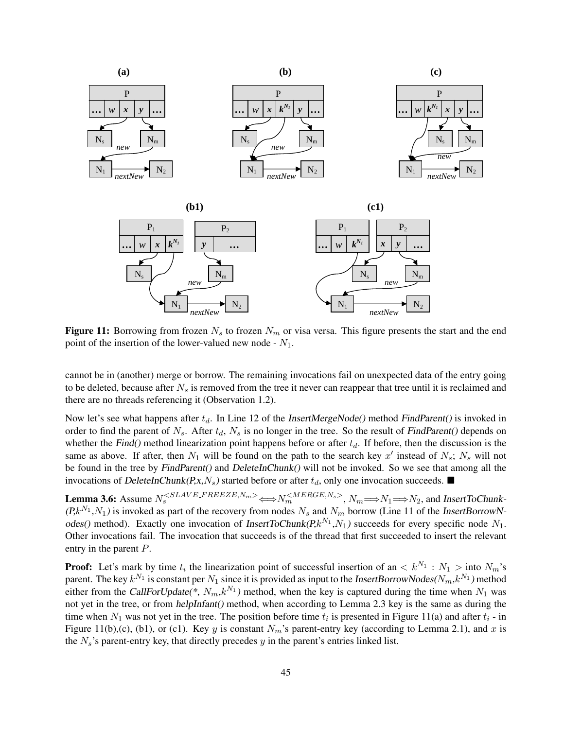



Figure 11: Borrowing from frozen  $N_s$  to frozen  $N_m$  or visa versa. This figure presents the start and the end point of the insertion of the lower-valued new node -  $N_1$ .

cannot be in (another) merge or borrow. The remaining invocations fail on unexpected data of the entry going to be deleted, because after  $N_s$  is removed from the tree it never can reappear that tree until it is reclaimed and there are no threads referencing it (Observation 1.2).

Now let's see what happens after  $t_d$ . In Line 12 of the InsertMergeNode() method FindParent() is invoked in order to find the parent of  $N_s$ . After  $t_d$ ,  $N_s$  is no longer in the tree. So the result of FindParent() depends on whether the Find() method linearization point happens before or after  $t_d$ . If before, then the discussion is the same as above. If after, then  $N_1$  will be found on the path to the search key  $x'$  instead of  $N_s$ ;  $N_s$  will not be found in the tree by FindParent() and DeleteInChunk() will not be invoked. So we see that among all the invocations of DeleteInChunk(P,x, N<sub>s</sub>) started before or after  $t_d$ , only one invocation succeeds.

**Lemma 3.6:** Assume  $N_s^{}\iff N_m^{}, N_m \Longrightarrow N_1 \Longrightarrow N_2$ , and InsertToChunk- $(P, k^{N_1}, N_1)$  is invoked as part of the recovery from nodes  $N_s$  and  $N_m$  borrow (Line 11 of the InsertBorrowNodes() method). Exactly one invocation of InsertToChunk( $P, k^{N_1}, N_1$ ) succeeds for every specific node  $N_1$ . Other invocations fail. The invocation that succeeds is of the thread that first succeeded to insert the relevant entry in the parent P.

**Proof:** Let's mark by time  $t_i$  the linearization point of successful insertion of an  $\lt k^{N_1}$  :  $N_1$   $>$  into  $N_m$ 's parent. The key  $k^{N_1}$  is constant per  $N_1$  since it is provided as input to the InsertBorrowNodes( $N_m, k^{N_1}$ ) method either from the CallForUpdate(\*,  $N_m, k^{N_1}$ ) method, when the key is captured during the time when  $N_1$  was not yet in the tree, or from helpInfant() method, when according to Lemma 2.3 key is the same as during the time when  $N_1$  was not yet in the tree. The position before time  $t_i$  is presented in Figure 11(a) and after  $t_i$  - in Figure 11(b),(c), (b1), or (c1). Key y is constant  $N_m$ 's parent-entry key (according to Lemma 2.1), and x is the  $N_s$ 's parent-entry key, that directly precedes  $y$  in the parent's entries linked list.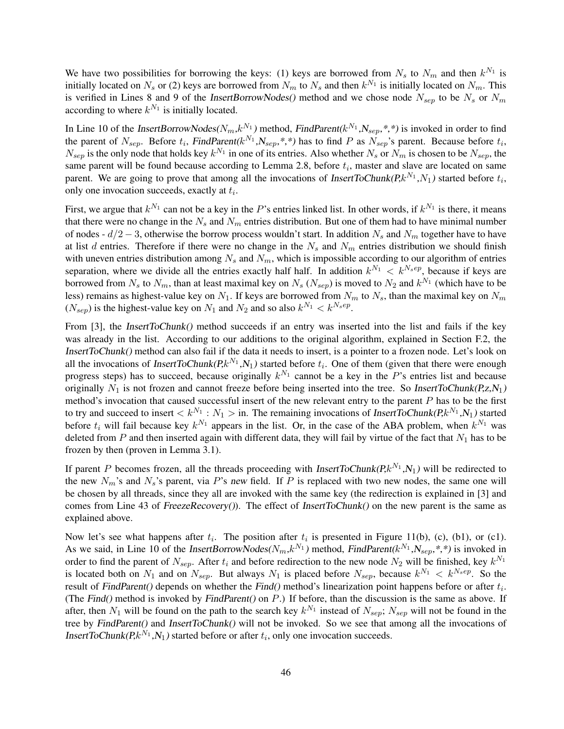We have two possibilities for borrowing the keys: (1) keys are borrowed from  $N_s$  to  $N_m$  and then  $k^{N_1}$  is initially located on  $N_s$  or (2) keys are borrowed from  $N_m$  to  $N_s$  and then  $k^{N_1}$  is initially located on  $N_m$ . This is verified in Lines 8 and 9 of the InsertBorrowNodes() method and we chose node  $N_{sep}$  to be  $N_s$  or  $N_m$ according to where  $k^{N_1}$  is initially located.

In Line 10 of the InsertBorrowNodes( $N_m, k^{N_1}$ ) method, FindParent( $k^{N_1}, N_{sep}, *, *$ ) is invoked in order to find the parent of  $N_{sep}$ . Before  $t_i$ , FindParent( $k^{N_1}$ ,  $N_{sep}$ , \*,\*) has to find P as  $N_{sep}$ 's parent. Because before  $t_i$ ,  $N_{sep}$  is the only node that holds key  $k^{N_1}$  in one of its entries. Also whether  $N_s$  or  $N_m$  is chosen to be  $N_{sep}$ , the same parent will be found because according to Lemma 2.8, before  $t_i$ , master and slave are located on same parent. We are going to prove that among all the invocations of InsertToChunk( $P, k^{N_1}, N_1$ ) started before  $t_i$ , only one invocation succeeds, exactly at  $t_i$ .

First, we argue that  $k^{N_1}$  can not be a key in the P's entries linked list. In other words, if  $k^{N_1}$  is there, it means that there were no change in the  $N_s$  and  $N_m$  entries distribution. But one of them had to have minimal number of nodes -  $d/2 - 3$ , otherwise the borrow process wouldn't start. In addition  $N_s$  and  $N_m$  together have to have at list d entries. Therefore if there were no change in the  $N_s$  and  $N_m$  entries distribution we should finish with uneven entries distribution among  $N_s$  and  $N_m$ , which is impossible according to our algorithm of entries separation, where we divide all the entries exactly half half. In addition  $k^{N_1} < k^{N_s e p}$ , because if keys are borrowed from  $N_s$  to  $N_m$ , than at least maximal key on  $N_s$  ( $N_{sep}$ ) is moved to  $N_2$  and  $k^{N_1}$  (which have to be less) remains as highest-value key on  $N_1$ . If keys are borrowed from  $N_m$  to  $N_s$ , than the maximal key on  $N_m$  $(N_{sep})$  is the highest-value key on  $N_1$  and  $N_2$  and so also  $k^{N_1} < k^{N_sep}$ .

From [3], the *InsertToChunk()* method succeeds if an entry was inserted into the list and fails if the key was already in the list. According to our additions to the original algorithm, explained in Section F.2, the InsertToChunk() method can also fail if the data it needs to insert, is a pointer to a frozen node. Let's look on all the invocations of InsertToChunk( $P_k^{N_1}, N_1$ ) started before  $t_i$ . One of them (given that there were enough progress steps) has to succeed, because originally  $k^{N_1}$  cannot be a key in the P's entries list and because originally  $N_1$  is not frozen and cannot freeze before being inserted into the tree. So InsertToChunk(P,z,N<sub>1</sub>) method's invocation that caused successful insert of the new relevant entry to the parent  $P$  has to be the first to try and succeed to insert  $\lt k^{N_1}$  :  $N_1 >$  in. The remaining invocations of InsertToChunk(P, $k^{N_1}$ ,N<sub>1</sub>) started before  $t_i$  will fail because key  $k^{N_1}$  appears in the list. Or, in the case of the ABA problem, when  $k^{N_1}$  was deleted from  $P$  and then inserted again with different data, they will fail by virtue of the fact that  $N_1$  has to be frozen by then (proven in Lemma 3.1).

If parent P becomes frozen, all the threads proceeding with InsertToChunk $(P, k^{N_1}, N_1)$  will be redirected to the new  $N_m$ 's and  $N_s$ 's parent, via P's new field. If P is replaced with two new nodes, the same one will be chosen by all threads, since they all are invoked with the same key (the redirection is explained in [3] and comes from Line 43 of FreezeRecovery()). The effect of InsertToChunk() on the new parent is the same as explained above.

Now let's see what happens after  $t_i$ . The position after  $t_i$  is presented in Figure 11(b), (c), (b1), or (c1). As we said, in Line 10 of the InsertBorrowNodes( $N_m, k^{N_1}$ ) method, FindParent( $k^{N_1}, N_{sep}, *, *$ ) is invoked in order to find the parent of  $N_{sep}$ . After  $t_i$  and before redirection to the new node  $N_2$  will be finished, key  $k^{N_1}$ is located both on  $N_1$  and on  $N_{sep}$ . But always  $N_1$  is placed before  $N_{sep}$ , because  $k^{N_1} < k^{N_sep}$ . So the result of FindParent() depends on whether the Find() method's linearization point happens before or after  $t_i$ . (The Find() method is invoked by FindParent() on  $P$ .) If before, than the discussion is the same as above. If after, then  $N_1$  will be found on the path to the search key  $k^{N_1}$  instead of  $N_{sep}$ ;  $N_{sep}$  will not be found in the tree by FindParent() and InsertToChunk() will not be invoked. So we see that among all the invocations of InsertToChunk( $P, k^{N_1}, N_1$ ) started before or after  $t_i$ , only one invocation succeeds.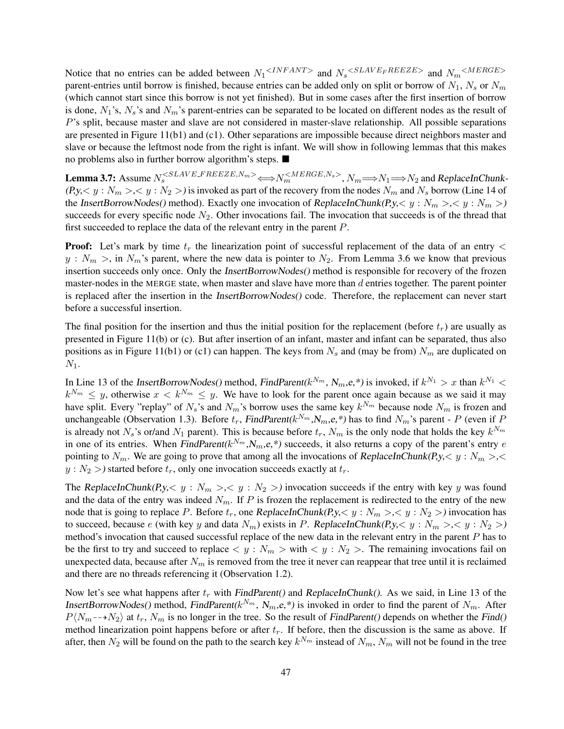Notice that no entries can be added between  $N_1 \leq N_1 \leq N_2 \leq N_3 \leq SLAVE_FREEZE > 0$  and  $N_m \leq MERGE > 0$ parent-entries until borrow is finished, because entries can be added only on split or borrow of  $N_1$ ,  $N_s$  or  $N_m$ (which cannot start since this borrow is not yet finished). But in some cases after the first insertion of borrow is done,  $N_1$ 's,  $N_s$ 's and  $N_m$ 's parent-entries can be separated to be located on different nodes as the result of P's split, because master and slave are not considered in master-slave relationship. All possible separations are presented in Figure 11(b1) and (c1). Other separations are impossible because direct neighbors master and slave or because the leftmost node from the right is infant. We will show in following lemmas that this makes no problems also in further borrow algorithm's steps.

**Lemma 3.7:** Assume  $N_s^{}\Longleftrightarrow N_m^{}, N_m \Longrightarrow N_1 \Longrightarrow N_2$  and ReplaceInChunk- $(P, y, \leq y : N_m > \leq y : N_2 >)$  is invoked as part of the recovery from the nodes  $N_m$  and  $N_s$  borrow (Line 14 of the InsertBorrowNodes() method). Exactly one invocation of ReplaceInChunk(P,y,  $y : N_m > v \leq y : N_m >$ succeeds for every specific node  $N_2$ . Other invocations fail. The invocation that succeeds is of the thread that first succeeded to replace the data of the relevant entry in the parent P.

**Proof:** Let's mark by time  $t_r$  the linearization point of successful replacement of the data of an entry  $\lt$  $y : N_m >$ , in  $N_m$ 's parent, where the new data is pointer to  $N_2$ . From Lemma 3.6 we know that previous insertion succeeds only once. Only the InsertBorrowNodes() method is responsible for recovery of the frozen master-nodes in the MERGE state, when master and slave have more than d entries together. The parent pointer is replaced after the insertion in the *InsertBorrowNodes()* code. Therefore, the replacement can never start before a successful insertion.

The final position for the insertion and thus the initial position for the replacement (before  $t_r$ ) are usually as presented in Figure 11(b) or (c). But after insertion of an infant, master and infant can be separated, thus also positions as in Figure 11(b1) or (c1) can happen. The keys from  $N_s$  and (may be from)  $N_m$  are duplicated on  $N_1$ .

In Line 13 of the InsertBorrowNodes() method, FindParent( $k^{N_m}$ ,  $N_m$ ,e,\*) is invoked, if  $k^{N_1} > x$  than  $k^{N_1} <$  $k^{N_m} \leq y$ , otherwise  $x < k^{N_m} \leq y$ . We have to look for the parent once again because as we said it may have split. Every "replay" of  $N_s$ 's and  $N_m$ 's borrow uses the same key  $k^{N_m}$  because node  $N_m$  is frozen and unchangeable (Observation 1.3). Before  $t_r$ , FindParent( $k^{N_m}$ , $N_m$ , $e$ ,\*) has to find  $N_m$ 's parent - P (even if P is already not  $N_s$ 's or/and  $N_1$  parent). This is because before  $t_r$ ,  $N_m$  is the only node that holds the key  $k^{N_m}$ in one of its entries. When FindParent( $k^{N_m}$ , $N_m$ , $e$ ,\*) succeeds, it also returns a copy of the parent's entry e pointing to  $N_m$ . We are going to prove that among all the invocations of ReplaceInChunk(P,y,  $\lt y : N_m$ ),  $\lt$  $y: N_2 >$ ) started before  $t_r$ , only one invocation succeeds exactly at  $t_r$ .

The ReplaceInChunk(P,y,<  $y : N_m$  >,<  $y : N_2$  >) invocation succeeds if the entry with key y was found and the data of the entry was indeed  $N_m$ . If P is frozen the replacement is redirected to the entry of the new node that is going to replace P. Before  $t_r$ , one ReplaceInChunk(P,y,  $y : N_m >$ ,  $y : N_2 >$ ) invocation has to succeed, because e (with key y and data  $N_m$ ) exists in P. ReplaceInChunk(P,y,  $y : N_m > 0$ ,  $y : N_2 > 0$ method's invocation that caused successful replace of the new data in the relevant entry in the parent P has to be the first to try and succeed to replace  $y : N_m >$  with  $y : N_2 >$ . The remaining invocations fail on unexpected data, because after  $N_m$  is removed from the tree it never can reappear that tree until it is reclaimed and there are no threads referencing it (Observation 1.2).

Now let's see what happens after  $t_r$  with FindParent() and ReplaceInChunk(). As we said, in Line 13 of the InsertBorrowNodes() method, FindParent( $k^{N_m}$ , N<sub>m</sub>,e,\*) is invoked in order to find the parent of N<sub>m</sub>. After  $P(N_m-\rightarrow N_2)$  at  $t_r$ ,  $N_m$  is no longer in the tree. So the result of FindParent() depends on whether the Find() method linearization point happens before or after  $t_r$ . If before, then the discussion is the same as above. If after, then  $N_2$  will be found on the path to the search key  $k^{N_m}$  instead of  $N_m$ ,  $N_m$  will not be found in the tree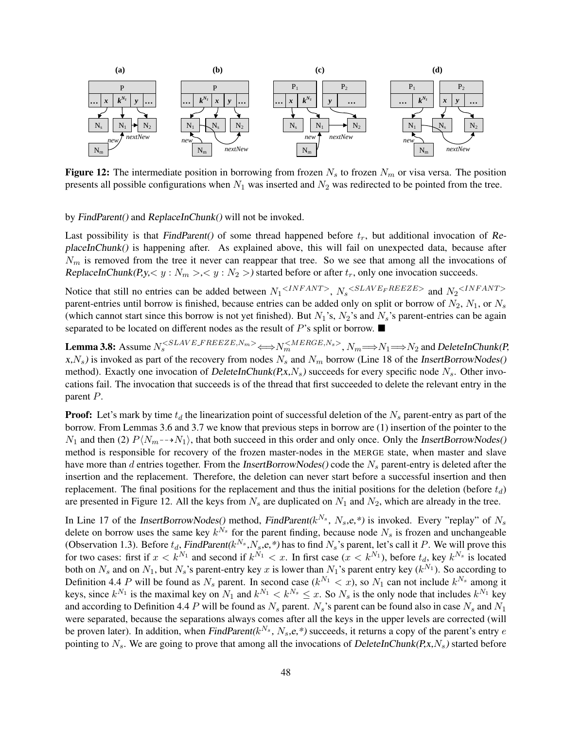

Figure 12: The intermediate position in borrowing from frozen  $N_s$  to frozen  $N_m$  or visa versa. The position presents all possible configurations when  $N_1$  was inserted and  $N_2$  was redirected to be pointed from the tree.

by FindParent() and ReplaceInChunk() will not be invoked.

Last possibility is that  $FindParent()$  of some thread happened before  $t_r$ , but additional invocation of ReplaceInChunk() is happening after. As explained above, this will fail on unexpected data, because after  $N_m$  is removed from the tree it never can reappear that tree. So we see that among all the invocations of ReplaceInChunk(P,y,  $< y : N_m > v < y : N_2 > 0$  started before or after  $t_r$ , only one invocation succeeds.

parent-entries until borrow is finished, because entries can be added only on split or borrow of  $N_2$ ,  $N_1$ , or  $N_s$ Notice that still no entries can be added between  $N_1 \leq INFANT$ ,  $N_s \leq SLAVE_FREEZE$  and  $N_2 \leq INFANT$ (which cannot start since this borrow is not yet finished). But  $N_1$ 's,  $N_2$ 's and  $N_s$ 's parent-entries can be again separated to be located on different nodes as the result of  $P$ 's split or borrow.

**Lemma 3.8:** Assume  $N_s^{}\Longleftrightarrow N_m^{}, N_m \Longrightarrow N_1 \Longrightarrow N_2$  and DeleteInChunk(P,  $x, N_s$ ) is invoked as part of the recovery from nodes  $N_s$  and  $N_m$  borrow (Line 18 of the InsertBorrowNodes() method). Exactly one invocation of DeleteInChunk( $P_{x}N_{s}$ ) succeeds for every specific node  $N_{s}$ . Other invocations fail. The invocation that succeeds is of the thread that first succeeded to delete the relevant entry in the parent P.

**Proof:** Let's mark by time  $t_d$  the linearization point of successful deletion of the  $N_s$  parent-entry as part of the borrow. From Lemmas 3.6 and 3.7 we know that previous steps in borrow are (1) insertion of the pointer to the  $N_1$  and then (2)  $P(N_m-\rightarrow N_1)$ , that both succeed in this order and only once. Only the InsertBorrowNodes() method is responsible for recovery of the frozen master-nodes in the MERGE state, when master and slave have more than d entries together. From the InsertBorrowNodes() code the  $N_s$  parent-entry is deleted after the insertion and the replacement. Therefore, the deletion can never start before a successful insertion and then replacement. The final positions for the replacement and thus the initial positions for the deletion (before  $t_d$ ) are presented in Figure 12. All the keys from  $N_s$  are duplicated on  $N_1$  and  $N_2$ , which are already in the tree.

In Line 17 of the InsertBorrowNodes() method, FindParent( $k^{N_s}$ ,  $N_s$ ,e,\*) is invoked. Every "replay" of  $N_s$ delete on borrow uses the same key  $k^{N_s}$  for the parent finding, because node  $N_s$  is frozen and unchangeable (Observation 1.3). Before  $t_d$ , FindParent( $k^{N_s}, N_s, e, *$ ) has to find  $N_s$ 's parent, let's call it P. We will prove this for two cases: first if  $x < k^{N_1}$  and second if  $k^{N_1} < x$ . In first case  $(x < k^{N_1})$ , before  $t_d$ , key  $k^{N_s}$  is located both on  $N_s$  and on  $N_1$ , but  $N_s$ 's parent-entry key x is lower than  $N_1$ 's parent entry key  $(k^{N_1})$ . So according to Definition 4.4 P will be found as  $N_s$  parent. In second case  $(k^{N_1} < x)$ , so  $N_1$  can not include  $k^{N_s}$  among it keys, since  $k^{N_1}$  is the maximal key on  $N_1$  and  $k^{N_1} < k^{N_s} \leq x$ . So  $N_s$  is the only node that includes  $k^{N_1}$  key and according to Definition 4.4 P will be found as  $N_s$  parent.  $N_s$ 's parent can be found also in case  $N_s$  and  $N_1$ were separated, because the separations always comes after all the keys in the upper levels are corrected (will be proven later). In addition, when  $FindParent(k^{N_s}, N_s, e, *)$  succeeds, it returns a copy of the parent's entry  $e$ pointing to  $N_s$ . We are going to prove that among all the invocations of DeleteInChunk(P,x,Ns) started before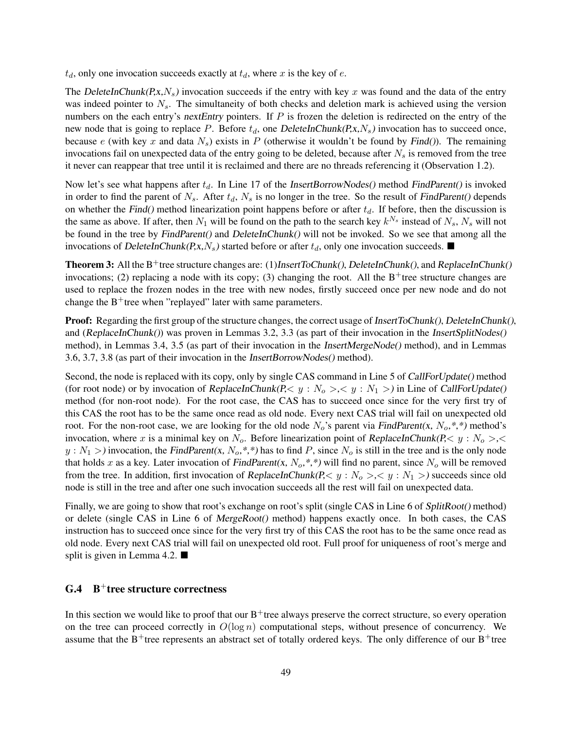$t_d$ , only one invocation succeeds exactly at  $t_d$ , where x is the key of e.

The DeleteInChunk(P,x,N<sub>s</sub>) invocation succeeds if the entry with key x was found and the data of the entry was indeed pointer to  $N_s$ . The simultaneity of both checks and deletion mark is achieved using the version numbers on the each entry's nextEntry pointers. If  $P$  is frozen the deletion is redirected on the entry of the new node that is going to replace P. Before  $t_d$ , one DeleteInChunk(P,x, $N_s$ ) invocation has to succeed once, because e (with key x and data  $N_s$ ) exists in P (otherwise it wouldn't be found by Find()). The remaining invocations fail on unexpected data of the entry going to be deleted, because after  $N_s$  is removed from the tree it never can reappear that tree until it is reclaimed and there are no threads referencing it (Observation 1.2).

Now let's see what happens after  $t_d$ . In Line 17 of the InsertBorrowNodes() method FindParent() is invoked in order to find the parent of  $N_s$ . After  $t_d$ ,  $N_s$  is no longer in the tree. So the result of FindParent() depends on whether the Find() method linearization point happens before or after  $t_d$ . If before, then the discussion is the same as above. If after, then  $N_1$  will be found on the path to the search key  $k^{N_s}$  instead of  $N_s$ ,  $N_s$  will not be found in the tree by FindParent() and DeleteInChunk() will not be invoked. So we see that among all the invocations of DeleteInChunk(P,x, N<sub>s</sub>) started before or after  $t_d$ , only one invocation succeeds.

**Theorem 3:** All the B<sup>+</sup>tree structure changes are: (1)InsertToChunk(), DeleteInChunk(), and ReplaceInChunk() invocations; (2) replacing a node with its copy; (3) changing the root. All the  $B<sup>+</sup>$ tree structure changes are used to replace the frozen nodes in the tree with new nodes, firstly succeed once per new node and do not change the  $B<sup>+</sup>$ tree when "replayed" later with same parameters.

Proof: Regarding the first group of the structure changes, the correct usage of InsertToChunk(), DeleteInChunk(), and (ReplaceInChunk()) was proven in Lemmas 3.2, 3.3 (as part of their invocation in the InsertSplitNodes() method), in Lemmas 3.4, 3.5 (as part of their invocation in the InsertMergeNode() method), and in Lemmas 3.6, 3.7, 3.8 (as part of their invocation in the InsertBorrowNodes() method).

Second, the node is replaced with its copy, only by single CAS command in Line 5 of CallForUpdate() method (for root node) or by invocation of ReplaceInChunk(P,<  $y : N_0 \geq,$   $(y : N_1 \geq)$  in Line of CallForUpdate() method (for non-root node). For the root case, the CAS has to succeed once since for the very first try of this CAS the root has to be the same once read as old node. Every next CAS trial will fail on unexpected old root. For the non-root case, we are looking for the old node  $N_o$ 's parent via FindParent(x,  $N_o$ ,\*,\*) method's invocation, where x is a minimal key on  $N_o$ . Before linearization point of ReplaceInChunk(P,< y: N<sub>o</sub> >,<  $y: N_1 >$ ) invocation, the FindParent(x,  $N_0$ ,\*,\*) has to find P, since  $N_0$  is still in the tree and is the only node that holds x as a key. Later invocation of FindParent(x,  $N_o$ ,\*,\*) will find no parent, since  $N_o$  will be removed from the tree. In addition, first invocation of ReplaceInChunk(P,  $y : N_0 \geq, \leq y : N_1 \geq$ ) succeeds since old node is still in the tree and after one such invocation succeeds all the rest will fail on unexpected data.

Finally, we are going to show that root's exchange on root's split (single CAS in Line 6 of SplitRoot() method) or delete (single CAS in Line 6 of MergeRoot() method) happens exactly once. In both cases, the CAS instruction has to succeed once since for the very first try of this CAS the root has to be the same once read as old node. Every next CAS trial will fail on unexpected old root. Full proof for uniqueness of root's merge and split is given in Lemma 4.2.  $\blacksquare$ 

#### $G.4$  B<sup>+</sup>tree structure correctness

In this section we would like to proof that our  $B<sup>+</sup>$ tree always preserve the correct structure, so every operation on the tree can proceed correctly in  $O(\log n)$  computational steps, without presence of concurrency. We assume that the  $B^+$ tree represents an abstract set of totally ordered keys. The only difference of our  $B^+$ tree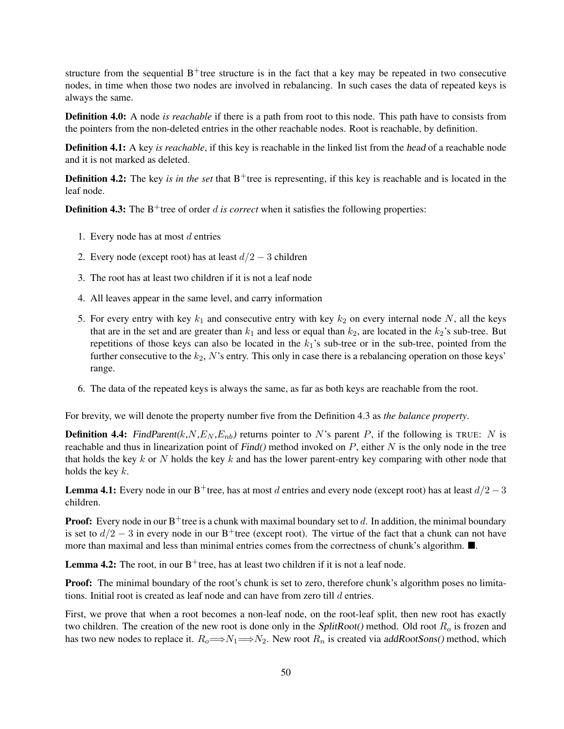structure from the sequential  $B<sup>+</sup>$ tree structure is in the fact that a key may be repeated in two consecutive nodes, in time when those two nodes are involved in rebalancing. In such cases the data of repeated keys is always the same.

**Definition 4.0:** A node *is reachable* if there is a path from root to this node. This path have to consists from the pointers from the non-deleted entries in the other reachable nodes. Root is reachable, by definition.

Definition 4.1: A key *is reachable*, if this key is reachable in the linked list from the head of a reachable node and it is not marked as deleted.

**Definition 4.2:** The key *is in the set* that  $B^+$ tree is representing, if this key is reachable and is located in the leaf node.

**Definition 4.3:** The  $B^+$  tree of order d is correct when it satisfies the following properties:

- 1. Every node has at most  $d$  entries
- 2. Every node (except root) has at least  $d/2 3$  children
- 3. The root has at least two children if it is not a leaf node
- 4. All leaves appear in the same level, and carry information
- 5. For every entry with key  $k_1$  and consecutive entry with key  $k_2$  on every internal node N, all the keys that are in the set and are greater than  $k_1$  and less or equal than  $k_2$ , are located in the  $k_2$ 's sub-tree. But repetitions of those keys can also be located in the  $k_1$ 's sub-tree or in the sub-tree, pointed from the further consecutive to the  $k_2$ , N's entry. This only in case there is a rebalancing operation on those keys' range.
- 6. The data of the repeated keys is always the same, as far as both keys are reachable from the root.

For brevity, we will denote the property number five from the Definition 4.3 as *the balance property*.

**Definition 4.4:** FindParent(k, N,  $E_N$ ,  $E_{nb}$ ) returns pointer to N's parent P, if the following is TRUE: N is reachable and thus in linearization point of  $Find()$  method invoked on  $P$ , either  $N$  is the only node in the tree that holds the key k or N holds the key k and has the lower parent-entry key comparing with other node that holds the key  $k$ .

**Lemma 4.1:** Every node in our B<sup>+</sup>tree, has at most d entries and every node (except root) has at least  $d/2 - 3$ children.

**Proof:** Every node in our  $B^+$  tree is a chunk with maximal boundary set to d. In addition, the minimal boundary is set to  $d/2 - 3$  in every node in our B<sup>+</sup>tree (except root). The virtue of the fact that a chunk can not have more than maximal and less than minimal entries comes from the correctness of chunk's algorithm.  $\blacksquare$ .

**Lemma 4.2:** The root, in our  $B^+$  tree, has at least two children if it is not a leaf node.

**Proof:** The minimal boundary of the root's chunk is set to zero, therefore chunk's algorithm poses no limitations. Initial root is created as leaf node and can have from zero till  $d$  entries.

First, we prove that when a root becomes a non-leaf node, on the root-leaf split, then new root has exactly two children. The creation of the new root is done only in the SplitRoot() method. Old root  $R_0$  is frozen and has two new nodes to replace it.  $R_0 \Longrightarrow N_1 \Longrightarrow N_2$ . New root  $R_n$  is created via addRootSons() method, which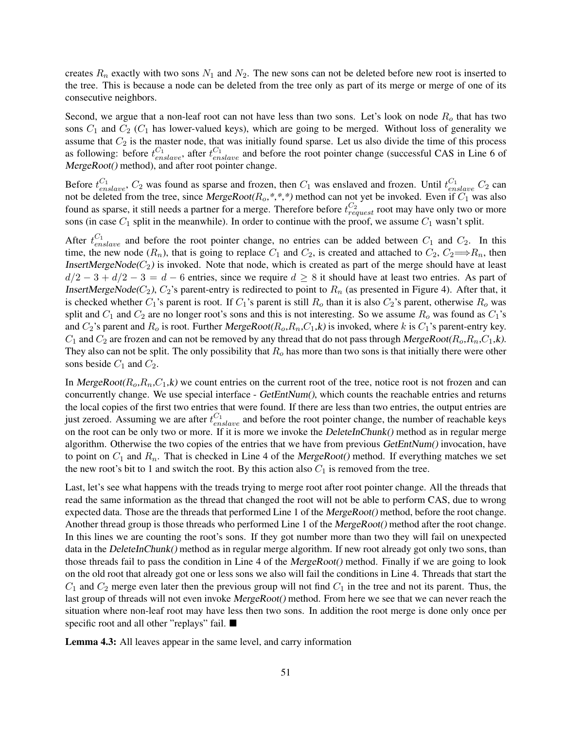creates  $R_n$  exactly with two sons  $N_1$  and  $N_2$ . The new sons can not be deleted before new root is inserted to the tree. This is because a node can be deleted from the tree only as part of its merge or merge of one of its consecutive neighbors.

Second, we argue that a non-leaf root can not have less than two sons. Let's look on node  $R<sub>o</sub>$  that has two sons  $C_1$  and  $C_2$  ( $C_1$  has lower-valued keys), which are going to be merged. Without loss of generality we assume that  $C_2$  is the master node, that was initially found sparse. Let us also divide the time of this process as following: before  $t_{enslave}^{C_1}$ , after  $t_{enslave}^{C_1}$  and before the root pointer change (successful CAS in Line 6 of MergeRoot() method), and after root pointer change.

Before  $t_{enslave}^{C_1}$ ,  $C_2$  was found as sparse and frozen, then  $C_1$  was enslaved and frozen. Until  $t_{enslave}^{C_1}$   $C_2$  can not be deleted from the tree, since  $MergeRoot(R_o, *, *,*)$  method can not yet be invoked. Even if  $C_1$  was also found as sparse, it still needs a partner for a merge. Therefore before  $t_{request}^{C_2}$  root may have only two or more sons (in case  $C_1$  split in the meanwhile). In order to continue with the proof, we assume  $C_1$  wasn't split.

After  $t_{enslave}^{C_1}$  and before the root pointer change, no entries can be added between  $C_1$  and  $C_2$ . In this time, the new node  $(R_n)$ , that is going to replace  $C_1$  and  $C_2$ , is created and attached to  $C_2, C_2 \Longrightarrow R_n$ , then InsertMergeNode( $C_2$ ) is invoked. Note that node, which is created as part of the merge should have at least  $d/2 - 3 + d/2 - 3 = d - 6$  entries, since we require  $d \geq 8$  it should have at least two entries. As part of InsertMergeNode( $C_2$ ),  $C_2$ 's parent-entry is redirected to point to  $R_n$  (as presented in Figure 4). After that, it is checked whether  $C_1$ 's parent is root. If  $C_1$ 's parent is still  $R_o$  than it is also  $C_2$ 's parent, otherwise  $R_o$  was split and  $C_1$  and  $C_2$  are no longer root's sons and this is not interesting. So we assume  $R_0$  was found as  $C_1$ 's and  $C_2$ 's parent and  $R_o$  is root. Further MergeRoot( $R_o, R_n, C_1, k$ ) is invoked, where k is  $C_1$ 's parent-entry key.  $C_1$  and  $C_2$  are frozen and can not be removed by any thread that do not pass through MergeRoot( $R_o, R_n, C_1, k$ ). They also can not be split. The only possibility that  $R<sub>o</sub>$  has more than two sons is that initially there were other sons beside  $C_1$  and  $C_2$ .

In MergeRoot( $R_o, R_n, C_1, k$ ) we count entries on the current root of the tree, notice root is not frozen and can concurrently change. We use special interface - GetEntNum(), which counts the reachable entries and returns the local copies of the first two entries that were found. If there are less than two entries, the output entries are just zeroed. Assuming we are after  $t_{enslave}^{C_1}$  and before the root pointer change, the number of reachable keys on the root can be only two or more. If it is more we invoke the DeleteInChunk() method as in regular merge algorithm. Otherwise the two copies of the entries that we have from previous GetEntNum() invocation, have to point on  $C_1$  and  $R_n$ . That is checked in Line 4 of the MergeRoot() method. If everything matches we set the new root's bit to 1 and switch the root. By this action also  $C_1$  is removed from the tree.

Last, let's see what happens with the treads trying to merge root after root pointer change. All the threads that read the same information as the thread that changed the root will not be able to perform CAS, due to wrong expected data. Those are the threads that performed Line 1 of the MergeRoot() method, before the root change. Another thread group is those threads who performed Line 1 of the MergeRoot() method after the root change. In this lines we are counting the root's sons. If they got number more than two they will fail on unexpected data in the DeleteInChunk() method as in regular merge algorithm. If new root already got only two sons, than those threads fail to pass the condition in Line 4 of the MergeRoot() method. Finally if we are going to look on the old root that already got one or less sons we also will fail the conditions in Line 4. Threads that start the  $C_1$  and  $C_2$  merge even later then the previous group will not find  $C_1$  in the tree and not its parent. Thus, the last group of threads will not even invoke MergeRoot() method. From here we see that we can never reach the situation where non-leaf root may have less then two sons. In addition the root merge is done only once per specific root and all other "replays" fail.  $\blacksquare$ 

Lemma 4.3: All leaves appear in the same level, and carry information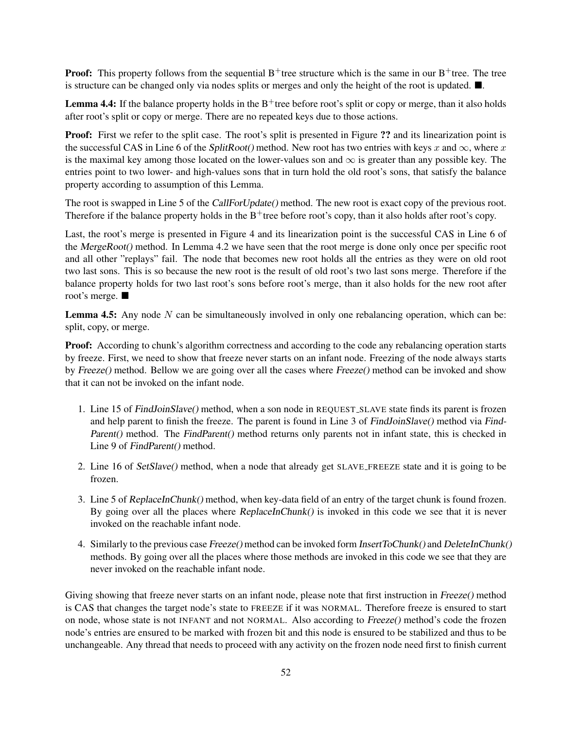**Proof:** This property follows from the sequential  $B^+$  tree structure which is the same in our  $B^+$  tree. The tree is structure can be changed only via nodes splits or merges and only the height of the root is updated.  $\blacksquare$ .

**Lemma 4.4:** If the balance property holds in the  $B^+$ tree before root's split or copy or merge, than it also holds after root's split or copy or merge. There are no repeated keys due to those actions.

**Proof:** First we refer to the split case. The root's split is presented in Figure ?? and its linearization point is the successful CAS in Line 6 of the SplitRoot() method. New root has two entries with keys x and  $\infty$ , where x is the maximal key among those located on the lower-values son and  $\infty$  is greater than any possible key. The entries point to two lower- and high-values sons that in turn hold the old root's sons, that satisfy the balance property according to assumption of this Lemma.

The root is swapped in Line 5 of the CallForUpdate() method. The new root is exact copy of the previous root. Therefore if the balance property holds in the  $B^+$ tree before root's copy, than it also holds after root's copy.

Last, the root's merge is presented in Figure 4 and its linearization point is the successful CAS in Line 6 of the MergeRoot() method. In Lemma 4.2 we have seen that the root merge is done only once per specific root and all other "replays" fail. The node that becomes new root holds all the entries as they were on old root two last sons. This is so because the new root is the result of old root's two last sons merge. Therefore if the balance property holds for two last root's sons before root's merge, than it also holds for the new root after root's merge.

**Lemma 4.5:** Any node  $N$  can be simultaneously involved in only one rebalancing operation, which can be: split, copy, or merge.

**Proof:** According to chunk's algorithm correctness and according to the code any rebalancing operation starts by freeze. First, we need to show that freeze never starts on an infant node. Freezing of the node always starts by Freeze() method. Bellow we are going over all the cases where Freeze() method can be invoked and show that it can not be invoked on the infant node.

- 1. Line 15 of FindJoinSlave() method, when a son node in REQUEST SLAVE state finds its parent is frozen and help parent to finish the freeze. The parent is found in Line 3 of FindJoinSlave() method via Find-Parent() method. The FindParent() method returns only parents not in infant state, this is checked in Line 9 of FindParent() method.
- 2. Line 16 of SetSlave() method, when a node that already get SLAVE FREEZE state and it is going to be frozen.
- 3. Line 5 of ReplaceInChunk() method, when key-data field of an entry of the target chunk is found frozen. By going over all the places where ReplaceInChunk() is invoked in this code we see that it is never invoked on the reachable infant node.
- 4. Similarly to the previous case Freeze() method can be invoked form InsertToChunk() and DeleteInChunk() methods. By going over all the places where those methods are invoked in this code we see that they are never invoked on the reachable infant node.

Giving showing that freeze never starts on an infant node, please note that first instruction in Freeze() method is CAS that changes the target node's state to FREEZE if it was NORMAL. Therefore freeze is ensured to start on node, whose state is not INFANT and not NORMAL. Also according to Freeze() method's code the frozen node's entries are ensured to be marked with frozen bit and this node is ensured to be stabilized and thus to be unchangeable. Any thread that needs to proceed with any activity on the frozen node need first to finish current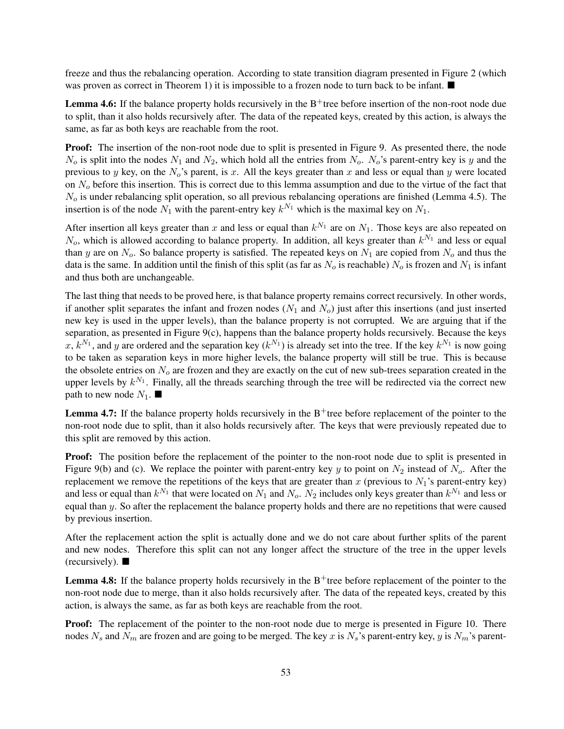freeze and thus the rebalancing operation. According to state transition diagram presented in Figure 2 (which was proven as correct in Theorem 1) it is impossible to a frozen node to turn back to be infant.  $\blacksquare$ 

**Lemma 4.6:** If the balance property holds recursively in the  $B<sup>+</sup>$ tree before insertion of the non-root node due to split, than it also holds recursively after. The data of the repeated keys, created by this action, is always the same, as far as both keys are reachable from the root.

**Proof:** The insertion of the non-root node due to split is presented in Figure 9. As presented there, the node  $N_0$  is split into the nodes  $N_1$  and  $N_2$ , which hold all the entries from  $N_0$ .  $N_0$ 's parent-entry key is y and the previous to y key, on the  $N_o$ 's parent, is x. All the keys greater than x and less or equal than y were located on  $N<sub>o</sub>$  before this insertion. This is correct due to this lemma assumption and due to the virtue of the fact that  $N<sub>o</sub>$  is under rebalancing split operation, so all previous rebalancing operations are finished (Lemma 4.5). The insertion is of the node  $N_1$  with the parent-entry key  $k^{N_1}$  which is the maximal key on  $N_1$ .

After insertion all keys greater than x and less or equal than  $k^{N_1}$  are on  $N_1$ . Those keys are also repeated on  $N_o$ , which is allowed according to balance property. In addition, all keys greater than  $k^{N_1}$  and less or equal than y are on  $N_o$ . So balance property is satisfied. The repeated keys on  $N_1$  are copied from  $N_o$  and thus the data is the same. In addition until the finish of this split (as far as  $N_o$  is reachable)  $N_o$  is frozen and  $N_1$  is infant and thus both are unchangeable.

The last thing that needs to be proved here, is that balance property remains correct recursively. In other words, if another split separates the infant and frozen nodes  $(N_1$  and  $N_0$ ) just after this insertions (and just inserted new key is used in the upper levels), than the balance property is not corrupted. We are arguing that if the separation, as presented in Figure 9(c), happens than the balance property holds recursively. Because the keys x,  $k^{N_1}$ , and y are ordered and the separation key  $(k^{N_1})$  is already set into the tree. If the key  $k^{N_1}$  is now going to be taken as separation keys in more higher levels, the balance property will still be true. This is because the obsolete entries on  $N<sub>o</sub>$  are frozen and they are exactly on the cut of new sub-trees separation created in the upper levels by  $k^{N_1}$ . Finally, all the threads searching through the tree will be redirected via the correct new path to new node  $N_1$ .

**Lemma 4.7:** If the balance property holds recursively in the  $B^{+}$ tree before replacement of the pointer to the non-root node due to split, than it also holds recursively after. The keys that were previously repeated due to this split are removed by this action.

**Proof:** The position before the replacement of the pointer to the non-root node due to split is presented in Figure 9(b) and (c). We replace the pointer with parent-entry key y to point on  $N_2$  instead of  $N_0$ . After the replacement we remove the repetitions of the keys that are greater than x (previous to  $N_1$ 's parent-entry key) and less or equal than  $k^{N_1}$  that were located on  $N_1$  and  $N_o$ .  $N_2$  includes only keys greater than  $k^{N_1}$  and less or equal than  $y$ . So after the replacement the balance property holds and there are no repetitions that were caused by previous insertion.

After the replacement action the split is actually done and we do not care about further splits of the parent and new nodes. Therefore this split can not any longer affect the structure of the tree in the upper levels (recursively).

**Lemma 4.8:** If the balance property holds recursively in the  $B<sup>+</sup>$  tree before replacement of the pointer to the non-root node due to merge, than it also holds recursively after. The data of the repeated keys, created by this action, is always the same, as far as both keys are reachable from the root.

**Proof:** The replacement of the pointer to the non-root node due to merge is presented in Figure 10. There nodes  $N_s$  and  $N_m$  are frozen and are going to be merged. The key x is  $N_s$ 's parent-entry key, y is  $N_m$ 's parent-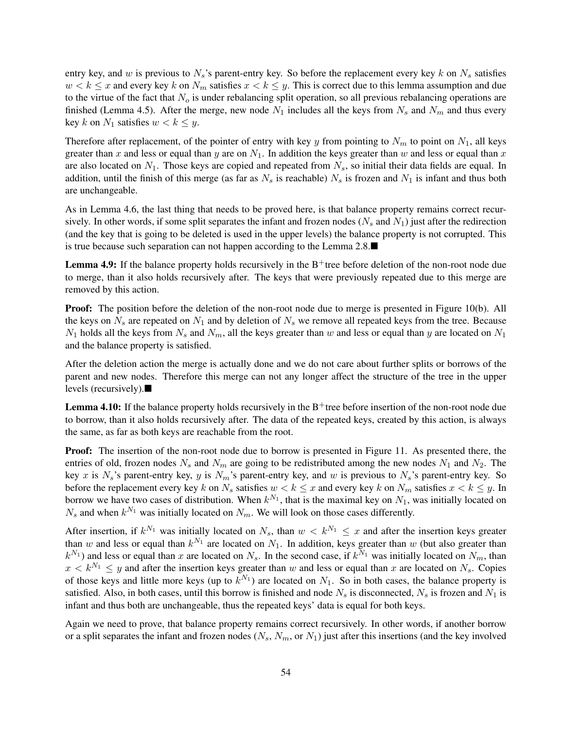entry key, and w is previous to  $N_s$ 's parent-entry key. So before the replacement every key k on  $N_s$  satisfies  $w < k \leq x$  and every key k on  $N_m$  satisfies  $x < k \leq y$ . This is correct due to this lemma assumption and due to the virtue of the fact that  $N<sub>o</sub>$  is under rebalancing split operation, so all previous rebalancing operations are finished (Lemma 4.5). After the merge, new node  $N_1$  includes all the keys from  $N_s$  and  $N_m$  and thus every key k on  $N_1$  satisfies  $w < k \leq y$ .

Therefore after replacement, of the pointer of entry with key y from pointing to  $N_m$  to point on  $N_1$ , all keys greater than x and less or equal than y are on  $N_1$ . In addition the keys greater than w and less or equal than x are also located on  $N_1$ . Those keys are copied and repeated from  $N_s$ , so initial their data fields are equal. In addition, until the finish of this merge (as far as  $N_s$  is reachable)  $N_s$  is frozen and  $N_1$  is infant and thus both are unchangeable.

As in Lemma 4.6, the last thing that needs to be proved here, is that balance property remains correct recursively. In other words, if some split separates the infant and frozen nodes  $(N_s \text{ and } N_1)$  just after the redirection (and the key that is going to be deleted is used in the upper levels) the balance property is not corrupted. This is true because such separation can not happen according to the Lemma 2.8.

**Lemma 4.9:** If the balance property holds recursively in the  $B<sup>+</sup>$  tree before deletion of the non-root node due to merge, than it also holds recursively after. The keys that were previously repeated due to this merge are removed by this action.

**Proof:** The position before the deletion of the non-root node due to merge is presented in Figure 10(b). All the keys on  $N_s$  are repeated on  $N_1$  and by deletion of  $N_s$  we remove all repeated keys from the tree. Because  $N_1$  holds all the keys from  $N_s$  and  $N_m$ , all the keys greater than w and less or equal than y are located on  $N_1$ and the balance property is satisfied.

After the deletion action the merge is actually done and we do not care about further splits or borrows of the parent and new nodes. Therefore this merge can not any longer affect the structure of the tree in the upper levels (recursively).

**Lemma 4.10:** If the balance property holds recursively in the  $B<sup>+</sup>$  tree before insertion of the non-root node due to borrow, than it also holds recursively after. The data of the repeated keys, created by this action, is always the same, as far as both keys are reachable from the root.

**Proof:** The insertion of the non-root node due to borrow is presented in Figure 11. As presented there, the entries of old, frozen nodes  $N_s$  and  $N_m$  are going to be redistributed among the new nodes  $N_1$  and  $N_2$ . The key x is  $N_s$ 's parent-entry key, y is  $N_m$ 's parent-entry key, and w is previous to  $N_s$ 's parent-entry key. So before the replacement every key k on  $N_s$  satisfies  $w < k \leq x$  and every key k on  $N_m$  satisfies  $x < k \leq y$ . In borrow we have two cases of distribution. When  $k^{N_1}$ , that is the maximal key on  $N_1$ , was initially located on  $N_s$  and when  $k^{N_1}$  was initially located on  $N_m$ . We will look on those cases differently.

After insertion, if  $k^{N_1}$  was initially located on  $N_s$ , than  $w < k^{N_1} \leq x$  and after the insertion keys greater than w and less or equal than  $k^{N_1}$  are located on  $N_1$ . In addition, keys greater than w (but also greater than  $k^{N_1}$ ) and less or equal than x are located on  $N_s$ . In the second case, if  $k^{N_1}$  was initially located on  $N_m$ , than  $x < k^{N_1} \leq y$  and after the insertion keys greater than w and less or equal than x are located on  $N_s$ . Copies of those keys and little more keys (up to  $k^{N_1}$ ) are located on  $N_1$ . So in both cases, the balance property is satisfied. Also, in both cases, until this borrow is finished and node  $N_s$  is disconnected,  $N_s$  is frozen and  $N_1$  is infant and thus both are unchangeable, thus the repeated keys' data is equal for both keys.

Again we need to prove, that balance property remains correct recursively. In other words, if another borrow or a split separates the infant and frozen nodes  $(N_s, N_m,$  or  $N_1)$  just after this insertions (and the key involved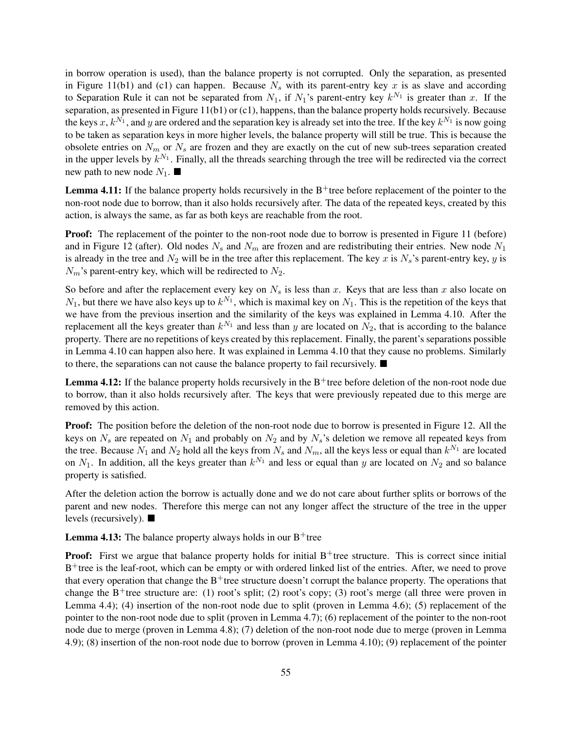in borrow operation is used), than the balance property is not corrupted. Only the separation, as presented in Figure 11(b1) and (c1) can happen. Because  $N_s$  with its parent-entry key x is as slave and according to Separation Rule it can not be separated from  $N_1$ , if  $N_1$ 's parent-entry key  $k^{N_1}$  is greater than x. If the separation, as presented in Figure 11(b1) or (c1), happens, than the balance property holds recursively. Because the keys  $x, k^{N_1}$ , and  $y$  are ordered and the separation key is already set into the tree. If the key  $k^{N_1}$  is now going to be taken as separation keys in more higher levels, the balance property will still be true. This is because the obsolete entries on  $N_m$  or  $N_s$  are frozen and they are exactly on the cut of new sub-trees separation created in the upper levels by  $k^{N_1}$ . Finally, all the threads searching through the tree will be redirected via the correct new path to new node  $N_1$ .

**Lemma 4.11:** If the balance property holds recursively in the  $B<sup>+</sup>$  tree before replacement of the pointer to the non-root node due to borrow, than it also holds recursively after. The data of the repeated keys, created by this action, is always the same, as far as both keys are reachable from the root.

**Proof:** The replacement of the pointer to the non-root node due to borrow is presented in Figure 11 (before) and in Figure 12 (after). Old nodes  $N_s$  and  $N_m$  are frozen and are redistributing their entries. New node  $N_1$ is already in the tree and  $N_2$  will be in the tree after this replacement. The key x is  $N_s$ 's parent-entry key, y is  $N_m$ 's parent-entry key, which will be redirected to  $N_2$ .

So before and after the replacement every key on  $N_s$  is less than x. Keys that are less than x also locate on  $N_1$ , but there we have also keys up to  $k^{N_1}$ , which is maximal key on  $N_1$ . This is the repetition of the keys that we have from the previous insertion and the similarity of the keys was explained in Lemma 4.10. After the replacement all the keys greater than  $k^{N_1}$  and less than y are located on  $N_2$ , that is according to the balance property. There are no repetitions of keys created by this replacement. Finally, the parent's separations possible in Lemma 4.10 can happen also here. It was explained in Lemma 4.10 that they cause no problems. Similarly to there, the separations can not cause the balance property to fail recursively.

**Lemma 4.12:** If the balance property holds recursively in the  $B<sup>+</sup>$  tree before deletion of the non-root node due to borrow, than it also holds recursively after. The keys that were previously repeated due to this merge are removed by this action.

**Proof:** The position before the deletion of the non-root node due to borrow is presented in Figure 12. All the keys on  $N_s$  are repeated on  $N_1$  and probably on  $N_2$  and by  $N_s$ 's deletion we remove all repeated keys from the tree. Because  $N_1$  and  $N_2$  hold all the keys from  $N_s$  and  $N_m$ , all the keys less or equal than  $k^{N_1}$  are located on  $N_1$ . In addition, all the keys greater than  $k^{N_1}$  and less or equal than y are located on  $N_2$  and so balance property is satisfied.

After the deletion action the borrow is actually done and we do not care about further splits or borrows of the parent and new nodes. Therefore this merge can not any longer affect the structure of the tree in the upper levels (recursively).

**Lemma 4.13:** The balance property always holds in our  $B^{+}$  tree

**Proof:** First we argue that balance property holds for initial  $B<sup>+</sup>$ tree structure. This is correct since initial B<sup>+</sup>tree is the leaf-root, which can be empty or with ordered linked list of the entries. After, we need to prove that every operation that change the  $B<sup>+</sup>$ tree structure doesn't corrupt the balance property. The operations that change the B<sup>+</sup>tree structure are: (1) root's split; (2) root's copy; (3) root's merge (all three were proven in Lemma 4.4); (4) insertion of the non-root node due to split (proven in Lemma 4.6); (5) replacement of the pointer to the non-root node due to split (proven in Lemma 4.7); (6) replacement of the pointer to the non-root node due to merge (proven in Lemma 4.8); (7) deletion of the non-root node due to merge (proven in Lemma 4.9); (8) insertion of the non-root node due to borrow (proven in Lemma 4.10); (9) replacement of the pointer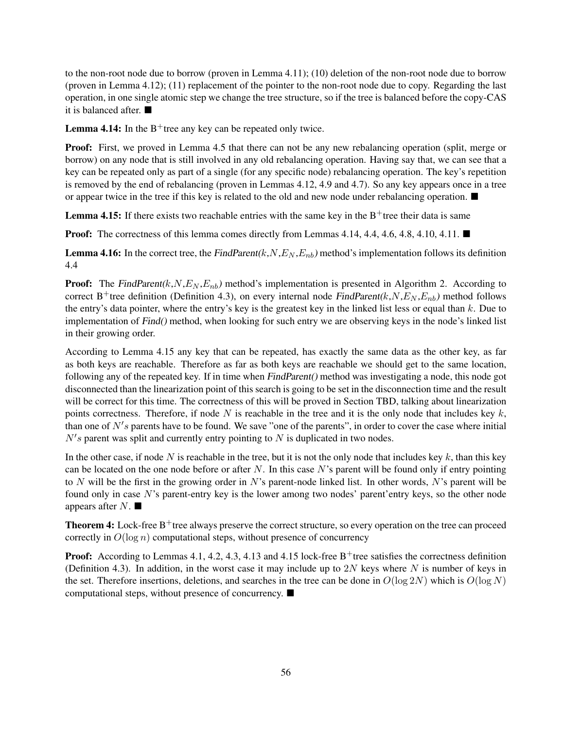to the non-root node due to borrow (proven in Lemma 4.11); (10) deletion of the non-root node due to borrow (proven in Lemma 4.12); (11) replacement of the pointer to the non-root node due to copy. Regarding the last operation, in one single atomic step we change the tree structure, so if the tree is balanced before the copy-CAS it is balanced after.

**Lemma 4.14:** In the  $B^+$  tree any key can be repeated only twice.

**Proof:** First, we proved in Lemma 4.5 that there can not be any new rebalancing operation (split, merge or borrow) on any node that is still involved in any old rebalancing operation. Having say that, we can see that a key can be repeated only as part of a single (for any specific node) rebalancing operation. The key's repetition is removed by the end of rebalancing (proven in Lemmas 4.12, 4.9 and 4.7). So any key appears once in a tree or appear twice in the tree if this key is related to the old and new node under rebalancing operation.

**Lemma 4.15:** If there exists two reachable entries with the same key in the  $B^+$ tree their data is same

**Proof:** The correctness of this lemma comes directly from Lemmas 4.14, 4.4, 4.6, 4.8, 4.10, 4.11.

**Lemma 4.16:** In the correct tree, the FindParent(k,  $N$ ,  $E_N$ ,  $E_{nb}$ ) method's implementation follows its definition 4.4

**Proof:** The FindParent(k, $N, E_N, E_{nb}$ ) method's implementation is presented in Algorithm 2. According to correct B<sup>+</sup>tree definition (Definition 4.3), on every internal node FindParent(k,N, $E_N$ , $E_{nb}$ ) method follows the entry's data pointer, where the entry's key is the greatest key in the linked list less or equal than  $k$ . Due to implementation of Find() method, when looking for such entry we are observing keys in the node's linked list in their growing order.

According to Lemma 4.15 any key that can be repeated, has exactly the same data as the other key, as far as both keys are reachable. Therefore as far as both keys are reachable we should get to the same location, following any of the repeated key. If in time when FindParent() method was investigating a node, this node got disconnected than the linearization point of this search is going to be set in the disconnection time and the result will be correct for this time. The correctness of this will be proved in Section TBD, talking about linearization points correctness. Therefore, if node  $N$  is reachable in the tree and it is the only node that includes key  $k$ , than one of  $N's$  parents have to be found. We save "one of the parents", in order to cover the case where initial  $N's$  parent was split and currently entry pointing to  $N$  is duplicated in two nodes.

In the other case, if node N is reachable in the tree, but it is not the only node that includes key  $k$ , than this key can be located on the one node before or after  $N$ . In this case  $N$ 's parent will be found only if entry pointing to N will be the first in the growing order in N's parent-node linked list. In other words, N's parent will be found only in case N's parent-entry key is the lower among two nodes' parent'entry keys, so the other node appears after  $N$ .

**Theorem 4:** Lock-free  $B^+$  tree always preserve the correct structure, so every operation on the tree can proceed correctly in  $O(\log n)$  computational steps, without presence of concurrency

**Proof:** According to Lemmas 4.1, 4.2, 4.3, 4.13 and 4.15 lock-free B<sup>+</sup>tree satisfies the correctness definition (Definition 4.3). In addition, in the worst case it may include up to 2N keys where N is number of keys in the set. Therefore insertions, deletions, and searches in the tree can be done in  $O(\log 2N)$  which is  $O(\log N)$ computational steps, without presence of concurrency.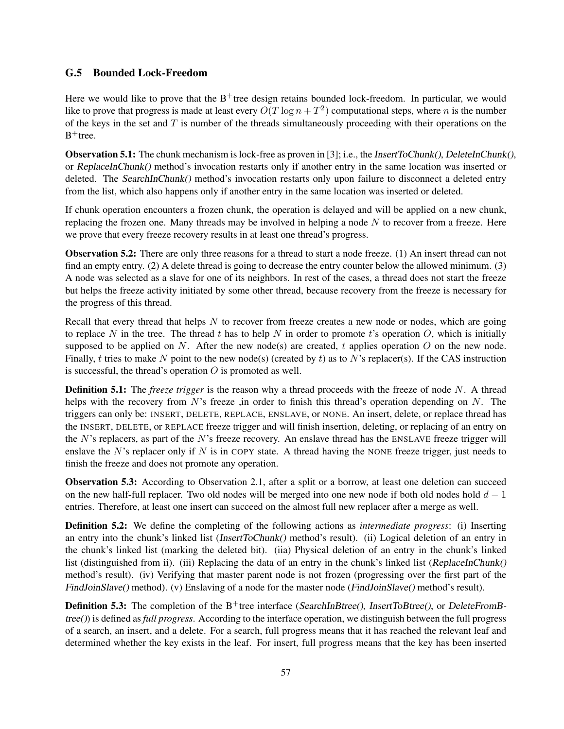### G.5 Bounded Lock-Freedom

Here we would like to prove that the  $B<sup>+</sup>$ tree design retains bounded lock-freedom. In particular, we would like to prove that progress is made at least every  $O(T \log n + T^2)$  computational steps, where n is the number of the keys in the set and  $T$  is number of the threads simultaneously proceeding with their operations on the  $B^+$ tree.

**Observation 5.1:** The chunk mechanism is lock-free as proven in [3]; i.e., the InsertToChunk(), DeleteInChunk(), or ReplaceInChunk() method's invocation restarts only if another entry in the same location was inserted or deleted. The SearchInChunk() method's invocation restarts only upon failure to disconnect a deleted entry from the list, which also happens only if another entry in the same location was inserted or deleted.

If chunk operation encounters a frozen chunk, the operation is delayed and will be applied on a new chunk, replacing the frozen one. Many threads may be involved in helping a node  $N$  to recover from a freeze. Here we prove that every freeze recovery results in at least one thread's progress.

Observation 5.2: There are only three reasons for a thread to start a node freeze. (1) An insert thread can not find an empty entry. (2) A delete thread is going to decrease the entry counter below the allowed minimum. (3) A node was selected as a slave for one of its neighbors. In rest of the cases, a thread does not start the freeze but helps the freeze activity initiated by some other thread, because recovery from the freeze is necessary for the progress of this thread.

Recall that every thread that helps  $N$  to recover from freeze creates a new node or nodes, which are going to replace N in the tree. The thread t has to help N in order to promote t's operation  $O$ , which is initially supposed to be applied on N. After the new node(s) are created, t applies operation O on the new node. Finally, t tries to make N point to the new node(s) (created by t) as to N's replacer(s). If the CAS instruction is successful, the thread's operation  $O$  is promoted as well.

**Definition 5.1:** The *freeze trigger* is the reason why a thread proceeds with the freeze of node N. A thread helps with the recovery from N's freeze ,in order to finish this thread's operation depending on N. The triggers can only be: INSERT, DELETE, REPLACE, ENSLAVE, or NONE. An insert, delete, or replace thread has the INSERT, DELETE, or REPLACE freeze trigger and will finish insertion, deleting, or replacing of an entry on the  $N$ 's replacers, as part of the  $N$ 's freeze recovery. An enslave thread has the ENSLAVE freeze trigger will enslave the N's replacer only if N is in COPY state. A thread having the NONE freeze trigger, just needs to finish the freeze and does not promote any operation.

**Observation 5.3:** According to Observation 2.1, after a split or a borrow, at least one deletion can succeed on the new half-full replacer. Two old nodes will be merged into one new node if both old nodes hold  $d - 1$ entries. Therefore, at least one insert can succeed on the almost full new replacer after a merge as well.

Definition 5.2: We define the completing of the following actions as *intermediate progress*: (i) Inserting an entry into the chunk's linked list (InsertToChunk() method's result). (ii) Logical deletion of an entry in the chunk's linked list (marking the deleted bit). (iia) Physical deletion of an entry in the chunk's linked list (distinguished from ii). (iii) Replacing the data of an entry in the chunk's linked list (ReplaceInChunk() method's result). (iv) Verifying that master parent node is not frozen (progressing over the first part of the FindJoinSlave() method). (v) Enslaving of a node for the master node (FindJoinSlave() method's result).

**Definition 5.3:** The completion of the B<sup>+</sup>tree interface (SearchInBtree(), InsertToBtree(), or DeleteFromBtree()) is defined as *full progress*. According to the interface operation, we distinguish between the full progress of a search, an insert, and a delete. For a search, full progress means that it has reached the relevant leaf and determined whether the key exists in the leaf. For insert, full progress means that the key has been inserted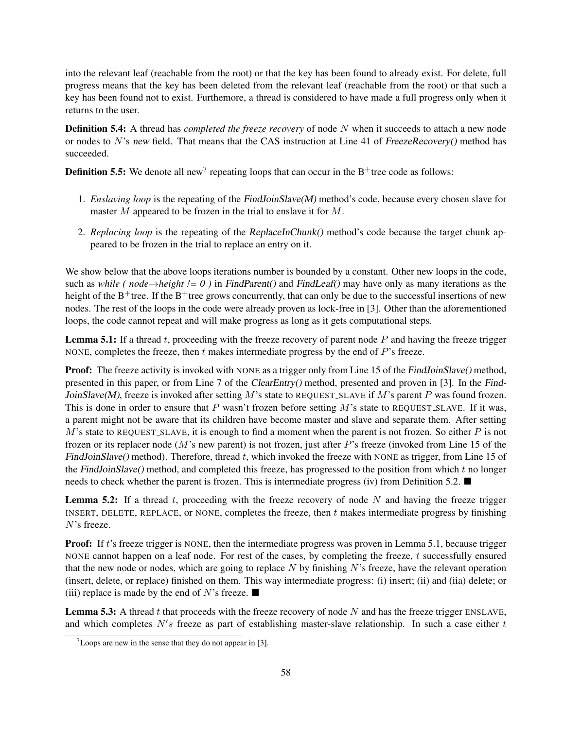into the relevant leaf (reachable from the root) or that the key has been found to already exist. For delete, full progress means that the key has been deleted from the relevant leaf (reachable from the root) or that such a key has been found not to exist. Furthemore, a thread is considered to have made a full progress only when it returns to the user.

**Definition 5.4:** A thread has *completed the freeze recovery* of node N when it succeeds to attach a new node or nodes to N's new field. That means that the CAS instruction at Line 41 of FreezeRecovery() method has succeeded.

**Definition 5.5:** We denote all new<sup>7</sup> repeating loops that can occur in the  $B^+$ tree code as follows:

- 1. *Enslaving loop* is the repeating of the FindJoinSlave(M) method's code, because every chosen slave for master M appeared to be frozen in the trial to enslave it for M.
- 2. *Replacing loop* is the repeating of the ReplaceInChunk() method's code because the target chunk appeared to be frozen in the trial to replace an entry on it.

We show below that the above loops iterations number is bounded by a constant. Other new loops in the code, such as *while (node* $\rightarrow$ *height !*= 0) in FindParent() and FindLeaf() may have only as many iterations as the height of the B<sup>+</sup>tree. If the B<sup>+</sup>tree grows concurrently, that can only be due to the successful insertions of new nodes. The rest of the loops in the code were already proven as lock-free in [3]. Other than the aforementioned loops, the code cannot repeat and will make progress as long as it gets computational steps.

**Lemma 5.1:** If a thread t, proceeding with the freeze recovery of parent node  $P$  and having the freeze trigger NONE, completes the freeze, then t makes intermediate progress by the end of  $P$ 's freeze.

**Proof:** The freeze activity is invoked with NONE as a trigger only from Line 15 of the FindJoinSlave() method, presented in this paper, or from Line 7 of the ClearEntry() method, presented and proven in [3]. In the Find-JoinSlave(M), freeze is invoked after setting M's state to REQUEST\_SLAVE if M's parent P was found frozen. This is done in order to ensure that  $P$  wasn't frozen before setting  $M$ 's state to REQUEST\_SLAVE. If it was, a parent might not be aware that its children have become master and slave and separate them. After setting  $M$ 's state to REQUEST\_SLAVE, it is enough to find a moment when the parent is not frozen. So either  $P$  is not frozen or its replacer node ( $M$ 's new parent) is not frozen, just after  $P$ 's freeze (invoked from Line 15 of the FindJoinSlave() method). Therefore, thread  $t$ , which invoked the freeze with NONE as trigger, from Line 15 of the FindJoinSlave() method, and completed this freeze, has progressed to the position from which  $t$  no longer needs to check whether the parent is frozen. This is intermediate progress (iv) from Definition 5.2.  $\blacksquare$ 

**Lemma 5.2:** If a thread t, proceeding with the freeze recovery of node  $N$  and having the freeze trigger INSERT, DELETE, REPLACE, or NONE, completes the freeze, then  $t$  makes intermediate progress by finishing N's freeze.

**Proof:** If t's freeze trigger is NONE, then the intermediate progress was proven in Lemma 5.1, because trigger NONE cannot happen on a leaf node. For rest of the cases, by completing the freeze,  $t$  successfully ensured that the new node or nodes, which are going to replace  $N$  by finishing  $N$ 's freeze, have the relevant operation (insert, delete, or replace) finished on them. This way intermediate progress: (i) insert; (ii) and (iia) delete; or (iii) replace is made by the end of N's freeze.  $\blacksquare$ 

**Lemma 5.3:** A thread  $t$  that proceeds with the freeze recovery of node  $N$  and has the freeze trigger ENSLAVE, and which completes  $N's$  freeze as part of establishing master-slave relationship. In such a case either  $t$ 

 $7$ Loops are new in the sense that they do not appear in [3].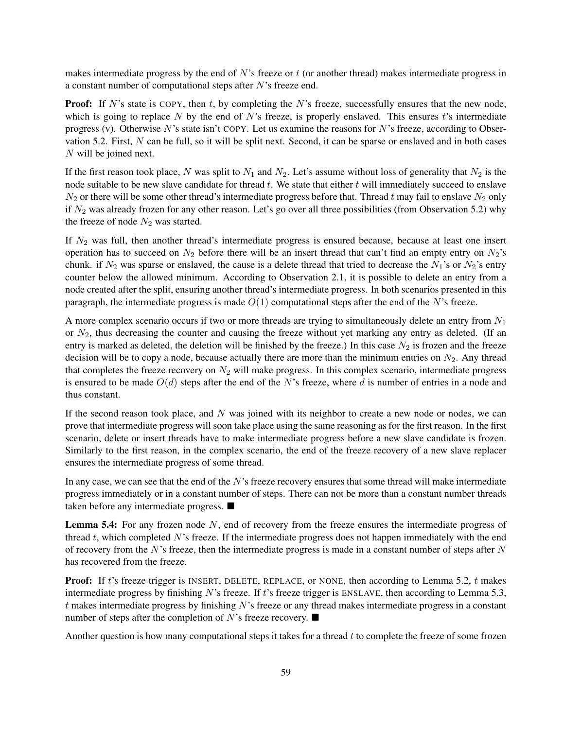makes intermediate progress by the end of  $N$ 's freeze or  $t$  (or another thread) makes intermediate progress in a constant number of computational steps after N's freeze end.

**Proof:** If N's state is COPY, then t, by completing the N's freeze, successfully ensures that the new node, which is going to replace  $N$  by the end of  $N$ 's freeze, is properly enslaved. This ensures t's intermediate progress (v). Otherwise N's state isn't COPY. Let us examine the reasons for N's freeze, according to Observation 5.2. First, N can be full, so it will be split next. Second, it can be sparse or enslaved and in both cases N will be joined next.

If the first reason took place, N was split to  $N_1$  and  $N_2$ . Let's assume without loss of generality that  $N_2$  is the node suitable to be new slave candidate for thread  $t$ . We state that either  $t$  will immediately succeed to enslave  $N_2$  or there will be some other thread's intermediate progress before that. Thread t may fail to enslave  $N_2$  only if  $N_2$  was already frozen for any other reason. Let's go over all three possibilities (from Observation 5.2) why the freeze of node  $N_2$  was started.

If  $N_2$  was full, then another thread's intermediate progress is ensured because, because at least one insert operation has to succeed on  $N_2$  before there will be an insert thread that can't find an empty entry on  $N_2$ 's chunk. if  $N_2$  was sparse or enslaved, the cause is a delete thread that tried to decrease the  $N_1$ 's or  $N_2$ 's entry counter below the allowed minimum. According to Observation 2.1, it is possible to delete an entry from a node created after the split, ensuring another thread's intermediate progress. In both scenarios presented in this paragraph, the intermediate progress is made  $O(1)$  computational steps after the end of the N's freeze.

A more complex scenario occurs if two or more threads are trying to simultaneously delete an entry from  $N_1$ or  $N_2$ , thus decreasing the counter and causing the freeze without yet marking any entry as deleted. (If an entry is marked as deleted, the deletion will be finished by the freeze.) In this case  $N_2$  is frozen and the freeze decision will be to copy a node, because actually there are more than the minimum entries on  $N_2$ . Any thread that completes the freeze recovery on  $N_2$  will make progress. In this complex scenario, intermediate progress is ensured to be made  $O(d)$  steps after the end of the N's freeze, where d is number of entries in a node and thus constant.

If the second reason took place, and  $N$  was joined with its neighbor to create a new node or nodes, we can prove that intermediate progress will soon take place using the same reasoning as for the first reason. In the first scenario, delete or insert threads have to make intermediate progress before a new slave candidate is frozen. Similarly to the first reason, in the complex scenario, the end of the freeze recovery of a new slave replacer ensures the intermediate progress of some thread.

In any case, we can see that the end of the  $N$ 's freeze recovery ensures that some thread will make intermediate progress immediately or in a constant number of steps. There can not be more than a constant number threads taken before any intermediate progress. ■

**Lemma 5.4:** For any frozen node  $N$ , end of recovery from the freeze ensures the intermediate progress of thread t, which completed  $N$ 's freeze. If the intermediate progress does not happen immediately with the end of recovery from the  $N$ 's freeze, then the intermediate progress is made in a constant number of steps after  $N$ has recovered from the freeze.

**Proof:** If t's freeze trigger is INSERT, DELETE, REPLACE, or NONE, then according to Lemma 5.2,  $t$  makes intermediate progress by finishing N's freeze. If t's freeze trigger is ENSLAVE, then according to Lemma 5.3, t makes intermediate progress by finishing  $N$ 's freeze or any thread makes intermediate progress in a constant number of steps after the completion of N's freeze recovery.  $\blacksquare$ 

Another question is how many computational steps it takes for a thread t to complete the freeze of some frozen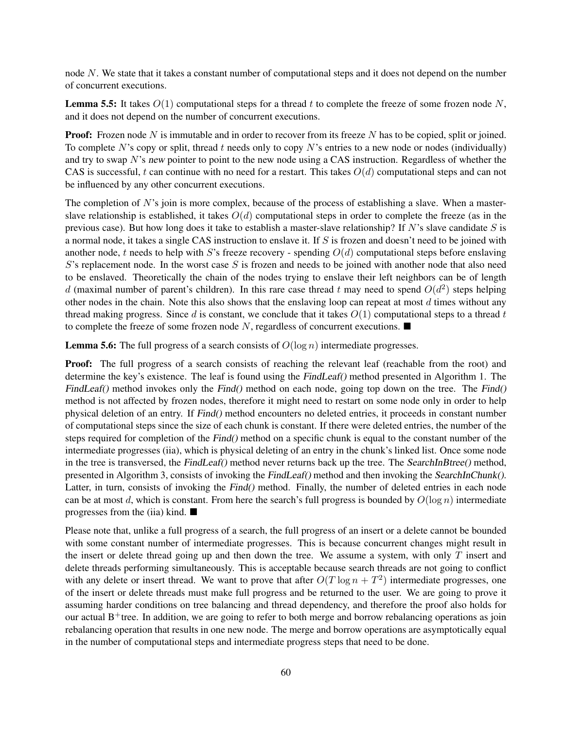node  $N$ . We state that it takes a constant number of computational steps and it does not depend on the number of concurrent executions.

**Lemma 5.5:** It takes  $O(1)$  computational steps for a thread t to complete the freeze of some frozen node N, and it does not depend on the number of concurrent executions.

**Proof:** Frozen node N is immutable and in order to recover from its freeze N has to be copied, split or joined. To complete N's copy or split, thread t needs only to copy N's entries to a new node or nodes (individually) and try to swap  $N$ 's new pointer to point to the new node using a CAS instruction. Regardless of whether the CAS is successful, t can continue with no need for a restart. This takes  $O(d)$  computational steps and can not be influenced by any other concurrent executions.

The completion of  $N$ 's join is more complex, because of the process of establishing a slave. When a masterslave relationship is established, it takes  $O(d)$  computational steps in order to complete the freeze (as in the previous case). But how long does it take to establish a master-slave relationship? If N's slave candidate S is a normal node, it takes a single CAS instruction to enslave it. If  $S$  is frozen and doesn't need to be joined with another node, t needs to help with S's freeze recovery - spending  $O(d)$  computational steps before enslaving  $S$ 's replacement node. In the worst case  $S$  is frozen and needs to be joined with another node that also need to be enslaved. Theoretically the chain of the nodes trying to enslave their left neighbors can be of length d (maximal number of parent's children). In this rare case thread t may need to spend  $O(d^2)$  steps helping other nodes in the chain. Note this also shows that the enslaving loop can repeat at most  $d$  times without any thread making progress. Since  $d$  is constant, we conclude that it takes  $O(1)$  computational steps to a thread  $t$ to complete the freeze of some frozen node  $N$ , regardless of concurrent executions.  $\blacksquare$ 

**Lemma 5.6:** The full progress of a search consists of  $O(\log n)$  intermediate progresses.

**Proof:** The full progress of a search consists of reaching the relevant leaf (reachable from the root) and determine the key's existence. The leaf is found using the FindLeaf() method presented in Algorithm 1. The FindLeaf() method invokes only the Find() method on each node, going top down on the tree. The Find() method is not affected by frozen nodes, therefore it might need to restart on some node only in order to help physical deletion of an entry. If Find() method encounters no deleted entries, it proceeds in constant number of computational steps since the size of each chunk is constant. If there were deleted entries, the number of the steps required for completion of the Find() method on a specific chunk is equal to the constant number of the intermediate progresses (iia), which is physical deleting of an entry in the chunk's linked list. Once some node in the tree is transversed, the FindLeaf() method never returns back up the tree. The SearchInBtree() method, presented in Algorithm 3, consists of invoking the FindLeaf() method and then invoking the SearchInChunk(). Latter, in turn, consists of invoking the Find() method. Finally, the number of deleted entries in each node can be at most d, which is constant. From here the search's full progress is bounded by  $O(\log n)$  intermediate progresses from the (iia) kind.  $\blacksquare$ 

Please note that, unlike a full progress of a search, the full progress of an insert or a delete cannot be bounded with some constant number of intermediate progresses. This is because concurrent changes might result in the insert or delete thread going up and then down the tree. We assume a system, with only  $T$  insert and delete threads performing simultaneously. This is acceptable because search threads are not going to conflict with any delete or insert thread. We want to prove that after  $O(T \log n + T^2)$  intermediate progresses, one of the insert or delete threads must make full progress and be returned to the user. We are going to prove it assuming harder conditions on tree balancing and thread dependency, and therefore the proof also holds for our actual  $B^{+}$ tree. In addition, we are going to refer to both merge and borrow rebalancing operations as join rebalancing operation that results in one new node. The merge and borrow operations are asymptotically equal in the number of computational steps and intermediate progress steps that need to be done.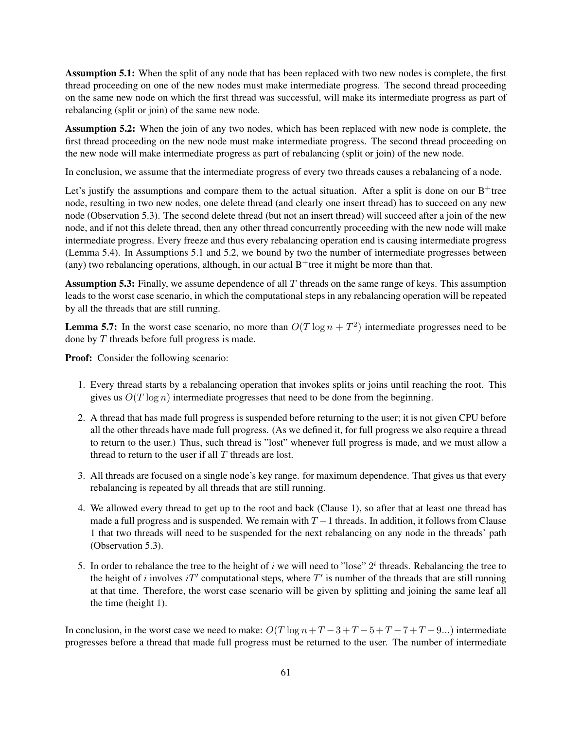Assumption 5.1: When the split of any node that has been replaced with two new nodes is complete, the first thread proceeding on one of the new nodes must make intermediate progress. The second thread proceeding on the same new node on which the first thread was successful, will make its intermediate progress as part of rebalancing (split or join) of the same new node.

Assumption 5.2: When the join of any two nodes, which has been replaced with new node is complete, the first thread proceeding on the new node must make intermediate progress. The second thread proceeding on the new node will make intermediate progress as part of rebalancing (split or join) of the new node.

In conclusion, we assume that the intermediate progress of every two threads causes a rebalancing of a node.

Let's justify the assumptions and compare them to the actual situation. After a split is done on our  $B^+$ tree node, resulting in two new nodes, one delete thread (and clearly one insert thread) has to succeed on any new node (Observation 5.3). The second delete thread (but not an insert thread) will succeed after a join of the new node, and if not this delete thread, then any other thread concurrently proceeding with the new node will make intermediate progress. Every freeze and thus every rebalancing operation end is causing intermediate progress (Lemma 5.4). In Assumptions 5.1 and 5.2, we bound by two the number of intermediate progresses between (any) two rebalancing operations, although, in our actual  $B^{+}$ tree it might be more than that.

**Assumption 5.3:** Finally, we assume dependence of all  $T$  threads on the same range of keys. This assumption leads to the worst case scenario, in which the computational steps in any rebalancing operation will be repeated by all the threads that are still running.

**Lemma 5.7:** In the worst case scenario, no more than  $O(T \log n + T^2)$  intermediate progresses need to be done by T threads before full progress is made.

Proof: Consider the following scenario:

- 1. Every thread starts by a rebalancing operation that invokes splits or joins until reaching the root. This gives us  $O(T \log n)$  intermediate progresses that need to be done from the beginning.
- 2. A thread that has made full progress is suspended before returning to the user; it is not given CPU before all the other threads have made full progress. (As we defined it, for full progress we also require a thread to return to the user.) Thus, such thread is "lost" whenever full progress is made, and we must allow a thread to return to the user if all  $T$  threads are lost.
- 3. All threads are focused on a single node's key range. for maximum dependence. That gives us that every rebalancing is repeated by all threads that are still running.
- 4. We allowed every thread to get up to the root and back (Clause 1), so after that at least one thread has made a full progress and is suspended. We remain with  $T-1$  threads. In addition, it follows from Clause 1 that two threads will need to be suspended for the next rebalancing on any node in the threads' path (Observation 5.3).
- 5. In order to rebalance the tree to the height of i we will need to "lose"  $2<sup>i</sup>$  threads. Rebalancing the tree to the height of i involves iT' computational steps, where T' is number of the threads that are still running at that time. Therefore, the worst case scenario will be given by splitting and joining the same leaf all the time (height 1).

In conclusion, in the worst case we need to make:  $O(T \log n + T - 3 + T - 5 + T - 7 + T - 9...)$  intermediate progresses before a thread that made full progress must be returned to the user. The number of intermediate